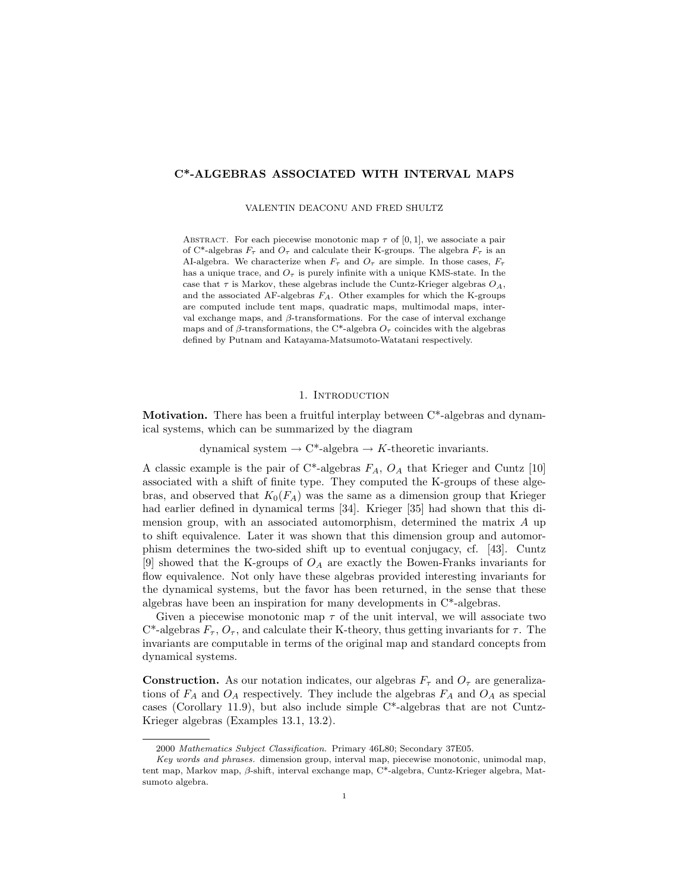### **C\*-ALGEBRAS ASSOCIATED WITH INTERVAL MAPS**

VALENTIN DEACONU AND FRED SHULTZ

ABSTRACT. For each piecewise monotonic map  $\tau$  of [0, 1], we associate a pair of C<sup>\*</sup>-algebras  $F_{\tau}$  and  $O_{\tau}$  and calculate their K-groups. The algebra  $F_{\tau}$  is an AI-algebra. We characterize when  $F_{\tau}$  and  $O_{\tau}$  are simple. In those cases,  $F_{\tau}$ has a unique trace, and  $O<sub>\tau</sub>$  is purely infinite with a unique KMS-state. In the case that  $\tau$  is Markov, these algebras include the Cuntz-Krieger algebras  $O_A$ , and the associated AF-algebras F*A*. Other examples for which the K-groups are computed include tent maps, quadratic maps, multimodal maps, interval exchange maps, and  $\beta$ -transformations. For the case of interval exchange maps and of  $\beta$ -transformations, the C<sup>\*</sup>-algebra  $O_{\tau}$  coincides with the algebras defined by Putnam and Katayama-Matsumoto-Watatani respectively.

### 1. INTRODUCTION

**Motivation.** There has been a fruitful interplay between  $C^*$ -algebras and dynamical systems, which can be summarized by the diagram

dynamical system  $\rightarrow$  C<sup>\*</sup>-algebra  $\rightarrow$  *K*-theoretic invariants.

A classic example is the pair of C\*-algebras *FA*, *O<sup>A</sup>* that Krieger and Cuntz [10] associated with a shift of finite type. They computed the K-groups of these algebras, and observed that  $K_0(F_A)$  was the same as a dimension group that Krieger had earlier defined in dynamical terms [34]. Krieger [35] had shown that this dimension group, with an associated automorphism, determined the matrix *A* up to shift equivalence. Later it was shown that this dimension group and automorphism determines the two-sided shift up to eventual conjugacy, cf. [43]. Cuntz [9] showed that the K-groups of *O<sup>A</sup>* are exactly the Bowen-Franks invariants for flow equivalence. Not only have these algebras provided interesting invariants for the dynamical systems, but the favor has been returned, in the sense that these algebras have been an inspiration for many developments in C\*-algebras.

Given a piecewise monotonic map  $\tau$  of the unit interval, we will associate two C<sup>\*</sup>-algebras  $F_\tau$ ,  $O_\tau$ , and calculate their K-theory, thus getting invariants for  $\tau$ . The invariants are computable in terms of the original map and standard concepts from dynamical systems.

**Construction.** As our notation indicates, our algebras  $F_\tau$  and  $O_\tau$  are generalizations of  $F_A$  and  $O_A$  respectively. They include the algebras  $F_A$  and  $O_A$  as special cases (Corollary 11.9), but also include simple C\*-algebras that are not Cuntz-Krieger algebras (Examples 13.1, 13.2).

<sup>2000</sup> *Mathematics Subject Classification.* Primary 46L80; Secondary 37E05.

*Key words and phrases.* dimension group, interval map, piecewise monotonic, unimodal map, tent map, Markov map, β-shift, interval exchange map, C\*-algebra, Cuntz-Krieger algebra, Matsumoto algebra.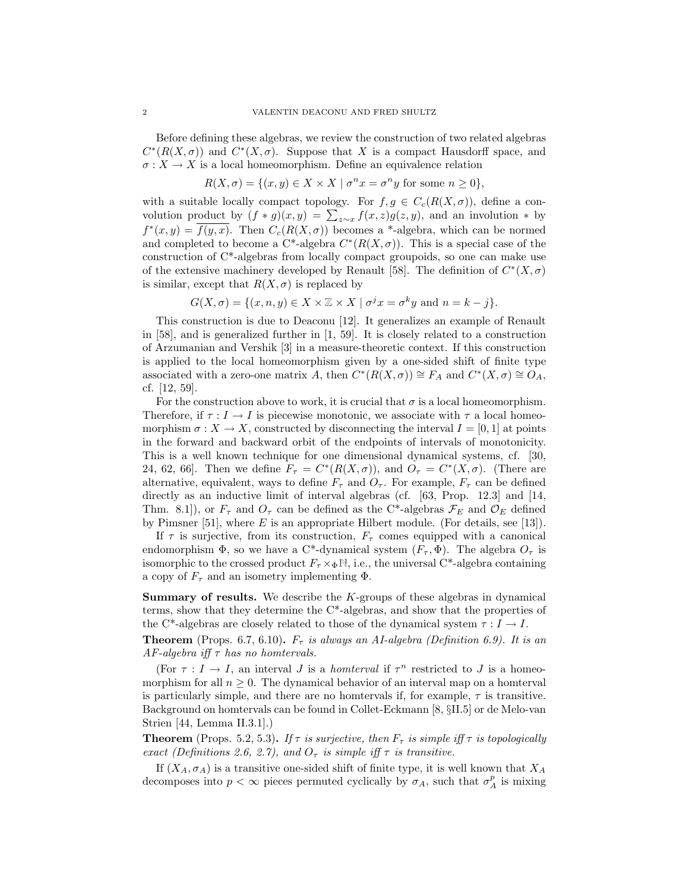Before defining these algebras, we review the construction of two related algebras  $C^*(R(X, \sigma))$  and  $C^*(X, \sigma)$ . Suppose that X is a compact Hausdorff space, and  $\sigma: X \to X$  is a local homeomorphism. Define an equivalence relation

$$
R(X, \sigma) = \{(x, y) \in X \times X \mid \sigma^n x = \sigma^n y \text{ for some } n \ge 0\},\
$$

with a suitable locally compact topology. For  $f, g \in C_c(R(X, \sigma))$ , define a convolution product by  $(f * g)(x, y) = \sum_{z \sim x} f(x, z)g(z, y)$ , and an involution  $*$  by  $f^{*}(x, y) = \overline{f(y, x)}$ . Then  $C_c(R(X, \sigma))$  becomes a <sup>\*</sup>-algebra, which can be normed and completed to become a C<sup>\*</sup>-algebra  $C^*(R(X, \sigma))$ . This is a special case of the construction of C\*-algebras from locally compact groupoids, so one can make use of the extensive machinery developed by Renault [58]. The definition of  $C^*(X,\sigma)$ is similar, except that  $R(X, \sigma)$  is replaced by

$$
G(X, \sigma) = \{ (x, n, y) \in X \times \mathbb{Z} \times X \mid \sigma^j x = \sigma^k y \text{ and } n = k - j \}.
$$

This construction is due to Deaconu [12]. It generalizes an example of Renault in [58], and is generalized further in [1, 59]. It is closely related to a construction of Arzumanian and Vershik [3] in a measure-theoretic context. If this construction is applied to the local homeomorphism given by a one-sided shift of finite type associated with a zero-one matrix *A*, then  $C^*(R(X, \sigma)) \cong F_A$  and  $C^*(X, \sigma) \cong O_A$ , cf. [12, 59].

For the construction above to work, it is crucial that  $\sigma$  is a local homeomorphism. Therefore, if  $\tau : I \to I$  is piecewise monotonic, we associate with  $\tau$  a local homeomorphism  $\sigma: X \to X$ , constructed by disconnecting the interval  $I = [0, 1]$  at points in the forward and backward orbit of the endpoints of intervals of monotonicity. This is a well known technique for one dimensional dynamical systems, cf. [30, 24, 62, 66]. Then we define  $F_\tau = C^*(R(X,\sigma))$ , and  $O_\tau = C^*(X,\sigma)$ . (There are alternative, equivalent, ways to define  $F_{\tau}$  and  $O_{\tau}$ . For example,  $F_{\tau}$  can be defined directly as an inductive limit of interval algebras (cf.  $[63, Prop. 12.3]$  and  $[14,$ Thm. 8.1]), or  $F_{\tau}$  and  $O_{\tau}$  can be defined as the C<sup>\*</sup>-algebras  $\mathcal{F}_E$  and  $\mathcal{O}_E$  defined by Pimsner [51], where *E* is an appropriate Hilbert module. (For details, see [13]).

If  $\tau$  is surjective, from its construction,  $F_{\tau}$  comes equipped with a canonical endomorphism  $\Phi$ , so we have a C<sup>\*</sup>-dynamical system  $(F_\tau, \Phi)$ . The algebra  $O_\tau$  is isomorphic to the crossed product  $F_\tau \times \Phi N$ , i.e., the universal C<sup>\*</sup>-algebra containing a copy of  $F_{\tau}$  and an isometry implementing  $\Phi$ .

**Summary of results.** We describe the *K*-groups of these algebras in dynamical terms, show that they determine the C\*-algebras, and show that the properties of the C<sup>\*</sup>-algebras are closely related to those of the dynamical system  $\tau : I \to I$ .

**Theorem** (Props. 6.7, 6.10).  $F_{\tau}$  is always an AI-algebra (Definition 6.9). It is an AF-algebra iff *τ* has no homtervals.

(For  $\tau : I \to I$ , an interval *J* is a *homterval* if  $\tau^n$  restricted to *J* is a homeomorphism for all  $n \geq 0$ . The dynamical behavior of an interval map on a hometrical is particularly simple, and there are no homervals if, for example,  $\tau$  is transitive. Background on homtervals can be found in Collet-Eckmann [8, §II.5] or de Melo-van Strien [44, Lemma II.3.1].)

**Theorem** (Props. 5.2, 5.3). If  $\tau$  is surjective, then  $F_{\tau}$  is simple iff  $\tau$  is topologically exact (Definitions 2.6, 2.7), and  $O_{\tau}$  is simple iff  $\tau$  is transitive.

If  $(X_A, \sigma_A)$  is a transitive one-sided shift of finite type, it is well known that  $X_A$ decomposes into  $p < \infty$  pieces permuted cyclically by  $\sigma_A$ , such that  $\sigma_A^p$  is mixing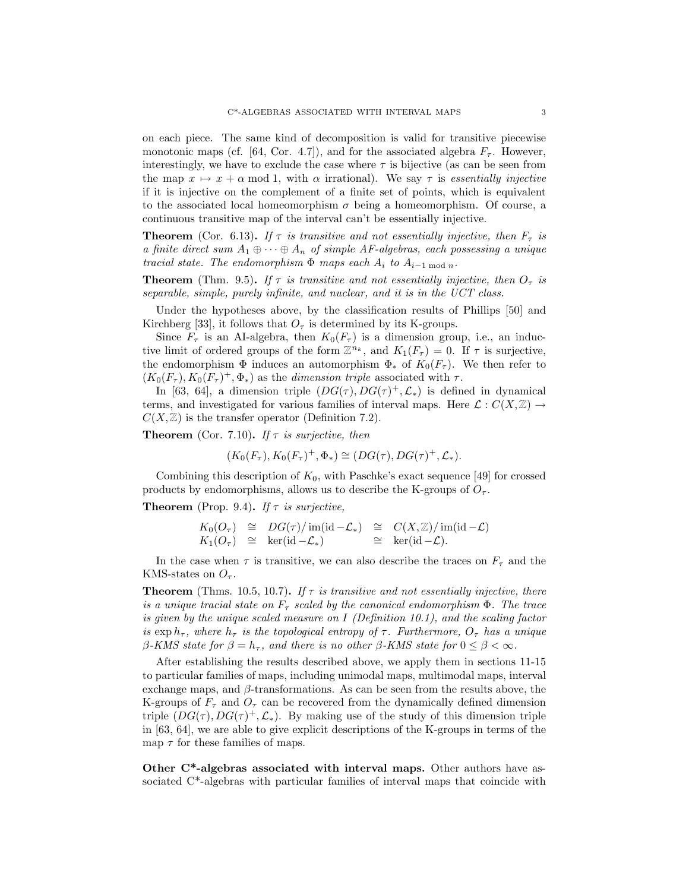on each piece. The same kind of decomposition is valid for transitive piecewise monotonic maps (cf. [64, Cor. 4.7]), and for the associated algebra  $F_{\tau}$ . However, interestingly, we have to exclude the case where  $\tau$  is bijective (as can be seen from the map  $x \mapsto x + \alpha$  mod 1, with  $\alpha$  irrational). We say  $\tau$  is *essentially injective* if it is injective on the complement of a finite set of points, which is equivalent to the associated local homeomorphism  $\sigma$  being a homeomorphism. Of course, a continuous transitive map of the interval can't be essentially injective.

**Theorem** (Cor. 6.13). If  $\tau$  is transitive and not essentially injective, then  $F_{\tau}$  is a finite direct sum  $A_1 \oplus \cdots \oplus A_n$  of simple AF-algebras, each possessing a unique tracial state. The endomorphism  $\Phi$  maps each  $A_i$  to  $A_{i-1 \mod n}$ .

**Theorem** (Thm. 9.5). If  $\tau$  is transitive and not essentially injective, then  $O_{\tau}$  is separable, simple, purely infinite, and nuclear, and it is in the UCT class.

Under the hypotheses above, by the classification results of Phillips [50] and Kirchberg [33], it follows that  $O<sub>\tau</sub>$  is determined by its K-groups.

Since  $F_{\tau}$  is an AI-algebra, then  $K_0(F_{\tau})$  is a dimension group, i.e., an inductive limit of ordered groups of the form  $\mathbb{Z}^{n_k}$ , and  $K_1(F_\tau) = 0$ . If  $\tau$  is surjective, the endomorphism  $\Phi$  induces an automorphism  $\Phi_*$  of  $K_0(F_\tau)$ . We then refer to  $(K_0(F_\tau), K_0(F_\tau)^+, \Phi_*)$  as the *dimension triple* associated with  $\tau$ .

In [63, 64], a dimension triple  $(DG(\tau), DG(\tau)^+, \mathcal{L}_*)$  is defined in dynamical terms, and investigated for various families of interval maps. Here  $\mathcal{L}: C(X,\mathbb{Z}) \to$  $C(X, \mathbb{Z})$  is the transfer operator (Definition 7.2).

**Theorem** (Cor. 7.10). If  $\tau$  is surjective, then

$$
(K_0(F_\tau), K_0(F_\tau)^+, \Phi_*) \cong (DG(\tau), DG(\tau)^+, \mathcal{L}_*).
$$

Combining this description of  $K_0$ , with Paschke's exact sequence [49] for crossed products by endomorphisms, allows us to describe the K-groups of  $O_7$ .

**Theorem** (Prop. 9.4). If  $\tau$  is surjective,

$$
K_0(O_\tau) \cong DG(\tau)/\operatorname{im}(\operatorname{id} - \mathcal{L}_*) \cong C(X,\mathbb{Z})/\operatorname{im}(\operatorname{id} - \mathcal{L})
$$
  
\n
$$
K_1(O_\tau) \cong \operatorname{ker}(\operatorname{id} - \mathcal{L}_*) \cong \operatorname{ker}(\operatorname{id} - \mathcal{L}).
$$

In the case when  $\tau$  is transitive, we can also describe the traces on  $F_{\tau}$  and the KMS-states on  $O_7$ .

**Theorem** (Thms. 10.5, 10.7). If  $\tau$  is transitive and not essentially injective, there is a unique tracial state on  $F_{\tau}$  scaled by the canonical endomorphism  $\Phi$ . The trace is given by the unique scaled measure on *I* (Definition 10.1), and the scaling factor is  $\exp h_{\tau}$ , where  $h_{\tau}$  is the topological entropy of  $\tau$ . Furthermore,  $O_{\tau}$  has a unique *β*-KMS state for  $β = h_τ$ , and there is no other *β*-KMS state for  $0 ≤ β < ∞$ .

After establishing the results described above, we apply them in sections 11-15 to particular families of maps, including unimodal maps, multimodal maps, interval exchange maps, and *β*-transformations. As can be seen from the results above, the K-groups of  $F_{\tau}$  and  $O_{\tau}$  can be recovered from the dynamically defined dimension triple  $(DG(\tau), DG(\tau)^+, \mathcal{L}_*)$ . By making use of the study of this dimension triple in [63, 64], we are able to give explicit descriptions of the K-groups in terms of the map  $\tau$  for these families of maps.

**Other C\*-algebras associated with interval maps.** Other authors have associated C\*-algebras with particular families of interval maps that coincide with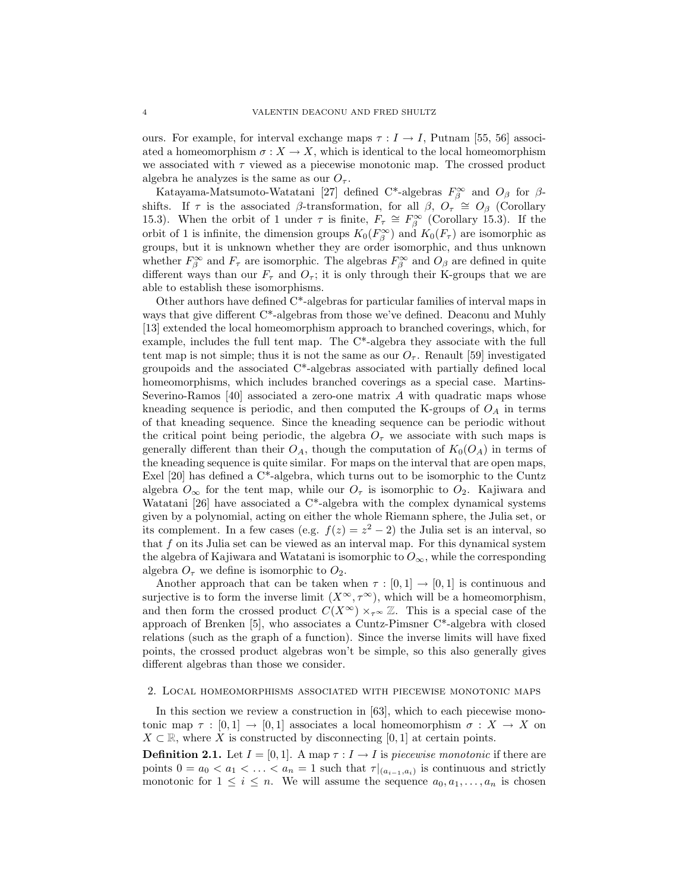ours. For example, for interval exchange maps  $\tau : I \to I$ , Putnam [55, 56] associ-ated a homeomorphism  $\sigma: X \to X$ , which is identical to the local homeomorphism we associated with *τ* viewed as a piecewise monotonic map. The crossed product algebra he analyzes is the same as our  $O_7$ .

Katayama-Matsumoto-Watatani [27] defined  $C^*$ -algebras  $F_\beta^\infty$  and  $O_\beta$  for  $\beta$ shifts. If  $\tau$  is the associated *β*-transformation, for all  $\beta$ ,  $O_{\tau} \cong O_{\beta}$  (Corollary 15.3). When the orbit of 1 under  $\tau$  is finite,  $F_{\tau} \cong F_{\beta}^{\infty}$  (Corollary 15.3). If the orbit of 1 is infinite, the dimension groups  $K_0(F_\beta^{\infty})$  and  $K_0(F_\tau)$  are isomorphic as groups, but it is unknown whether they are order isomorphic, and thus unknown whether  $F^{\infty}_{\beta}$  and  $F_{\tau}$  are isomorphic. The algebras  $F^{\infty}_{\beta}$  and  $O_{\beta}$  are defined in quite different ways than our  $F_{\tau}$  and  $O_{\tau}$ ; it is only through their K-groups that we are able to establish these isomorphisms.

Other authors have defined  $C^*$ -algebras for particular families of interval maps in ways that give different C\*-algebras from those we've defined. Deaconu and Muhly [13] extended the local homeomorphism approach to branched coverings, which, for example, includes the full tent map. The  $C^*$ -algebra they associate with the full tent map is not simple; thus it is not the same as our  $O_7$ . Renault [59] investigated groupoids and the associated  $C^*$ -algebras associated with partially defined local homeomorphisms, which includes branched coverings as a special case. Martins-Severino-Ramos [40] associated a zero-one matrix *A* with quadratic maps whose kneading sequence is periodic, and then computed the K-groups of  $O_A$  in terms of that kneading sequence. Since the kneading sequence can be periodic without the critical point being periodic, the algebra  $O_{\tau}$  we associate with such maps is generally different than their  $O_A$ , though the computation of  $K_0(O_A)$  in terms of the kneading sequence is quite similar. For maps on the interval that are open maps, Exel [20] has defined a C<sup>\*</sup>-algebra, which turns out to be isomorphic to the Cuntz algebra  $O_{\infty}$  for the tent map, while our  $O_{\tau}$  is isomorphic to  $O_2$ . Kajiwara and Watatani [26] have associated a  $C^*$ -algebra with the complex dynamical systems given by a polynomial, acting on either the whole Riemann sphere, the Julia set, or its complement. In a few cases (e.g.  $f(z) = z^2 - 2$ ) the Julia set is an interval, so that *f* on its Julia set can be viewed as an interval map. For this dynamical system the algebra of Kajiwara and Watatani is isomorphic to  $O_{\infty}$ , while the corresponding algebra  $O_7$  we define is isomorphic to  $O_2$ .

Another approach that can be taken when  $\tau : [0,1] \to [0,1]$  is continuous and surjective is to form the inverse limit  $(X^{\infty}, \tau^{\infty})$ , which will be a homeomorphism, and then form the crossed product  $C(X^{\infty}) \times_{\tau} \infty \mathbb{Z}$ . This is a special case of the approach of Brenken [5], who associates a Cuntz-Pimsner C\*-algebra with closed relations (such as the graph of a function). Since the inverse limits will have fixed points, the crossed product algebras won't be simple, so this also generally gives different algebras than those we consider.

#### 2. Local homeomorphisms associated with piecewise monotonic maps

In this section we review a construction in [63], which to each piecewise monotonic map  $\tau : [0,1] \to [0,1]$  associates a local homeomorphism  $\sigma : X \to X$  on  $X \subset \mathbb{R}$ , where *X* is constructed by disconnecting [0, 1] at certain points.

**Definition 2.1.** Let  $I = [0, 1]$ . A map  $\tau : I \to I$  is piecewise monotonic if there are points  $0 = a_0 < a_1 < \ldots < a_n = 1$  such that  $\tau|_{(a_{i-1}, a_i)}$  is continuous and strictly monotonic for  $1 \leq i \leq n$ . We will assume the sequence  $a_0, a_1, \ldots, a_n$  is chosen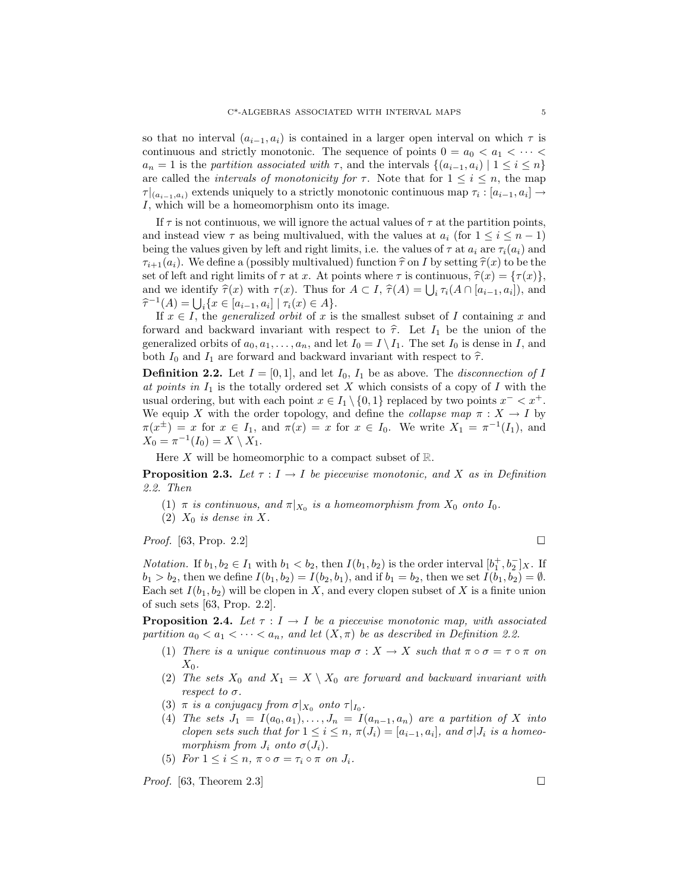so that no interval  $(a_{i-1}, a_i)$  is contained in a larger open interval on which  $\tau$  is continuous and strictly monotonic. The sequence of points  $0 = a_0 < a_1 < \cdots < a_n$  $a_n = 1$  is the partition associated with  $\tau$ , and the intervals  $\{(a_{i-1}, a_i) \mid 1 \leq i \leq n\}$ are called the *intervals of monotonicity for*  $\tau$ . Note that for  $1 \leq i \leq n$ , the map  $\tau|_{(a_{i-1},a_i)}$  extends uniquely to a strictly monotonic continuous map  $\tau_i: [a_{i-1},a_i] \rightarrow$ *I*, which will be a homeomorphism onto its image.

If  $\tau$  is not continuous, we will ignore the actual values of  $\tau$  at the partition points, and instead view  $\tau$  as being multivalued, with the values at  $a_i$  (for  $1 \leq i \leq n-1$ ) being the values given by left and right limits, i.e. the values of  $\tau$  at  $a_i$  are  $\tau_i(a_i)$  and  $\tau_{i+1}(a_i)$ . We define a (possibly multivalued) function  $\hat{\tau}$  on *I* by setting  $\hat{\tau}(x)$  to be the set of left and right limits of  $\tau$  at *x*. At points where  $\tau$  is continuous,  $\hat{\tau}(x) = {\tau(x)}$ , and we identify  $\hat{\tau}(x)$  with  $\tau(x)$ . Thus for  $A \subset I$ ,  $\hat{\tau}(A) = \bigcup_i \tau_i(A \cap [a_{i-1}, a_i])$ , and  $\hat{\tau}^{-1}(A) = \prod_i \{r \in [a_{i-1}, a_i] \mid \tau_i(r) \in A\}$  $\hat{\tau}^{-1}(A) = \bigcup_{i} \{x \in [a_{i-1}, a_i] \mid \tau_i(x) \in A\}.$ <br>If  $r \in I$  the *generalized orbit* of *x* is

If  $x \in I$ , the *generalized orbit* of *x* is the smallest subset of *I* containing *x* and forward and backward invariant with respect to  $\hat{\tau}$ . Let  $I_1$  be the union of the generalized orbits of  $a_0, a_1, \ldots, a_n$ , and let  $I_0 = I \setminus I_1$ . The set  $I_0$  is dense in *I*, and both  $I_0$  and  $I_1$  are forward and backward invariant with respect to  $\hat{\tau}$ .

**Definition 2.2.** Let  $I = [0, 1]$ , and let  $I_0$ ,  $I_1$  be as above. The *disconnection of I* at points in  $I_1$  is the totally ordered set X which consists of a copy of I with the usual ordering, but with each point  $x \in I_1 \setminus \{0,1\}$  replaced by two points  $x^- < x^+$ . We equip *X* with the order topology, and define the *collapse map*  $\pi : X \to I$  by  $\pi(x^{\pm}) = x$  for  $x \in I_1$ , and  $\pi(x) = x$  for  $x \in I_0$ . We write  $X_1 = \pi^{-1}(I_1)$ , and  $X_0 = \pi^{-1}(I_0) = X \setminus X_1.$ 

Here  $X$  will be homeomorphic to a compact subset of  $\mathbb{R}$ .

**Proposition 2.3.** Let  $\tau : I \to I$  be piecewise monotonic, and X as in Definition 2.2. Then

- (1)  $\pi$  is continuous, and  $\pi|_{X_0}$  is a homeomorphism from  $X_0$  onto  $I_0$ .
- (2)  $X_0$  *is dense in* X.

*Proof.* [63, Prop. 2.2]

*Notation.* If  $b_1, b_2 \in I_1$  with  $b_1 < b_2$ , then  $I(b_1, b_2)$  is the order interval  $[b_1^+, b_2^-]_X$ . If  $b_1 > b_2$ , then we define  $I(b_1, b_2) = I(b_2, b_1)$ , and if  $b_1 = b_2$ , then we set  $I(b_1, b_2) = \emptyset$ . Each set  $I(b_1, b_2)$  will be clopen in X, and every clopen subset of X is a finite union of such sets [63, Prop. 2.2].

**Proposition 2.4.** Let  $\tau : I \to I$  be a piecewise monotonic map, with associated partition  $a_0 < a_1 < \cdots < a_n$ , and let  $(X, \pi)$  be as described in Definition 2.2.

- (1) There is a unique continuous map  $\sigma : X \to X$  such that  $\pi \circ \sigma = \tau \circ \pi$  on *X*0.
- (2) The sets  $X_0$  and  $X_1 = X \setminus X_0$  are forward and backward invariant with respect to *σ*.
- (3)  $\pi$  is a conjugacy from  $\sigma|_{X_0}$  onto  $\tau|_{I_0}$ .
- (4) The sets  $J_1 = I(a_0, a_1), \ldots, J_n = I(a_{n-1}, a_n)$  are a partition of X into clopen sets such that for  $1 \leq i \leq n$ ,  $\pi(J_i) = [a_{i-1}, a_i]$ , and  $\sigma|J_i$  is a homeomorphism from  $J_i$  onto  $\sigma(J_i)$ .
- (5) For  $1 \leq i \leq n$ ,  $\pi \circ \sigma = \tau_i \circ \pi$  on  $J_i$ .

*Proof.* [63, Theorem 2.3]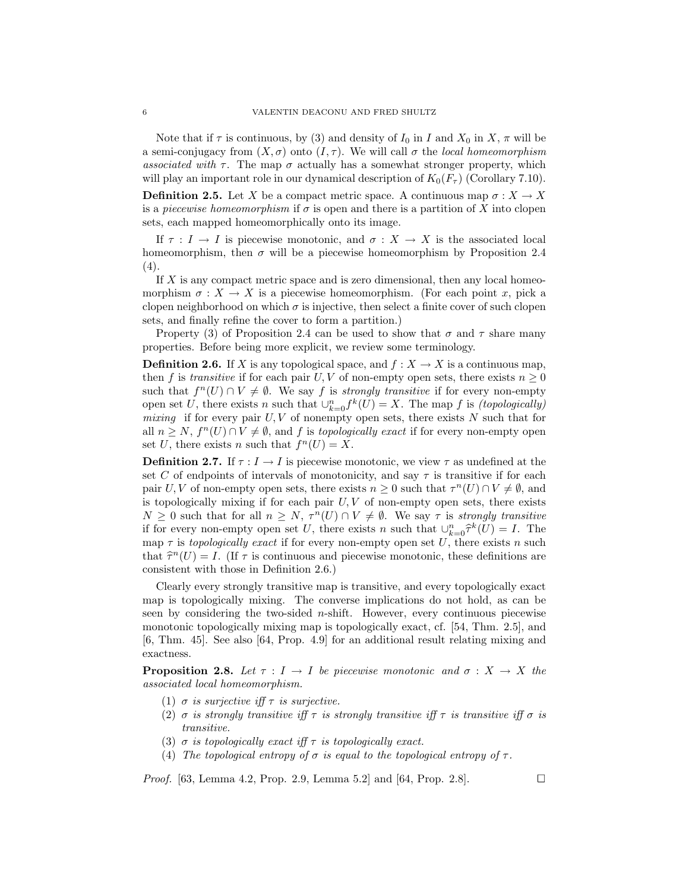Note that if  $\tau$  is continuous, by (3) and density of  $I_0$  in  $I$  and  $X_0$  in  $X, \pi$  will be a semi-conjugacy from  $(X, \sigma)$  onto  $(I, \tau)$ . We will call  $\sigma$  the *local homeomorphism* associated with  $\tau$ . The map  $\sigma$  actually has a somewhat stronger property, which will play an important role in our dynamical description of  $K_0(F_\tau)$  (Corollary 7.10).

**Definition 2.5.** Let *X* be a compact metric space. A continuous map  $\sigma: X \to X$ is a *piecewise homeomorphism* if  $\sigma$  is open and there is a partition of X into clopen sets, each mapped homeomorphically onto its image.

If  $\tau : I \to I$  is piecewise monotonic, and  $\sigma : X \to X$  is the associated local homeomorphism, then  $\sigma$  will be a piecewise homeomorphism by Proposition 2.4 (4).

If *X* is any compact metric space and is zero dimensional, then any local homeomorphism  $\sigma: X \to X$  is a piecewise homeomorphism. (For each point *x*, pick a clopen neighborhood on which  $\sigma$  is injective, then select a finite cover of such clopen sets, and finally refine the cover to form a partition.)

Property (3) of Proposition 2.4 can be used to show that  $\sigma$  and  $\tau$  share many properties. Before being more explicit, we review some terminology.

**Definition 2.6.** If *X* is any topological space, and  $f : X \to X$  is a continuous map, then *f* is transitive if for each pair *U*, *V* of non-empty open sets, there exists  $n \geq 0$ such that  $f^n(U) \cap V \neq \emptyset$ . We say f is *strongly transitive* if for every non-empty open set *U*, there exists *n* such that  $\bigcup_{k=0}^{n} f^k(U) = X$ . The map *f* is *(topologically)* mixing if for every pair *U, V* of nonempty open sets, there exists *N* such that for all  $n \geq N$ ,  $f^{n}(U) \cap V \neq \emptyset$ , and f is topologically exact if for every non-empty open set *U*, there exists *n* such that  $f^{n}(U) = X$ .

**Definition 2.7.** If  $\tau : I \to I$  is piecewise monotonic, we view  $\tau$  as undefined at the set *C* of endpoints of intervals of monotonicity, and say  $\tau$  is transitive if for each pair *U, V* of non-empty open sets, there exists  $n \geq 0$  such that  $\tau^n(U) \cap V \neq \emptyset$ , and is topologically mixing if for each pair  $U, V$  of non-empty open sets, there exists  $N \geq 0$  such that for all  $n \geq N$ ,  $\tau^{n}(U) \cap V \neq \emptyset$ . We say  $\tau$  is strongly transitive if for every non-empty open set *U*, there exists *n* such that  $\bigcup_{k=0}^{n} \hat{\tau}^k(U) = I$ . The map  $\tau$  is topologically exact if for every non-empty open set U, there exists *n* such that  $\hat{\tau}^n(U) = I$ . (If  $\tau$  is continuous and piecewise monotonic, these definitions are consistent with those in Definition 2.6.)

Clearly every strongly transitive map is transitive, and every topologically exact map is topologically mixing. The converse implications do not hold, as can be seen by considering the two-sided *n*-shift. However, every continuous piecewise monotonic topologically mixing map is topologically exact, cf. [54, Thm. 2.5], and [6, Thm. 45]. See also [64, Prop. 4.9] for an additional result relating mixing and exactness.

**Proposition 2.8.** Let  $\tau : I \to I$  be piecewise monotonic and  $\sigma : X \to X$  the associated local homeomorphism.

- (1)  $\sigma$  is surjective iff  $\tau$  is surjective.
- (2)  $\sigma$  is strongly transitive iff  $\tau$  is strongly transitive iff  $\tau$  is transitive iff  $\sigma$  is transitive.
- (3)  $\sigma$  is topologically exact if  $\tau$  is topologically exact.
- (4) The topological entropy of  $\sigma$  is equal to the topological entropy of  $\tau$ .

*Proof.* [63, Lemma 4.2, Prop. 2.9, Lemma 5.2] and [64, Prop. 2.8].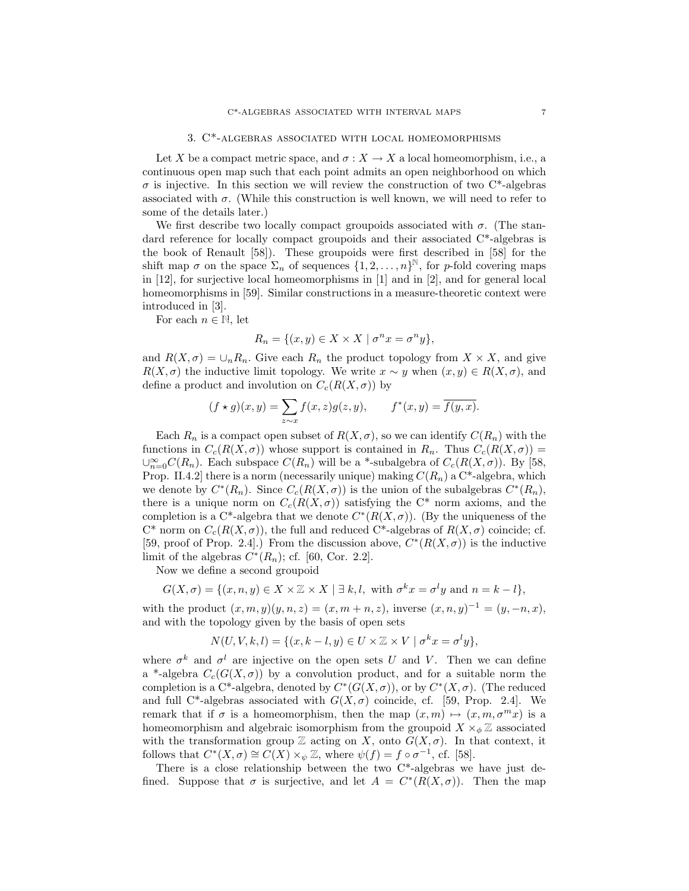#### 3. C\*-algebras associated with local homeomorphisms

Let *X* be a compact metric space, and  $\sigma: X \to X$  a local homeomorphism, i.e., a continuous open map such that each point admits an open neighborhood on which  $\sigma$  is injective. In this section we will review the construction of two  $C^*$ -algebras associated with  $\sigma$ . (While this construction is well known, we will need to refer to some of the details later.)

We first describe two locally compact groupoids associated with  $\sigma$ . (The standard reference for locally compact groupoids and their associated C\*-algebras is the book of Renault [58]). These groupoids were first described in [58] for the shift map  $\sigma$  on the space  $\Sigma_n$  of sequences  $\{1, 2, ..., n\}^{\mathbb{N}}$ , for *p*-fold covering maps in [12], for surjective local homeomorphisms in [1] and in [2], and for general local homeomorphisms in [59]. Similar constructions in a measure-theoretic context were introduced in [3].

For each  $n \in \mathbb{N}$ , let

$$
R_n = \{(x, y) \in X \times X \mid \sigma^n x = \sigma^n y\},\
$$

and  $R(X, \sigma) = \bigcup_n R_n$ . Give each  $R_n$  the product topology from  $X \times X$ , and give  $R(X, \sigma)$  the inductive limit topology. We write  $x \sim y$  when  $(x, y) \in R(X, \sigma)$ , and define a product and involution on  $C_c(R(X, \sigma))$  by

$$
(f \star g)(x, y) = \sum_{z \sim x} f(x, z)g(z, y), \qquad f^*(x, y) = \overline{f(y, x)}.
$$

Each  $R_n$  is a compact open subset of  $R(X, \sigma)$ , so we can identify  $C(R_n)$  with the functions in  $C_c(R(X, \sigma))$  whose support is contained in  $R_n$ . Thus  $C_c(R(X, \sigma))$  =  $\cup_{n=0}^{\infty} C(R_n)$ . Each subspace  $C(R_n)$  will be a <sup>\*</sup>-subalgebra of  $C_c(R(X, σ))$ . By [58, Prop. II.4.2] there is a norm (necessarily unique) making  $C(R_n)$  a C\*-algebra, which we denote by  $C^*(R_n)$ . Since  $C_c(R(X, \sigma))$  is the union of the subalgebras  $C^*(R_n)$ , there is a unique norm on  $C_c(R(X, \sigma))$  satisfying the C<sup>\*</sup> norm axioms, and the completion is a C<sup>\*</sup>-algebra that we denote  $C^*(R(X, \sigma))$ . (By the uniqueness of the  $C^*$  norm on  $C_c(R(X, \sigma))$ , the full and reduced  $C^*$ -algebras of  $R(X, \sigma)$  coincide; cf. [59, proof of Prop. 2.4].) From the discussion above,  $C^*(R(X, \sigma))$  is the inductive limit of the algebras  $C^*(R_n)$ ; cf. [60, Cor. 2.2].

Now we define a second groupoid

$$
G(X, \sigma) = \{(x, n, y) \in X \times \mathbb{Z} \times X \mid \exists k, l, \text{ with } \sigma^k x = \sigma^l y \text{ and } n = k - l\},\
$$

with the product  $(x, m, y)(y, n, z) = (x, m + n, z)$ , inverse  $(x, n, y)^{-1} = (y, -n, x)$ , and with the topology given by the basis of open sets

$$
N(U, V, k, l) = \{(x, k-l, y) \in U \times \mathbb{Z} \times V \mid \sigma^k x = \sigma^l y\},\
$$

where  $\sigma^k$  and  $\sigma^l$  are injective on the open sets *U* and *V*. Then we can define a<sup>\*</sup>-algebra  $C_c(G(X, \sigma))$  by a convolution product, and for a suitable norm the completion is a C<sup>\*</sup>-algebra, denoted by  $C^*(G(X, \sigma))$ , or by  $C^*(X, \sigma)$ . (The reduced and full C<sup>\*</sup>-algebras associated with  $G(X,\sigma)$  coincide, cf. [59, Prop. 2.4]. We remark that if  $\sigma$  is a homeomorphism, then the map  $(x, m) \mapsto (x, m, \sigma^m x)$  is a homeomorphism and algebraic isomorphism from the groupoid  $X \times_{\phi} \mathbb{Z}$  associated with the transformation group  $\mathbb Z$  acting on *X*, onto  $G(X, \sigma)$ . In that context, it follows that  $C^*(X, \sigma) \cong C(X) \times_{\psi} \mathbb{Z}$ , where  $\psi(f) = f \circ \sigma^{-1}$ , cf. [58].

There is a close relationship between the two  $C^*$ -algebras we have just defined. Suppose that  $\sigma$  is surjective, and let  $A = C^*(R(X, \sigma))$ . Then the map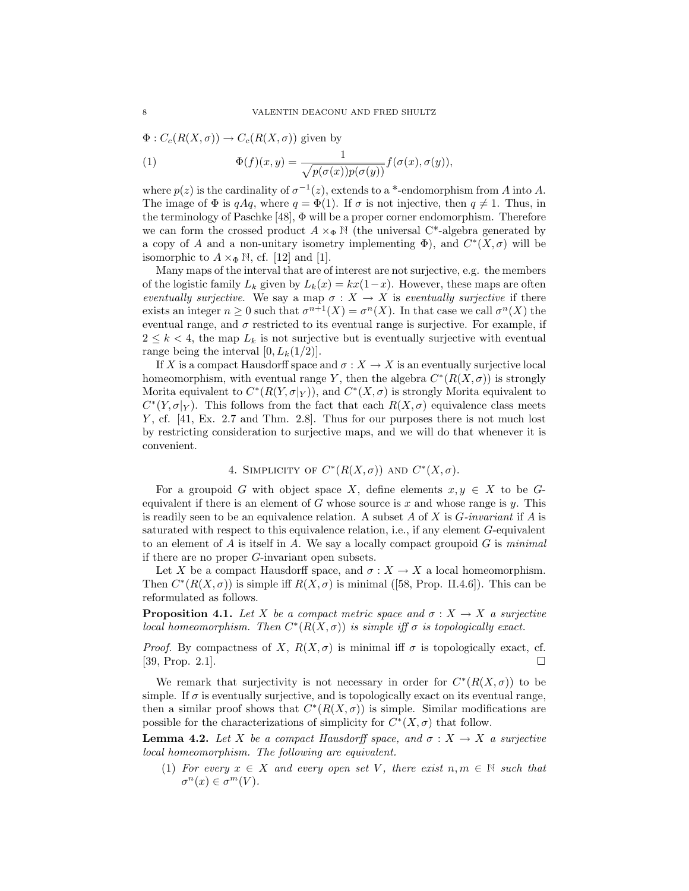$\Phi: C_c(R(X, \sigma)) \to C_c(R(X, \sigma))$  given by

(1) 
$$
\Phi(f)(x,y) = \frac{1}{\sqrt{p(\sigma(x))p(\sigma(y))}} f(\sigma(x), \sigma(y)),
$$

where  $p(z)$  is the cardinality of  $\sigma^{-1}(z)$ , extends to a \*-endomorphism from *A* into *A*. The image of  $\Phi$  is *qAq*, where  $q = \Phi(1)$ . If  $\sigma$  is not injective, then  $q \neq 1$ . Thus, in the terminology of Paschke [48], Φ will be a proper corner endomorphism. Therefore we can form the crossed product  $A \times_{\Phi} \mathbb{N}$  (the universal C<sup>\*</sup>-algebra generated by a copy of *A* and a non-unitary isometry implementing  $\Phi$ ), and  $C^*(X,\sigma)$  will be isomorphic to  $A \times_{\Phi} \mathbb{N}$ , cf. [12] and [1].

Many maps of the interval that are of interest are not surjective, e.g. the members of the logistic family  $L_k$  given by  $L_k(x) = kx(1-x)$ . However, these maps are often eventually surjective. We say a map  $\sigma : X \to X$  is eventually surjective if there exists an integer  $n > 0$  such that  $\sigma^{n+1}(X) = \sigma^n(X)$ . In that case we call  $\sigma^n(X)$  the eventual range, and  $\sigma$  restricted to its eventual range is surjective. For example, if  $2 \leq k < 4$ , the map  $L_k$  is not surjective but is eventually surjective with eventual range being the interval  $[0, L_k(1/2)].$ 

If *X* is a compact Hausdorff space and  $\sigma : X \to X$  is an eventually surjective local homeomorphism, with eventual range *Y*, then the algebra  $C^*(R(X, \sigma))$  is strongly Morita equivalent to  $C^*(R(Y, \sigma|_Y))$ , and  $C^*(X, \sigma)$  is strongly Morita equivalent to  $C^*(Y, \sigma|_Y)$ . This follows from the fact that each  $R(X, \sigma)$  equivalence class meets *Y*, cf. [41, Ex. 2.7 and Thm. 2.8]. Thus for our purposes there is not much lost by restricting consideration to surjective maps, and we will do that whenever it is convenient.

## 4. SIMPLICITY OF  $C^*(R(X, \sigma))$  AND  $C^*(X, \sigma)$ .

For a groupoid *G* with object space *X*, define elements  $x, y \in X$  to be *G*equivalent if there is an element of *G* whose source is *x* and whose range is *y*. This is readily seen to be an equivalence relation. A subset *A* of *X* is *G*-invariant if *A* is saturated with respect to this equivalence relation, i.e., if any element *G*-equivalent to an element of  $A$  is itself in  $A$ . We say a locally compact groupoid  $G$  is minimal if there are no proper *G*-invariant open subsets.

Let *X* be a compact Hausdorff space, and  $\sigma : X \to X$  a local homeomorphism. Then  $C^*(R(X, \sigma))$  is simple iff  $R(X, \sigma)$  is minimal ([58, Prop. II.4.6]). This can be reformulated as follows.

**Proposition 4.1.** Let *X* be a compact metric space and  $\sigma: X \to X$  a surjective *local homeomorphism. Then*  $C^*(R(X, \sigma))$  *is simple iff*  $\sigma$  *is topologically exact.* 

*Proof.* By compactness of *X*,  $R(X, \sigma)$  is minimal iff  $\sigma$  is topologically exact, cf. [39, Prop. 2.1].

We remark that surjectivity is not necessary in order for  $C^*(R(X, \sigma))$  to be simple. If  $\sigma$  is eventually surjective, and is topologically exact on its eventual range, then a similar proof shows that  $C^*(R(X, \sigma))$  is simple. Similar modifications are possible for the characterizations of simplicity for  $C^*(X, \sigma)$  that follow.

**Lemma 4.2.** Let *X* be a compact Hausdorff space, and  $\sigma : X \to X$  a surjective local homeomorphism. The following are equivalent.

(1) For every  $x \in X$  and every open set V, there exist  $n, m \in \mathbb{N}$  such that  $\sigma^{n}(x) \in \sigma^{m}(V)$ .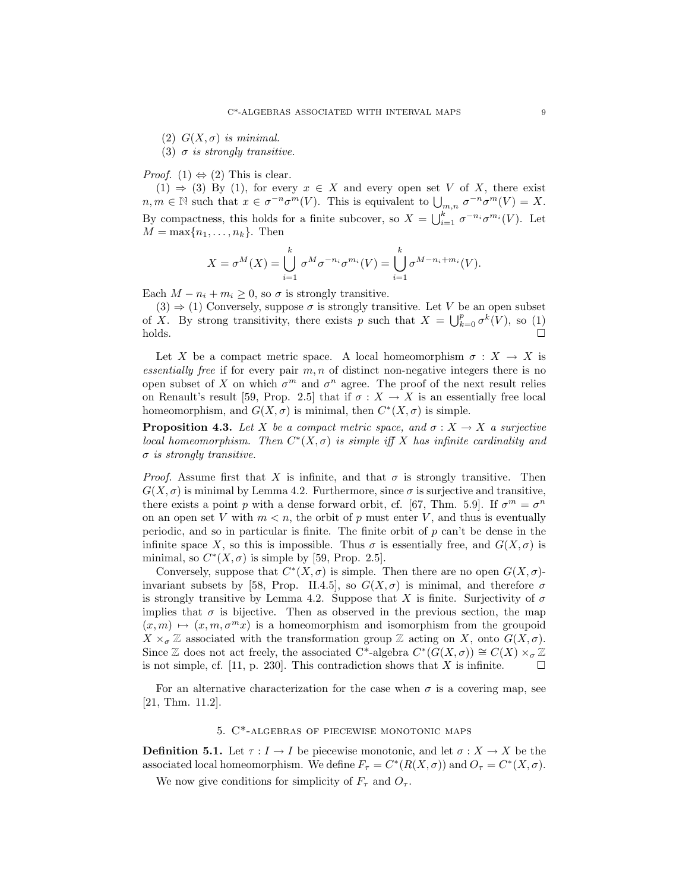(2) *G*(*X,σ*) is minimal.

(3)  $\sigma$  is strongly transitive.

*Proof.* (1)  $\Leftrightarrow$  (2) This is clear.

(1)  $\Rightarrow$  (3) By (1), for every  $x \in X$  and every open set *V* of *X*, there exist  $n, m \in \mathbb{N}$  such that  $x \in \sigma^{-n} \sigma^m(V)$ . This is equivalent to  $\bigcup_{m,n} \sigma^{-n} \sigma^m(V) = X$ . By compactness, this holds for a finite subcover, so  $X = \bigcup_{i=1}^{k} \sigma^{-n_i} \sigma^{m_i}(V)$ . Let  $M = \max\{n_1, \ldots, n_k\}$ . Then

$$
X = \sigma^M(X) = \bigcup_{i=1}^k \sigma^M \sigma^{-n_i} \sigma^{m_i}(V) = \bigcup_{i=1}^k \sigma^{M-n_i+m_i}(V).
$$

Each  $M - n_i + m_i \geq 0$ , so  $\sigma$  is strongly transitive.

 $(3) \Rightarrow (1)$  Conversely, suppose  $\sigma$  is strongly transitive. Let *V* be an open subset of *X*. By strong transitivity, there exists *p* such that  $X = \bigcup_{k=0}^{p} \sigma^k(V)$ , so (1)  $holds.$ 

Let *X* be a compact metric space. A local homeomorphism  $\sigma : X \to X$  is essentially free if for every pair  $m, n$  of distinct non-negative integers there is no open subset of *X* on which  $\sigma^m$  and  $\sigma^n$  agree. The proof of the next result relies on Renault's result [59, Prop. 2.5] that if  $\sigma : X \to X$  is an essentially free local homeomorphism, and  $G(X, \sigma)$  is minimal, then  $C^*(X, \sigma)$  is simple.

**Proposition 4.3.** Let *X* be a compact metric space, and  $\sigma: X \to X$  a surjective local homeomorphism. Then  $C^*(X, \sigma)$  is simple iff X has infinite cardinality and *σ* is strongly transitive.

*Proof.* Assume first that *X* is infinite, and that  $\sigma$  is strongly transitive. Then  $G(X, \sigma)$  is minimal by Lemma 4.2. Furthermore, since  $\sigma$  is surjective and transitive, there exists a point *p* with a dense forward orbit, cf. [67, Thm. 5.9]. If  $\sigma^m = \sigma^n$ on an open set V with  $m < n$ , the orbit of p must enter V, and thus is eventually periodic, and so in particular is finite. The finite orbit of *p* can't be dense in the infinite space *X*, so this is impossible. Thus  $\sigma$  is essentially free, and  $G(X, \sigma)$  is minimal, so  $C^*(X, \sigma)$  is simple by [59, Prop. 2.5].

Conversely, suppose that  $C^*(X, \sigma)$  is simple. Then there are no open  $G(X, \sigma)$ invariant subsets by [58, Prop. II.4.5], so  $G(X, \sigma)$  is minimal, and therefore  $\sigma$ is strongly transitive by Lemma 4.2. Suppose that *X* is finite. Surjectivity of  $\sigma$ implies that  $\sigma$  is bijective. Then as observed in the previous section, the map  $(x, m) \mapsto (x, m, \sigma^m x)$  is a homeomorphism and isomorphism from the groupoid  $X \times_{\sigma} \mathbb{Z}$  associated with the transformation group  $\mathbb{Z}$  acting on *X*, onto  $G(X, \sigma)$ . Since Z does not act freely, the associated C<sup>\*</sup>-algebra  $C^*(G(X, \sigma)) \cong C(X) \times_{\sigma} \mathbb{Z}$ is not simple, cf. [11, p. 230]. This contradiction shows that *X* is infinite.  $\square$ 

For an alternative characterization for the case when  $\sigma$  is a covering map, see [21, Thm. 11.2].

## 5. C\*-algebras of piecewise monotonic maps

**Definition 5.1.** Let  $\tau: I \to I$  be piecewise monotonic, and let  $\sigma: X \to X$  be the associated local homeomorphism. We define  $F_\tau = C^*(R(X,\sigma))$  and  $O_\tau = C^*(X,\sigma)$ .

We now give conditions for simplicity of  $F_\tau$  and  $O_\tau$ .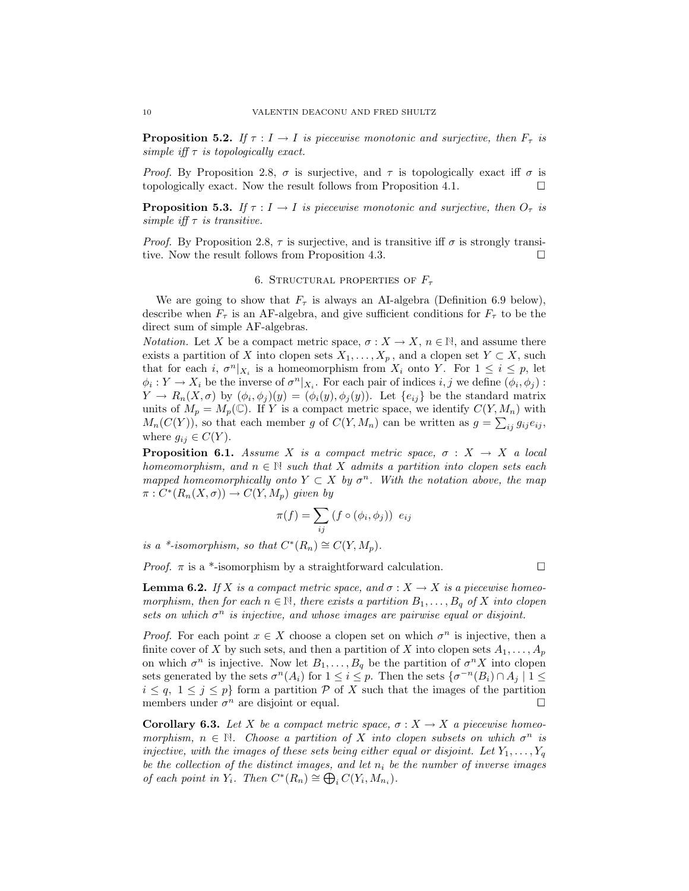**Proposition 5.2.** If  $\tau : I \to I$  is piecewise monotonic and surjective, then  $F_{\tau}$  is simple iff  $\tau$  is topologically exact.

*Proof.* By Proposition 2.8,  $\sigma$  is surjective, and  $\tau$  is topologically exact iff  $\sigma$  is topologically exact. Now the result follows from Proposition 4.1.  $\Box$ 

**Proposition 5.3.** If  $\tau : I \to I$  is piecewise monotonic and surjective, then  $O_{\tau}$  is simple iff  $\tau$  is transitive.

*Proof.* By Proposition 2.8,  $\tau$  is surjective, and is transitive iff  $\sigma$  is strongly transitive. Now the result follows from Proposition 4.3.  $\Box$ 

### 6. Structural properties of *F<sup>τ</sup>*

We are going to show that  $F_{\tau}$  is always an AI-algebra (Definition 6.9 below), describe when  $F_{\tau}$  is an AF-algebra, and give sufficient conditions for  $F_{\tau}$  to be the direct sum of simple AF-algebras.

*Notation.* Let *X* be a compact metric space,  $\sigma : X \to X$ ,  $n \in \mathbb{N}$ , and assume there exists a partition of *X* into clopen sets  $X_1, \ldots, X_p$ , and a clopen set  $Y \subset X$ , such that for each *i*,  $\sigma^n|_{X_i}$  is a homeomorphism from  $X_i$  onto  $Y$ . For  $1 \leq i \leq p$ , let  $\phi_i: Y \to X_i$  be the inverse of  $\sigma^n|_{X_i}$ . For each pair of indices *i, j* we define  $(\phi_i, \phi_j)$ : *Y*  $\rightarrow$  *R*<sub>n</sub>(*X*, $\sigma$ ) by ( $\phi_i$ , $\phi_j$ )(*y*) = ( $\phi_i$ (*y*), $\phi_j$ (*y*)). Let { $e_{ij}$ } be the standard matrix units of  $M_p = M_p(\mathbb{C})$ . If *Y* is a compact metric space, we identify  $C(Y, M_n)$  with  $M_n(C(Y))$ , so that each member *g* of  $C(Y, M_n)$  can be written as  $g = \sum_{ij} g_{ij} e_{ij}$ , where  $g_{ij} \in C(Y)$ .

**Proposition 6.1.** Assume *X* is a compact metric space,  $\sigma : X \to X$  a local homeomorphism, and  $n \in \mathbb{N}$  such that X admits a partition into clopen sets each mapped homeomorphically onto  $Y \subset X$  by  $\sigma^n$ . With the notation above, the map  $\pi: C^*(R_n(X, \sigma)) \to C(Y, M_p)$  given by

$$
\pi(f) = \sum_{ij} (f \circ (\phi_i, \phi_j)) e_{ij}
$$

is a \*-isomorphism, so that  $C^*(R_n) \cong C(Y, M_n)$ .

*Proof.*  $\pi$  is a \*-isomorphism by a straightforward calculation.  $\square$ 

**Lemma 6.2.** If *X* is a compact metric space, and  $\sigma : X \to X$  is a piecewise homeomorphism, then for each  $n \in \mathbb{N}$ , there exists a partition  $B_1, \ldots, B_q$  of X into clopen sets on which  $\sigma^n$  is injective, and whose images are pairwise equal or disjoint.

*Proof.* For each point  $x \in X$  choose a clopen set on which  $\sigma^n$  is injective, then a finite cover of *X* by such sets, and then a partition of *X* into clopen sets  $A_1, \ldots, A_p$ on which  $\sigma^n$  is injective. Now let  $B_1, \ldots, B_q$  be the partition of  $\sigma^n X$  into clopen sets generated by the sets  $\sigma^n(A_i)$  for  $1 \leq i \leq p$ . Then the sets  $\{\sigma^{-n}(B_i) \cap A_j \mid 1 \leq j \leq p\}$  $i \leq q$ ,  $1 \leq j \leq p$  form a partition P of X such that the images of the partition members under  $\sigma^n$  are disjoint or equal.

**Corollary 6.3.** Let *X* be a compact metric space,  $\sigma: X \to X$  a piecewise homeomorphism,  $n \in \mathbb{N}$ . Choose a partition of X into clopen subsets on which  $\sigma^n$  is injective, with the images of these sets being either equal or disjoint. Let  $Y_1, \ldots, Y_q$ be the collection of the distinct images, and let  $n_i$  be the number of inverse images  $of each point in Y_i$ . Then  $C^*(R_n) \cong \bigoplus_i C(Y_i, M_{n_i})$ .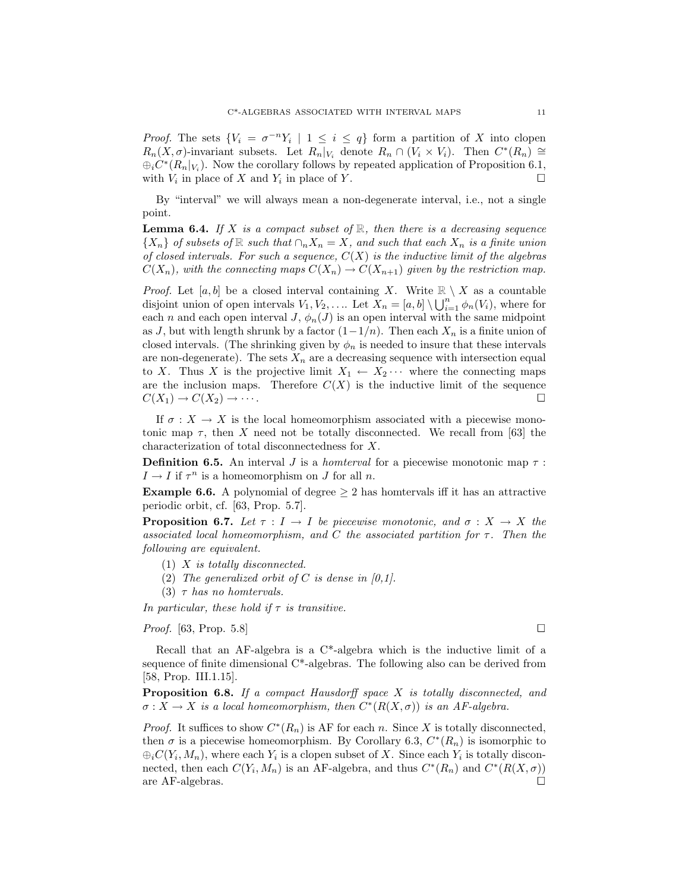*Proof.* The sets  ${V_i = \sigma^{-n}V_i \mid 1 \leq i \leq q}$  form a partition of X into clopen  $R_n(X, \sigma)$ -invariant subsets. Let  $R_n|_{V_i}$  denote  $R_n \cap (V_i \times V_i)$ . Then  $C^*(R_n) \cong$  $\bigoplus_i C^*(R_n|_{V_i})$ . Now the corollary follows by repeated application of Proposition 6.1, with  $V_i$  in place of  $X$  and  $Y_i$  in place of  $Y$ .

By "interval" we will always mean a non-degenerate interval, i.e., not a single point.

**Lemma 6.4.** If *X* is a compact subset of  $\mathbb{R}$ , then there is a decreasing sequence  ${X_n}$  of subsets of R such that  $\cap_n X_n = X$ , and such that each  $X_n$  is a finite union of closed intervals. For such a sequence,  $C(X)$  is the inductive limit of the algebras  $C(X_n)$ , with the connecting maps  $C(X_n) \to C(X_{n+1})$  given by the restriction map.

*Proof.* Let  $[a, b]$  be a closed interval containing X. Write  $\mathbb{R} \setminus X$  as a countable disjoint union of open intervals  $V_1, V_2, \ldots$  Let  $\overline{X}_n = [a, b] \setminus \bigcup_{i=1}^{n} \phi_n(V_i)$ , where for each *n* and each open interval *J*,  $\phi_n(J)$  is an open interval with the same midpoint as *J*, but with length shrunk by a factor  $(1-1/n)$ . Then each  $X_n$  is a finite union of closed intervals. (The shrinking given by  $\phi_n$  is needed to insure that these intervals are non-degenerate). The sets  $X_n$  are a decreasing sequence with intersection equal to *X*. Thus *X* is the projective limit  $X_1 \leftarrow X_2 \cdots$  where the connecting maps are the inclusion maps. Therefore  $C(X)$  is the inductive limit of the sequence  $C(X_1) \rightarrow C(X_2) \rightarrow \cdots$ .

If  $\sigma: X \to X$  is the local homeomorphism associated with a piecewise monotonic map  $\tau$ , then *X* need not be totally disconnected. We recall from [63] the characterization of total disconnectedness for *X*.

**Definition 6.5.** An interval *J* is a *homterval* for a piecewise monotonic map  $\tau$ :  $I \rightarrow I$  if  $\tau^n$  is a homeomorphism on *J* for all *n*.

**Example 6.6.** A polynomial of degree  $\geq 2$  has homervals iff it has an attractive periodic orbit, cf. [63, Prop. 5.7].

**Proposition 6.7.** Let  $\tau : I \to I$  be piecewise monotonic, and  $\sigma : X \to X$  the associated local homeomorphism, and *C* the associated partition for *τ* . Then the following are equivalent.

- (1) *X* is totally disconnected.
- (2) The generalized orbit of *C* is dense in  $(0,1)$ .
- (3) *τ* has no homtervals.

In particular, these hold if  $\tau$  is transitive.

*Proof.* [63, Prop. 5.8]

Recall that an AF-algebra is a  $C^*$ -algebra which is the inductive limit of a sequence of finite dimensional  $C^*$ -algebras. The following also can be derived from [58, Prop. III.1.15].

**Proposition 6.8.** If a compact Hausdorff space *X* is totally disconnected, and  $\sigma: X \to X$  is a local homeomorphism, then  $C^*(R(X, \sigma))$  is an AF-algebra.

*Proof.* It suffices to show  $C^*(R_n)$  is AF for each *n*. Since X is totally disconnected, then  $\sigma$  is a piecewise homeomorphism. By Corollary 6.3,  $C^*(R_n)$  is isomorphic to  $\bigoplus_i C(Y_i, M_n)$ , where each  $Y_i$  is a clopen subset of X. Since each  $Y_i$  is totally disconnected, then each  $C(Y_i, M_n)$  is an AF-algebra, and thus  $C^*(R_n)$  and  $C^*(R(X, \sigma))$ are AF-algebras.  $\square$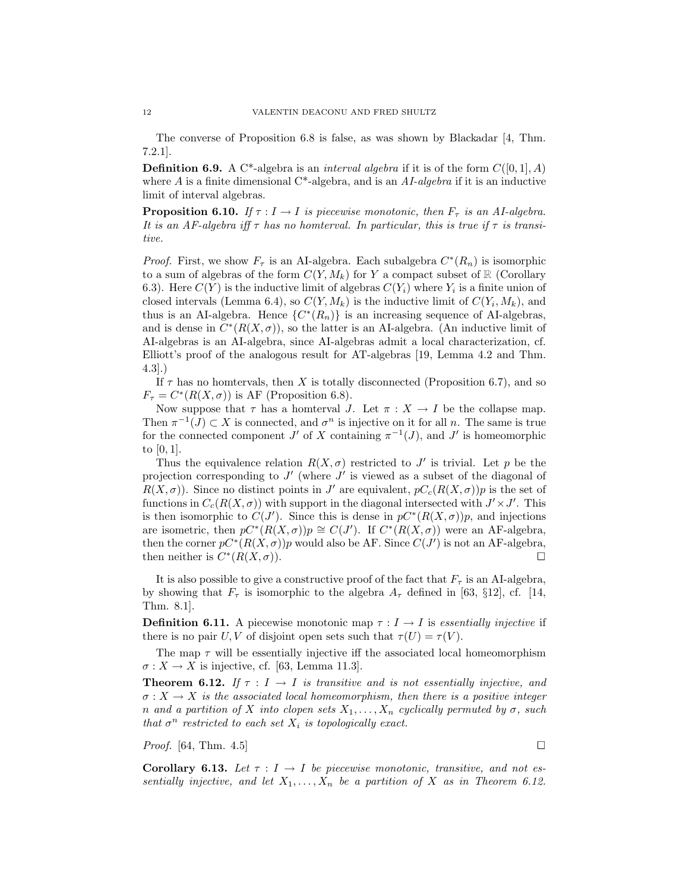The converse of Proposition 6.8 is false, as was shown by Blackadar [4, Thm. 7.2.1].

**Definition 6.9.** A C\*-algebra is an *interval algebra* if it is of the form  $C([0,1], A)$ where  $A$  is a finite dimensional  $C^*$ -algebra, and is an  $AI$ -algebra if it is an inductive limit of interval algebras.

**Proposition 6.10.** If  $\tau : I \to I$  is piecewise monotonic, then  $F_{\tau}$  is an AI-algebra. It is an AF-algebra iff *τ* has no homterval. In particular, this is true if *τ* is transitive.

*Proof.* First, we show  $F_{\tau}$  is an AI-algebra. Each subalgebra  $C^*(R_n)$  is isomorphic to a sum of algebras of the form  $C(Y, M_k)$  for *Y* a compact subset of R (Corollary 6.3). Here  $C(Y)$  is the inductive limit of algebras  $C(Y_i)$  where  $Y_i$  is a finite union of closed intervals (Lemma 6.4), so  $C(Y, M_k)$  is the inductive limit of  $C(Y_i, M_k)$ , and thus is an AI-algebra. Hence  $\{C^*(R_n)\}\$ is an increasing sequence of AI-algebras, and is dense in  $C<sup>*</sup>(R(X, \sigma))$ , so the latter is an AI-algebra. (An inductive limit of AI-algebras is an AI-algebra, since AI-algebras admit a local characterization, cf. Elliott's proof of the analogous result for AT-algebras [19, Lemma 4.2 and Thm. 4.3].)

If  $\tau$  has no hometryals, then *X* is totally disconnected (Proposition 6.7), and so  $F_{\tau} = C^*(R(X, \sigma))$  is AF (Proposition 6.8).

Now suppose that  $\tau$  has a homterval *J*. Let  $\pi : X \to I$  be the collapse map. Then  $\pi^{-1}(J) \subset X$  is connected, and  $\sigma^n$  is injective on it for all *n*. The same is true for the connected component *J'* of *X* containing  $\pi^{-1}(J)$ , and *J'* is homeomorphic to [0*,* 1].

Thus the equivalence relation  $R(X, \sigma)$  restricted to *J'* is trivial. Let *p* be the projection corresponding to  $J'$  (where  $J'$  is viewed as a subset of the diagonal of  $R(X, \sigma)$ . Since no distinct points in *J'* are equivalent,  $pC_c(R(X, \sigma))p$  is the set of functions in  $C_c(R(X, \sigma))$  with support in the diagonal intersected with  $J' \times J'$ . This is then isomorphic to  $C(J')$ . Since this is dense in  $pC^*(R(X, \sigma))p$ , and injections are isometric, then  $pC^*(R(X, \sigma))p \cong C(J')$ . If  $C^*(R(X, \sigma))$  were an AF-algebra, then the corner  $pC^*(R(X, \sigma))p$  would also be AF. Since  $C(J')$  is not an AF-algebra, then neither is  $C^*(R(X, \sigma))$ .

It is also possible to give a constructive proof of the fact that  $F_\tau$  is an AI-algebra, by showing that  $F_{\tau}$  is isomorphic to the algebra  $A_{\tau}$  defined in [63, §12], cf. [14, Thm. 8.1].

**Definition 6.11.** A piecewise monotonic map  $\tau : I \to I$  is essentially injective if there is no pair *U*, *V* of disjoint open sets such that  $\tau(U) = \tau(V)$ .

The map  $\tau$  will be essentially injective iff the associated local homeomorphism  $\sigma: X \to X$  is injective, cf. [63, Lemma 11.3].

**Theorem 6.12.** If  $\tau : I \to I$  is transitive and is not essentially injective, and  $\sigma: X \to X$  is the associated local homeomorphism, then there is a positive integer *n* and a partition of *X* into clopen sets  $X_1, \ldots, X_n$  cyclically permuted by  $\sigma$ , such that  $\sigma^n$  restricted to each set  $X_i$  is topologically exact.

*Proof.* [64, Thm. 4.5]

**Corollary 6.13.** Let  $\tau : I \to I$  be piecewise monotonic, transitive, and not essentially injective, and let  $X_1, \ldots, X_n$  be a partition of X as in Theorem 6.12.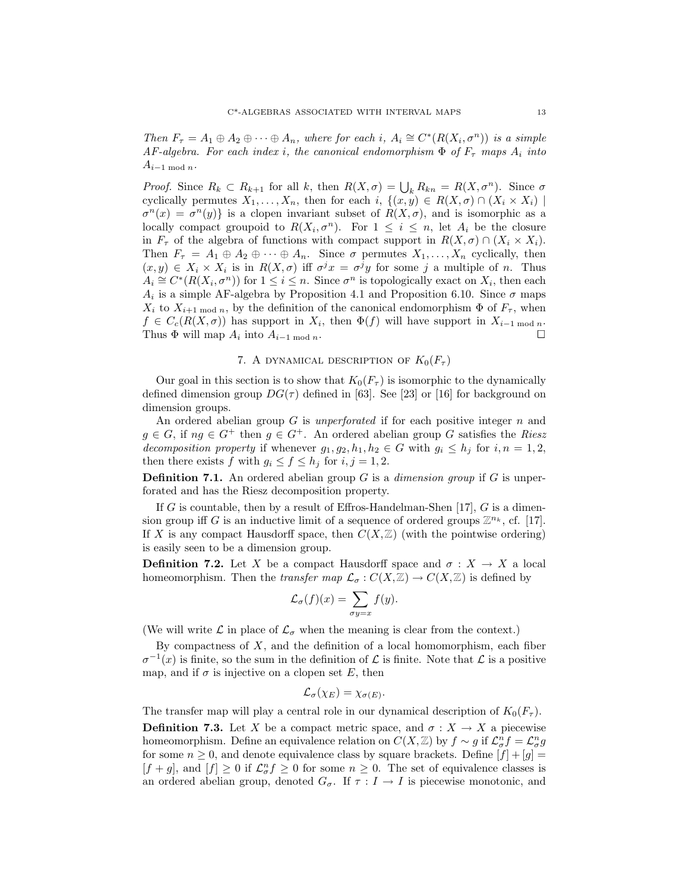Then  $F_{\tau} = A_1 \oplus A_2 \oplus \cdots \oplus A_n$ , where for each *i*,  $A_i \cong C^*(R(X_i, \sigma^n))$  is a simple AF-algebra. For each index *i*, the canonical endomorphism  $\Phi$  of  $F_{\tau}$  maps  $A_i$  into  $A_{i-1 \mod n}$ .

*Proof.* Since  $R_k \subset R_{k+1}$  for all *k*, then  $R(X, \sigma) = \bigcup_k R_{kn} = R(X, \sigma^n)$ . Since  $\sigma$ cyclically permutes  $X_1, \ldots, X_n$ , then for each  $i, \{ (x, y) \in R(X, \sigma) \cap (X_i \times X_i) \}$  $\sigma^{n}(x) = \sigma^{n}(y)$  is a clopen invariant subset of  $R(X, \sigma)$ , and is isomorphic as a locally compact groupoid to  $R(X_i, \sigma^n)$ . For  $1 \leq i \leq n$ , let  $A_i$  be the closure in  $F_{\tau}$  of the algebra of functions with compact support in  $R(X, \sigma) \cap (X_i \times X_i)$ . Then  $F_{\tau} = A_1 \oplus A_2 \oplus \cdots \oplus A_n$ . Since  $\sigma$  permutes  $X_1, \ldots, X_n$  cyclically, then  $(x, y) \in X_i \times X_i$  is in  $R(X, \sigma)$  iff  $\sigma^j x = \sigma^j y$  for some *j* a multiple of *n*. Thus  $A_i \cong C^*(R(X_i, \sigma^n))$  for  $1 \leq i \leq n$ . Since  $\sigma^n$  is topologically exact on  $X_i$ , then each *A*<sub>*i*</sub> is a simple AF-algebra by Proposition 4.1 and Proposition 6.10. Since  $\sigma$  maps *X*<sup>*i*</sup> to *X*<sup>*i*</sup>+1 mod *n*, by the definition of the canonical endomorphism  $\Phi$  of  $F_\tau$ , when  $f \in C_c(R(X, \sigma))$  has support in  $X_i$ , then  $\Phi(f)$  will have support in  $X_{i-1 \mod n}$ . Thus  $\Phi$  will map  $A_i$  into  $A_{i-1 \mod n}$ .

## 7. A DYNAMICAL DESCRIPTION OF  $K_0(F_\tau)$

Our goal in this section is to show that  $K_0(F_\tau)$  is isomorphic to the dynamically defined dimension group  $DG(\tau)$  defined in [63]. See [23] or [16] for background on dimension groups.

An ordered abelian group *G* is unperforated if for each positive integer *n* and  $g \in G$ , if  $ng \in G^+$  then  $g \in G^+$ . An ordered abelian group *G* satisfies the Riesz decomposition property if whenever  $g_1, g_2, h_1, h_2 \in G$  with  $g_i \leq h_j$  for  $i, n = 1, 2$ , then there exists *f* with  $g_i \le f \le h_j$  for  $i, j = 1, 2$ .

**Definition 7.1.** An ordered abelian group *G* is a *dimension group* if *G* is unperforated and has the Riesz decomposition property.

If *G* is countable, then by a result of Effros-Handelman-Shen [17], *G* is a dimension group iff *G* is an inductive limit of a sequence of ordered groups  $\mathbb{Z}^{n_k}$ , cf. [17]. If X is any compact Hausdorff space, then  $C(X, \mathbb{Z})$  (with the pointwise ordering) is easily seen to be a dimension group.

**Definition 7.2.** Let *X* be a compact Hausdorff space and  $\sigma : X \to X$  a local homeomorphism. Then the *transfer map*  $\mathcal{L}_{\sigma}: C(X,\mathbb{Z}) \to C(X,\mathbb{Z})$  is defined by

$$
\mathcal{L}_{\sigma}(f)(x) = \sum_{\sigma y = x} f(y).
$$

(We will write  $\mathcal L$  in place of  $\mathcal L_{\sigma}$  when the meaning is clear from the context.)

By compactness of *X*, and the definition of a local homomorphism, each fiber  $\sigma^{-1}(x)$  is finite, so the sum in the definition of  $\mathcal L$  is finite. Note that  $\mathcal L$  is a positive map, and if  $\sigma$  is injective on a clopen set E, then

$$
\mathcal{L}_{\sigma}(\chi_E) = \chi_{\sigma(E)}.
$$

The transfer map will play a central role in our dynamical description of  $K_0(F_\tau)$ .

**Definition 7.3.** Let *X* be a compact metric space, and  $\sigma : X \to X$  a piecewise homeomorphism. Define an equivalence relation on  $C(X, \mathbb{Z})$  by  $f \sim g$  if  $\mathcal{L}_{\sigma}^{n} f = \mathcal{L}_{\sigma}^{n} g$ for some  $n \geq 0$ , and denote equivalence class by square brackets. Define  $[f] + [g] =$  $[f+g]$ , and  $[f] \geq 0$  if  $\mathcal{L}_{\sigma}^n f \geq 0$  for some  $n \geq 0$ . The set of equivalence classes is an ordered abelian group, denoted  $G_{\sigma}$ . If  $\tau : I \to I$  is piecewise monotonic, and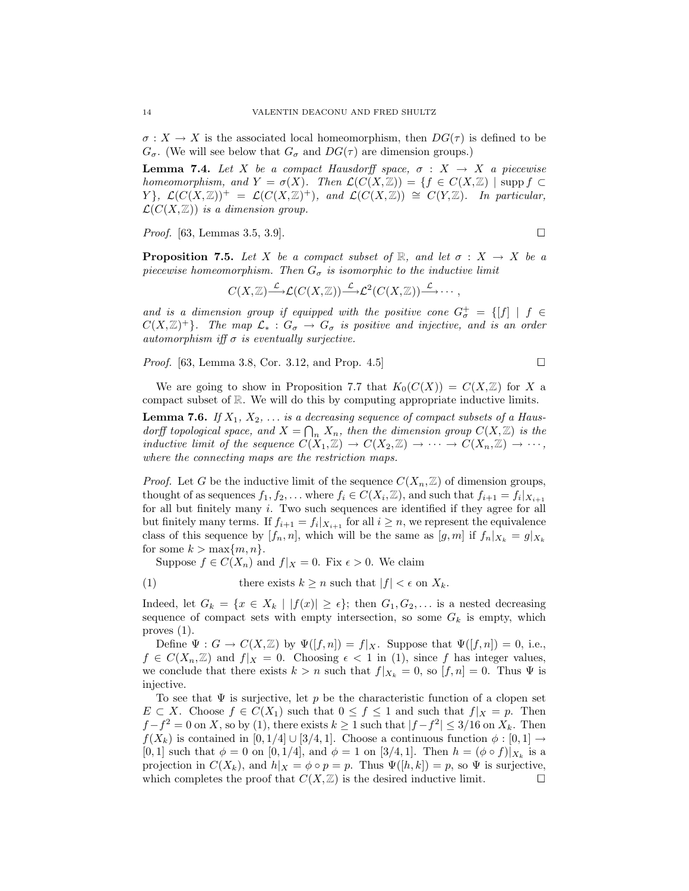$\sigma: X \to X$  is the associated local homeomorphism, then  $DG(\tau)$  is defined to be  $G_{\sigma}$ . (We will see below that  $G_{\sigma}$  and  $DG(\tau)$  are dimension groups.)

**Lemma 7.4.** Let *X* be a compact Hausdorff space,  $\sigma : X \rightarrow X$  a piecewise homeomorphism, and  $Y = \sigma(X)$ . Then  $\mathcal{L}(C(X, \mathbb{Z})) = \{f \in C(X, \mathbb{Z}) \mid \text{supp } f \subset$ *Y* },  $\mathcal{L}(C(X,\mathbb{Z}))^+=\mathcal{L}(C(X,\mathbb{Z})^+),$  and  $\mathcal{L}(C(X,\mathbb{Z}))\cong C(Y,\mathbb{Z})$ . In particular,  $\mathcal{L}(C(X,\mathbb{Z}))$  is a dimension group.

*Proof.* [63, Lemmas 3.5, 3.9].

**Proposition 7.5.** Let *X* be a compact subset of  $\mathbb{R}$ , and let  $\sigma : X \to X$  be a piecewise homeomorphism. Then  $G_{\sigma}$  is isomorphic to the inductive limit

$$
C(X,\mathbb{Z}){\overset{\mathcal{L}}{\longrightarrow}}\mathcal{L}(C(X,\mathbb{Z})){\overset{\mathcal{L}}{\longrightarrow}}\mathcal{L}^2(C(X,\mathbb{Z})){\overset{\mathcal{L}}{\longrightarrow}}\cdots,
$$

and is a dimension group if equipped with the positive cone  $G^+_{\sigma} = \{[f] \mid f \in$  $C(X,\mathbb{Z})^+$ . The map  $\mathcal{L}_*: G_{\sigma} \to G_{\sigma}$  is positive and injective, and is an order automorphism iff  $\sigma$  is eventually surjective.

*Proof.* [63, Lemma 3.8, Cor. 3.12, and Prop. 4.5]

We are going to show in Proposition 7.7 that  $K_0(C(X)) = C(X, \mathbb{Z})$  for X a

**Lemma 7.6.** If  $X_1, X_2, \ldots$  is a decreasing sequence of compact subsets of a Hausdorff topological space, and  $X = \bigcap_n X_n$ , then the dimension group  $C(X, \mathbb{Z})$  is the inductive limit of the sequence  $C(X_1, \mathbb{Z}) \to C(X_2, \mathbb{Z}) \to \cdots \to C(X_n, \mathbb{Z}) \to \cdots$ , where the connecting maps are the restriction maps.

compact subset of R. We will do this by computing appropriate inductive limits.

*Proof.* Let *G* be the inductive limit of the sequence  $C(X_n, \mathbb{Z})$  of dimension groups, thought of as sequences  $f_1, f_2, \ldots$  where  $f_i \in C(X_i, \mathbb{Z})$ , and such that  $f_{i+1} = f_i|_{X_{i+1}}$ for all but finitely many *i*. Two such sequences are identified if they agree for all but finitely many terms. If  $f_{i+1} = f_i|_{X_{i+1}}$  for all  $i \geq n$ , we represent the equivalence class of this sequence by  $[f_n, n]$ , which will be the same as  $[g, m]$  if  $f_n|_{X_k} = g|_{X_k}$ for some  $k > \max\{m, n\}$ .

Suppose  $f \in C(X_n)$  and  $f|_X = 0$ . Fix  $\epsilon > 0$ . We claim

(1) there exists  $k \geq n$  such that  $|f| < \epsilon$  on  $X_k$ .

Indeed, let  $G_k = \{x \in X_k \mid |f(x)| \geq \epsilon\}$ ; then  $G_1, G_2, \ldots$  is a nested decreasing sequence of compact sets with empty intersection, so some  $G_k$  is empty, which proves (1).

Define  $\Psi: G \to C(X, \mathbb{Z})$  by  $\Psi([f, n]) = f|_X$ . Suppose that  $\Psi([f, n]) = 0$ , i.e.,  $f \in C(X_n, \mathbb{Z})$  and  $f|_X = 0$ . Choosing  $\epsilon < 1$  in (1), since f has integer values, we conclude that there exists  $k > n$  such that  $f|_{X_k} = 0$ , so  $[f, n] = 0$ . Thus  $\Psi$  is injective.

To see that  $\Psi$  is surjective, let  $p$  be the characteristic function of a clopen set *E* ⊂ *X*. Choose *f* ∈  $C(X_1)$  such that  $0 \le f \le 1$  and such that  $f|_X = p$ . Then  $f - f^2 = 0$  on *X*, so by (1), there exists  $k \ge 1$  such that  $|f - f^2| \le 3/16$  on  $X_k$ . Then *f*( $X_k$ ) is contained in [0*,* 1/4] ∪ [3/4*,* 1]. Choose a continuous function  $\phi$  : [0*,* 1] → [0, 1] such that  $\phi = 0$  on [0, 1/4], and  $\phi = 1$  on [3/4, 1]. Then  $h = (\phi \circ f)|_{X_k}$  is a projection in  $C(X_k)$ , and  $h|_X = \phi \circ p = p$ . Thus  $\Psi([h,k]) = p$ , so  $\Psi$  is surjective, which completes the proof that  $C(X, \mathbb{Z})$  is the desired inductive limit.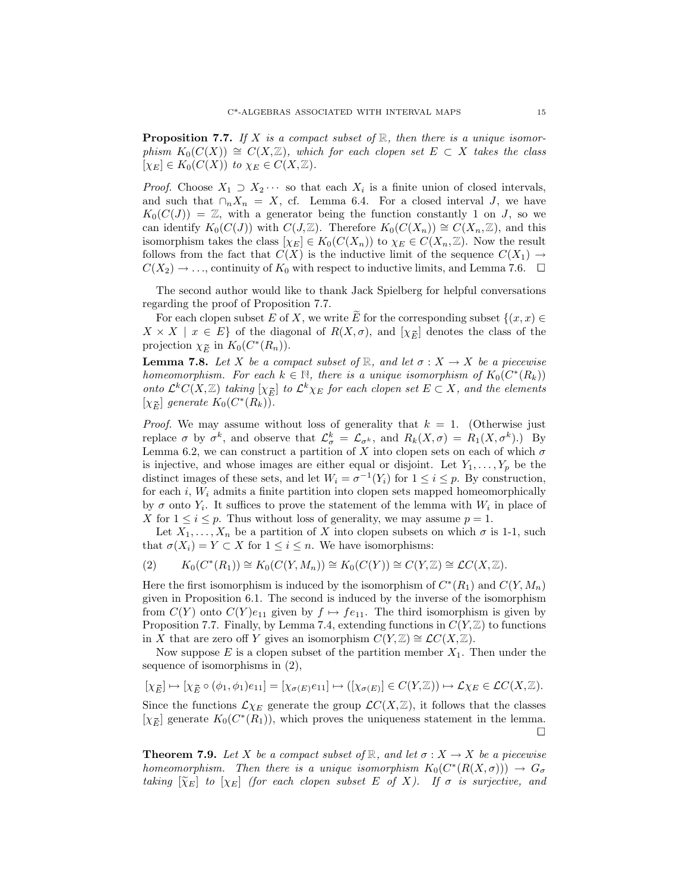**Proposition 7.7.** If *X* is a compact subset of  $\mathbb{R}$ , then there is a unique isomorphism  $K_0(C(X)) \cong C(X, \mathbb{Z})$ , which for each clopen set  $E \subset X$  takes the class  $[\chi_E] \in K_0(C(X))$  to  $\chi_E \in C(X, \mathbb{Z})$ .

*Proof.* Choose  $X_1 \supset X_2 \cdots$  so that each  $X_i$  is a finite union of closed intervals, and such that  $\bigcap_n X_n = X$ , cf. Lemma 6.4. For a closed interval *J*, we have  $K_0(C(J)) = \mathbb{Z}$ , with a generator being the function constantly 1 on *J*, so we can identify  $K_0(C(J))$  with  $C(J,\mathbb{Z})$ . Therefore  $K_0(C(X_n)) \cong C(X_n,\mathbb{Z})$ , and this isomorphism takes the class  $[\chi_E] \in K_0(C(X_n))$  to  $\chi_E \in C(X_n, \mathbb{Z})$ . Now the result follows from the fact that  $C(X)$  is the inductive limit of the sequence  $C(X_1) \rightarrow$  $C(X_2) \rightarrow \ldots$ , continuity of  $K_0$  with respect to inductive limits, and Lemma 7.6.  $\Box$ 

The second author would like to thank Jack Spielberg for helpful conversations regarding the proof of Proposition 7.7.

For each clopen subset *E* of *X*, we write *E* for the corresponding subset  $\{(x, x) \in$ <br>  $\{X \mid x \in E\}$  of the diagonal of  $P(Y, z)$  and  $[x]$  denotes the class of the  $X \times X \mid x \in E$  of the diagonal of  $R(X, \sigma)$ , and  $[\chi_{\overline{E}}]$  denotes the class of the projection  $\chi_{\overline{E}}$  in  $K_0(C^*(R_n))$ .

**Lemma 7.8.** Let *X* be a compact subset of  $\mathbb{R}$ , and let  $\sigma : X \to X$  be a piecewise homeomorphism. For each  $k \in \mathbb{N}$ , there is a unique isomorphism of  $K_0(C^*(R_k))$ <br>onto  $\mathcal{L}^k C(X,\mathbb{Z})$  taking  $[\chi_{\overline{E}}]$  to  $\mathcal{L}^k \chi_E$  for each clopen set  $E \subset X$ , and the elements **Lemma 7.8.** Let *X* be a compact subset of  $\mathbb{R}$ , and let  $\sigma : X \to X$  be a piecewise homeomorphism. For each  $k \in \mathbb{N}$ , there is a unique isomorphism of  $K_0(C^*(R_k))$  onto  $\mathcal{L}^k C(X, \mathbb{Z})$  taking  $[\chi_{\overline{E}}]$  to  $\mathcal$ **Lemma 7.8.** Let X be a controlleright *K*<sup>E</sup> (*X*<sub>*E*</sub>) taking  $[\chi_{\overline{E}}]$  generate  $K_0(C^*(R_k))$ .

*Proof.* We may assume without loss of generality that  $k = 1$ . (Otherwise just replace  $\sigma$  by  $\sigma^k$ , and observe that  $\mathcal{L}^k_{\sigma} = \mathcal{L}_{\sigma^k}$ , and  $R_k(X, \sigma) = R_1(X, \sigma^k)$ .) By Lemma 6.2, we can construct a partition of  $X$  into clopen sets on each of which  $\sigma$ is injective, and whose images are either equal or disjoint. Let  $Y_1, \ldots, Y_p$  be the distinct images of these sets, and let  $W_i = \sigma^{-1}(Y_i)$  for  $1 \leq i \leq p$ . By construction, for each  $i$ ,  $W_i$  admits a finite partition into clopen sets mapped homeomorphically by  $\sigma$  onto  $Y_i$ . It suffices to prove the statement of the lemma with  $W_i$  in place of *X* for  $1 \leq i \leq p$ . Thus without loss of generality, we may assume  $p = 1$ .

Let  $X_1, \ldots, X_n$  be a partition of *X* into clopen subsets on which  $\sigma$  is 1-1, such that  $\sigma(X_i) = Y \subset X$  for  $1 \leq i \leq n$ . We have isomorphisms:

$$
(2) \qquad K_0(C^*(R_1)) \cong K_0(C(Y,M_n)) \cong K_0(C(Y)) \cong C(Y,\mathbb{Z}) \cong \mathcal{L}C(X,\mathbb{Z}).
$$

Here the first isomorphism is induced by the isomorphism of  $C^*(R_1)$  and  $C(Y, M_n)$ given in Proposition 6.1. The second is induced by the inverse of the isomorphism from  $C(Y)$  onto  $C(Y)e_{11}$  given by  $f \mapsto fe_{11}$ . The third isomorphism is given by Proposition 7.7. Finally, by Lemma 7.4, extending functions in  $C(Y, \mathbb{Z})$  to functions in *X* that are zero off *Y* gives an isomorphism  $C(Y, \mathbb{Z}) \cong \mathcal{L}C(X, \mathbb{Z})$ .

Now suppose *E* is a clopen subset of the partition member *X*1. Then under the sequence of isomorphisms in (2), If  $X$  that are zero off  $Y$  gives an isomorphism  $C(Y, \mathbb{Z}) \cong CC(X, \mathbb{Z})$ .<br>
Now suppose  $E$  is a clopen subset of the partition member  $X_1$ . Then under the sequence of isomorphisms in (2),<br>  $[\chi_{\bar{E}}] \mapsto [\chi_{\bar{E}} \circ (\phi_1, \phi$ 

$$
[\chi_{\overline{E}}] \mapsto [\chi_{\overline{E}} \circ (\phi_1, \phi_1)e_{11}] = [\chi_{\sigma(E)}e_{11}] \mapsto ([\chi_{\sigma(E)}] \in C(Y, \mathbb{Z})) \mapsto \mathcal{L}\chi_E \in \mathcal{L}C(X, \mathbb{Z}).
$$

Since the functions  $\mathcal{L}\chi_E$  generate the group  $\mathcal{L}C(X,\mathbb{Z})$ , it follows that the classes  $[\chi_{\overline{E}}] \mapsto [\chi_{\overline{E}} \circ (\phi_1, \phi_1)e_{11}] = [\chi_{\sigma(E)}e_{11}] \mapsto ([\chi_{\sigma(E)}] \in C(Y, \mathbb{Z})) \mapsto \mathcal{L}\chi_E \in \mathcal{LC}(X, \mathbb{Z}).$ <br>Since the functions  $\mathcal{L}\chi_E$  generate the group  $\mathcal{LC}(X, \mathbb{Z})$ , it follows that the classes  $[\chi_{\overline{E}}]$  generate  $[\chi_{\overline{E}}]$  generate  $K_0(C^*(R_1))$ , which proves the uniqueness statement in the lemma.

**Theorem 7.9.** Let *X* be a compact subset of  $\mathbb{R}$ , and let  $\sigma: X \to X$  be a piecewise homeomorphism. Then there is a unique isomorphism  $K_0(C^*(R(X, \sigma))) \to G_\sigma$ taking  $[\widetilde{\chi}_E]$  to  $[\chi_E]$  (for each clopen subset *E* of *X*). If  $\sigma$  is surjective, and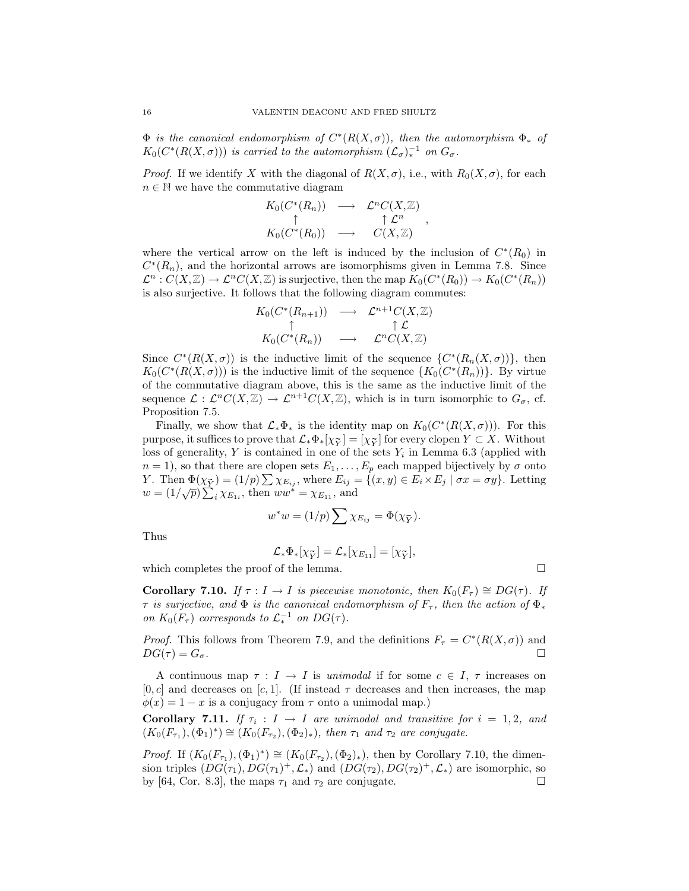$\Phi$  is the canonical endomorphism of  $C^*(R(X, \sigma))$ , then the automorphism  $\Phi_*$  of  $K_0(C^*(R(X, \sigma)))$  is carried to the automorphism  $(\mathcal{L}_{\sigma})_*^{-1}$  on  $G_{\sigma}$ .

*Proof.* If we identify *X* with the diagonal of  $R(X, \sigma)$ , i.e., with  $R_0(X, \sigma)$ , for each  $n \in \mathbb{N}$  we have the commutative diagram

$$
K_0(C^*(R_n)) \longrightarrow \mathcal{L}^n C(X,\mathbb{Z})
$$
  
\n
$$
\uparrow \mathcal{L}^n
$$
  
\n
$$
K_0(C^*(R_0)) \longrightarrow C(X,\mathbb{Z})
$$

*,*

where the vertical arrow on the left is induced by the inclusion of  $C^*(R_0)$  in  $C<sup>*</sup>(R<sub>n</sub>)$ , and the horizontal arrows are isomorphisms given in Lemma 7.8. Since  $\mathcal{L}^n$ :  $C(X,\mathbb{Z}) \to \mathcal{L}^n C(X,\mathbb{Z})$  is surjective, then the map  $K_0(C^*(R_0)) \to K_0(C^*(R_n))$ is also surjective. It follows that the following diagram commutes:

$$
\begin{array}{ccc}K_0(C^*(R_{n+1}))&\longrightarrow &\mathcal{L}^{n+1}C(X,\mathbb{Z})\\ \uparrow&&\uparrow \mathcal{L}\\K_0(C^*(R_n))&\longrightarrow &\mathcal{L}^nC(X,\mathbb{Z})\\ \end{array}
$$

Since  $C^*(R(X, \sigma))$  is the inductive limit of the sequence  $\{C^*(R_n(X, \sigma))\}$ , then  $K_0(C^*(R(X, \sigma)))$  is the inductive limit of the sequence  $\{K_0(C^*(R_n))\}$ . By virtue of the commutative diagram above, this is the same as the inductive limit of the sequence  $\mathcal{L}: \mathcal{L}^n C(X,\mathbb{Z}) \to \mathcal{L}^{n+1} C(X,\mathbb{Z})$ , which is in turn isomorphic to  $G_{\sigma}$ , cf. Proposition 7.5.

Finally, we show that  $\mathcal{L}_*\Phi_*$  is the identity map on  $K_0(C^*(R(X,\sigma)))$ . For this purpose, it suffices to prove that  $\mathcal{L}_*\Phi_*[\chi_{\bar{Y}}] = [\chi_{\bar{Y}}]$  for every clopen  $Y \subset X$ . Without loss of generality,  $Y$  is contained in one of the sets  $Y_i$  in Lemma 6.3 (applied with *n* = 1), so that there are clopen sets  $E_1, \ldots, E_p$  each mapped bijectively by  $\sigma$  onto purpose, it suffices to prove that  $\mathcal{L}_*\Phi_*[\chi_{\bar{Y}}] = [\chi_{\bar{Y}}]$  for every clopen  $Y \subset X$ . Without loss of generality, *Y* is contained in one of the sets  $Y_i$  in Lemma 6.3 (applied with  $n = 1$ ), so that there are clopen  $w = (1/\sqrt{p}) \sum_i \chi_{E_{1i}}$ , then  $ww^* = \chi_{E_{11}}$ , and  $E_{ij} = \{(x, y) \in E_i\}$ , and<br>  $\sum \chi_{E_{ij}} = \Phi(\chi_{\bar{Y}})$ .

$$
w^*w = (1/p)\sum \chi_{E_{ij}} = \Phi(\chi_{\bar{Y}}).
$$
  

$$
\mathcal{L}_*\Phi_*[\chi_{\bar{Y}}] = \mathcal{L}_*[\chi_{E_{11}}] = [\chi_{\bar{Y}}],
$$

Thus

$$
\mathcal{L}_{*}\Phi_{*}[\chi_{\bar{Y}}] = \mathcal{L}_{*}[\chi_{E_{11}}] = [\chi_{\bar{Y}}],
$$

which completes the proof of the lemma.  $\Box$ 

**Corollary 7.10.** If  $\tau : I \to I$  is piecewise monotonic, then  $K_0(F_{\tau}) \cong DG(\tau)$ . If *τ* is surjective, and  $\Phi$  is the canonical endomorphism of  $F_{\tau}$ , then the action of  $\Phi_*$ on  $K_0(F_\tau)$  corresponds to  $\mathcal{L}_*^{-1}$  on  $DG(\tau)$ .

*Proof.* This follows from Theorem 7.9, and the definitions  $F_\tau = C^*(R(X, \sigma))$  and  $DG(\tau) = G_{\sigma}$ .

A continuous map  $\tau : I \to I$  is unimodal if for some  $c \in I$ ,  $\tau$  increases on  $[0, c]$  and decreases on  $[c, 1]$ . (If instead  $\tau$  decreases and then increases, the map  $\phi(x) = 1 - x$  is a conjugacy from  $\tau$  onto a unimodal map.)

**Corollary 7.11.** If  $\tau_i$  :  $I \rightarrow I$  are unimodal and transitive for  $i = 1, 2,$  and  $(K_0(F_{\tau_1}), (\Phi_1)^*) \cong (K_0(F_{\tau_2}), (\Phi_2)_*)$ , then  $\tau_1$  and  $\tau_2$  are conjugate.

*Proof.* If  $(K_0(F_{\tau_1}), (\Phi_1)^*) \cong (K_0(F_{\tau_2}), (\Phi_2)_*)$ , then by Corollary 7.10, the dimension triples  $(DG(\tau_1), DG(\tau_1)^+, \mathcal{L}_*)$  and  $(DG(\tau_2), DG(\tau_2)^+, \mathcal{L}_*)$  are isomorphic, so by [64, Cor. 8.3], the maps  $\tau_1$  and  $\tau_2$  are conjugate.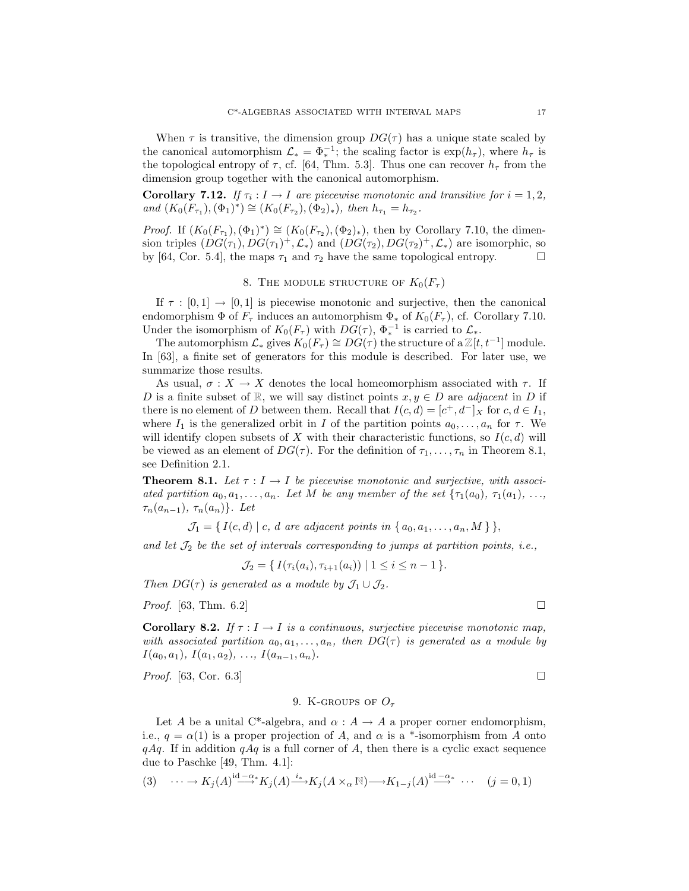When  $\tau$  is transitive, the dimension group  $DG(\tau)$  has a unique state scaled by the canonical automorphism  $\mathcal{L}_* = \Phi_*^{-1}$ , the scaling factor is  $\exp(h_\tau)$ , where  $h_\tau$  is the topological entropy of  $\tau$ , cf. [64, Thm. 5.3]. Thus one can recover  $h_{\tau}$  from the dimension group together with the canonical automorphism.

**Corollary 7.12.** If  $\tau_i : I \to I$  are piecewise monotonic and transitive for  $i = 1, 2$ ,  $and (K_0(F_{\tau_1}), (\Phi_1)^*) \cong (K_0(F_{\tau_2}), (\Phi_2)_*), \text{ then } h_{\tau_1} = h_{\tau_2}.$ 

*Proof.* If  $(K_0(F_{\tau_1}), (\Phi_1)^*) \cong (K_0(F_{\tau_2}), (\Phi_2)_*)$ , then by Corollary 7.10, the dimension triples  $(DG(\tau_1), DG(\tau_1)^+, \mathcal{L}_*)$  and  $(DG(\tau_2), DG(\tau_2)^+, \mathcal{L}_*)$  are isomorphic, so by [64, Cor. 5.4], the maps  $\tau_1$  and  $\tau_2$  have the same topological entropy.  $\Box$ 

### 8. THE MODULE STRUCTURE OF  $K_0(F_\tau)$

If  $\tau : [0,1] \to [0,1]$  is piecewise monotonic and surjective, then the canonical endomorphism  $\Phi$  of  $F_\tau$  induces an automorphism  $\Phi_*$  of  $K_0(F_\tau)$ , cf. Corollary 7.10. Under the isomorphism of  $K_0(F_\tau)$  with  $DG(\tau)$ ,  $\Phi_*^{-1}$  is carried to  $\mathcal{L}_*$ .

The automorphism  $\mathcal{L}_*$  gives  $K_0(F_\tau) \cong DG(\tau)$  the structure of a  $\mathbb{Z}[t, t^{-1}]$  module. In [63], a finite set of generators for this module is described. For later use, we summarize those results.

As usual,  $\sigma: X \to X$  denotes the local homeomorphism associated with  $\tau$ . If *D* is a finite subset of R, we will say distinct points  $x, y \in D$  are *adjacent* in *D* if there is no element of *D* between them. Recall that  $I(c, d) = [c^+, d^-]_X$  for  $c, d \in I_1$ , where  $I_1$  is the generalized orbit in *I* of the partition points  $a_0, \ldots, a_n$  for  $\tau$ . We will identify clopen subsets of  $X$  with their characteristic functions, so  $I(c, d)$  will be viewed as an element of  $DG(\tau)$ . For the definition of  $\tau_1, \ldots, \tau_n$  in Theorem 8.1, see Definition 2.1.

**Theorem 8.1.** Let  $\tau : I \to I$  be piecewise monotonic and surjective, with associated partition  $a_0, a_1, \ldots, a_n$ . Let M be any member of the set  $\{\tau_1(a_0), \tau_1(a_1), \ldots, \tau_n(a_n)\}$  $\tau_n(a_{n-1}), \tau_n(a_n)$ . Let

 $\mathcal{J}_1 = \{ I(c,d) \mid c, d \text{ are adjacent points in } \{ a_0, a_1, \ldots, a_n, M \} \},$ 

and let  $\mathcal{J}_2$  be the set of intervals corresponding to jumps at partition points, i.e.,

 $\mathcal{J}_2 = \{ I(\tau_i(a_i), \tau_{i+1}(a_i)) \mid 1 \leq i \leq n-1 \}.$ 

Then  $DG(\tau)$  is generated as a module by  $\mathcal{J}_1 \cup \mathcal{J}_2$ .

*Proof.* [63, Thm. 6.2]

**Corollary 8.2.** If  $\tau : I \to I$  is a continuous, surjective piecewise monotonic map, with associated partition  $a_0, a_1, \ldots, a_n$ , then  $DG(\tau)$  is generated as a module by  $I(a_0, a_1), I(a_1, a_2), \ldots, I(a_{n-1}, a_n).$ 

*Proof.* [63, Cor. 6.3]

### 9. K-groups of *O<sup>τ</sup>*

Let *A* be a unital C<sup>\*</sup>-algebra, and  $\alpha$  :  $A \rightarrow A$  a proper corner endomorphism, i.e.,  $q = \alpha(1)$  is a proper projection of *A*, and  $\alpha$  is a \*-isomorphism from *A* onto  $qAq$ . If in addition  $qAq$  is a full corner of *A*, then there is a cyclic exact sequence due to Paschke [49, Thm. 4.1]:

$$
(3) \quad \cdots \to K_j(A) \xrightarrow{\mathrm{id}-\alpha^*} K_j(A) \xrightarrow{i_*} K_j(A \times_\alpha \mathbb{N}) \longrightarrow K_{1-j}(A) \xrightarrow{\mathrm{id}-\alpha^*} \cdots \quad (j=0,1)
$$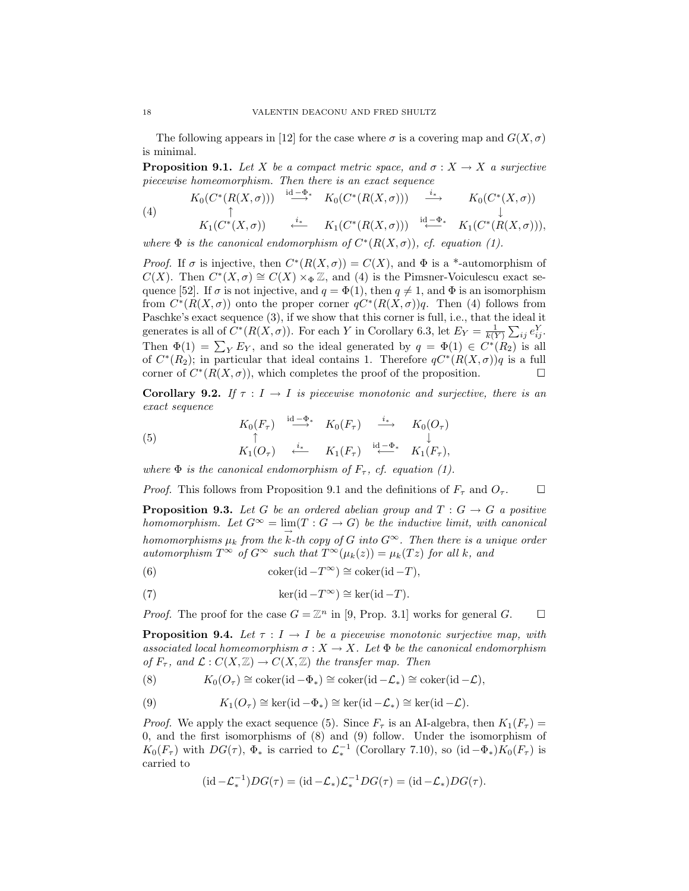The following appears in [12] for the case where  $\sigma$  is a covering map and  $G(X,\sigma)$ is minimal.

**Proposition 9.1.** Let *X* be a compact metric space, and  $\sigma: X \to X$  a surjective piecewise homeomorphism. Then there is an exact sequence

(4) 
$$
K_0(C^*(R(X,\sigma))) \xrightarrow{\operatorname{id} - \Phi^*} K_0(C^*(R(X,\sigma))) \xrightarrow{\iota_*} K_0(C^*(X,\sigma))
$$
  
\n
$$
K_1(C^*(X,\sigma)) \xrightarrow{\iota_*} K_1(C^*(R(X,\sigma))) \xrightarrow{\operatorname{id} - \Phi^*} K_1(C^*(R(X,\sigma))),
$$

where  $\Phi$  is the canonical endomorphism of  $C^*(R(X, \sigma))$ , cf. equation (1).

*Proof.* If  $\sigma$  is injective, then  $C^*(R(X, \sigma)) = C(X)$ , and  $\Phi$  is a \*-automorphism of *C*(*X*). Then  $C^*(X, \sigma) \cong C(X) \times_{\Phi} \mathbb{Z}$ , and (4) is the Pimsner-Voiculescu exact sequence [52]. If  $\sigma$  is not injective, and  $q = \Phi(1)$ , then  $q \neq 1$ , and  $\Phi$  is an isomorphism from  $C^*(R(X, \sigma))$  onto the proper corner  $qC^*(R(X, \sigma))q$ . Then (4) follows from Paschke's exact sequence (3), if we show that this corner is full, i.e., that the ideal it generates is all of  $C^*(R(X, \sigma))$ . For each *Y* in Corollary 6.3, let  $E_Y = \frac{1}{k(Y)} \sum_{ij} e_{ij}^Y$ . Then  $\Phi(1) = \sum_{Y} E_{Y}$ , and so the ideal generated by  $q = \Phi(1) \in C^{*}(R_2)$  is all of  $C^*(R_2)$ ; in particular that ideal contains 1. Therefore  $qC^*(R(X,\sigma))q$  is a full corner of  $C^*(R(X, \sigma))$ , which completes the proof of the proposition.

**Corollary 9.2.** If  $\tau : I \to I$  is piecewise monotonic and surjective, there is an exact sequence

(5) 
$$
K_0(F_\tau) \xrightarrow{\mathrm{id} \longrightarrow^*} K_0(F_\tau) \xrightarrow{\phantom{a}i_*} K_0(O_\tau)
$$

$$
\uparrow \qquad \qquad \downarrow
$$

$$
K_1(O_\tau) \xleftarrow{\phantom{a}i_*} K_1(F_\tau) \xleftarrow{\mathrm{id} \longrightarrow^*} K_1(F_\tau),
$$

where  $\Phi$  is the canonical endomorphism of  $F_{\tau}$ , cf. equation (1).

*Proof.* This follows from Proposition 9.1 and the definitions of  $F_\tau$  and  $O_\tau$ .

**Proposition 9.3.** Let *G* be an ordered abelian group and  $T : G \rightarrow G$  a positive homomorphism. Let  $G^{\infty} = \lim(T : G \to G)$  be the inductive limit, with canonical homomorphisms  $\mu_k$  from the *k*-th copy of *G* into  $G^{\infty}$ . Then there is a unique order automorphism  $T^{\infty}$  of  $G^{\infty}$  such that  $T^{\infty}(\mu_k(z)) = \mu_k(Tz)$  for all k, and

(6) 
$$
\operatorname{coker}(\operatorname{id} - T^{\infty}) \cong \operatorname{coker}(\operatorname{id} - T),
$$

(7) 
$$
\ker(\mathrm{id} - T^{\infty}) \cong \ker(\mathrm{id} - T).
$$

*Proof.* The proof for the case  $G = \mathbb{Z}^n$  in [9, Prop. 3.1] works for general  $G$ .

**Proposition 9.4.** Let  $\tau : I \to I$  be a piecewise monotonic surjective map, with associated local homeomorphism  $\sigma : X \to X$ . Let  $\Phi$  be the canonical endomorphism of  $F_{\tau}$ , and  $\mathcal{L}: C(X,\mathbb{Z}) \to C(X,\mathbb{Z})$  the transfer map. Then

(8)  $K_0(O_\tau) \cong \text{coker}(\text{id} - \Phi_*) \cong \text{coker}(\text{id} - \mathcal{L}_*) \cong \text{coker}(\text{id} - \mathcal{L}),$ 

(9) 
$$
K_1(O_\tau) \cong \ker(\mathrm{id} - \Phi_*) \cong \ker(\mathrm{id} - \mathcal{L}_*) \cong \ker(\mathrm{id} - \mathcal{L}).
$$

*Proof.* We apply the exact sequence (5). Since  $F_\tau$  is an AI-algebra, then  $K_1(F_\tau)$  = 0, and the first isomorphisms of (8) and (9) follow. Under the isomorphism of  $K_0(F_\tau)$  with  $DG(\tau)$ ,  $\Phi_*$  is carried to  $\mathcal{L}_*^{-1}$  (Corollary 7.10), so (id  $-\Phi_*$ ) $K_0(F_\tau)$  is carried to

$$
(\mathrm{id} - \mathcal{L}_*^{-1})DG(\tau) = (\mathrm{id} - \mathcal{L}_*)\mathcal{L}_*^{-1}DG(\tau) = (\mathrm{id} - \mathcal{L}_*)DG(\tau).
$$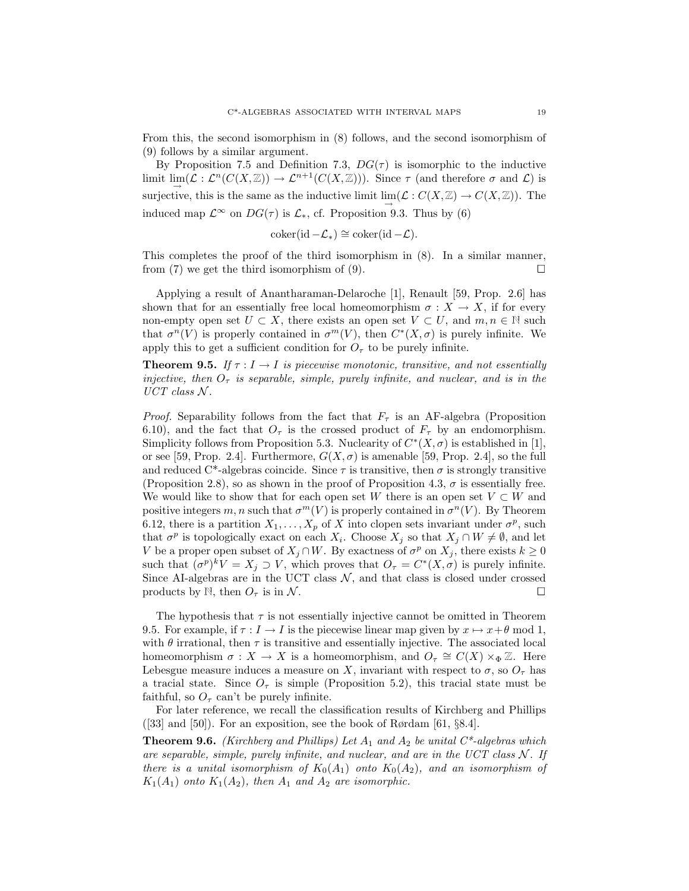From this, the second isomorphism in (8) follows, and the second isomorphism of (9) follows by a similar argument.

By Proposition 7.5 and Definition 7.3,  $DG(\tau)$  is isomorphic to the inductive limit  $\lim(\mathcal{L}: \mathcal{L}^n(C(X,\mathbb{Z})) \to \mathcal{L}^{n+1}(C(X,\mathbb{Z}))$ . Since  $\tau$  (and therefore  $\sigma$  and  $\mathcal{L}$ ) is surjective, this is the same as the inductive limit  $\lim(\mathcal{L}: C(X,\mathbb{Z}) \to C(X,\mathbb{Z})$ . The induced map  $\mathcal{L}^{\infty}$  on  $DG(\tau)$  is  $\mathcal{L}_{*}$ , cf. Proposition 9.3. Thus by (6)

$$
coker(\mathrm{id} - \mathcal{L}_*) \cong \mathrm{coker}(\mathrm{id} - \mathcal{L}).
$$

This completes the proof of the third isomorphism in (8). In a similar manner, from (7) we get the third isomorphism of (9).

Applying a result of Anantharaman-Delaroche [1], Renault [59, Prop. 2.6] has shown that for an essentially free local homeomorphism  $\sigma : X \to X$ , if for every non-empty open set  $U \subset X$ , there exists an open set  $V \subset U$ , and  $m, n \in \mathbb{N}$  such that  $\sigma^{n}(V)$  is properly contained in  $\sigma^{m}(V)$ , then  $C^{*}(X,\sigma)$  is purely infinite. We apply this to get a sufficient condition for  $O<sub>\tau</sub>$  to be purely infinite.

**Theorem 9.5.** If  $\tau : I \to I$  is piecewise monotonic, transitive, and not essentially injective, then  $O<sub>\tau</sub>$  is separable, simple, purely infinite, and nuclear, and is in the  $UCT \; class \; N.$ 

*Proof.* Separability follows from the fact that  $F<sub>\tau</sub>$  is an AF-algebra (Proposition 6.10), and the fact that  $O_7$  is the crossed product of  $F_7$  by an endomorphism. Simplicity follows from Proposition 5.3. Nuclearity of  $C^*(X, \sigma)$  is established in [1], or see [59, Prop. 2.4]. Furthermore,  $G(X, \sigma)$  is amenable [59, Prop. 2.4], so the full and reduced C<sup>\*</sup>-algebras coincide. Since  $\tau$  is transitive, then  $\sigma$  is strongly transitive (Proposition 2.8), so as shown in the proof of Proposition 4.3,  $\sigma$  is essentially free. We would like to show that for each open set *W* there is an open set  $V \subset W$  and positive integers *m, n* such that  $\sigma^{m}(V)$  is properly contained in  $\sigma^{n}(V)$ . By Theorem 6.12, there is a partition  $X_1, \ldots, X_p$  of *X* into clopen sets invariant under  $\sigma^p$ , such that  $\sigma^p$  is topologically exact on each  $X_i$ . Choose  $X_j$  so that  $X_j \cap W \neq \emptyset$ , and let *V* be a proper open subset of  $X_j \cap W$ . By exactness of  $\sigma^p$  on  $X_j$ , there exists  $k \geq 0$ such that  $(\sigma^p)^k V = X_j \supset V$ , which proves that  $O_\tau = C^*(X, \sigma)$  is purely infinite. Since AI-algebras are in the UCT class  $\mathcal{N}$ , and that class is closed under crossed products by N, then  $O_7$  is in N.

The hypothesis that  $\tau$  is not essentially injective cannot be omitted in Theorem 9.5. For example, if  $\tau : I \to I$  is the piecewise linear map given by  $x \mapsto x + \theta \mod 1$ , with  $\theta$  irrational, then  $\tau$  is transitive and essentially injective. The associated local homeomorphism  $\sigma: X \to X$  is a homeomorphism, and  $O_{\tau} \cong C(X) \times_{\Phi} \mathbb{Z}$ . Here Lebesgue measure induces a measure on *X*, invariant with respect to  $\sigma$ , so  $O_{\tau}$  has a tracial state. Since  $O_7$  is simple (Proposition 5.2), this tracial state must be faithful, so  $O<sub>\tau</sub>$  can't be purely infinite.

For later reference, we recall the classification results of Kirchberg and Phillips  $(33]$  and  $[50]$ ). For an exposition, see the book of Rørdam  $[61, §8.4]$ .

**Theorem 9.6.** (Kirchberg and Phillips) Let *A*<sup>1</sup> and *A*<sup>2</sup> be unital C\*-algebras which are separable, simple, purely infinite, and nuclear, and are in the UCT class  $N$ . If there is a unital isomorphism of  $K_0(A_1)$  onto  $K_0(A_2)$ , and an isomorphism of  $K_1(A_1)$  onto  $K_1(A_2)$ , then  $A_1$  and  $A_2$  are isomorphic.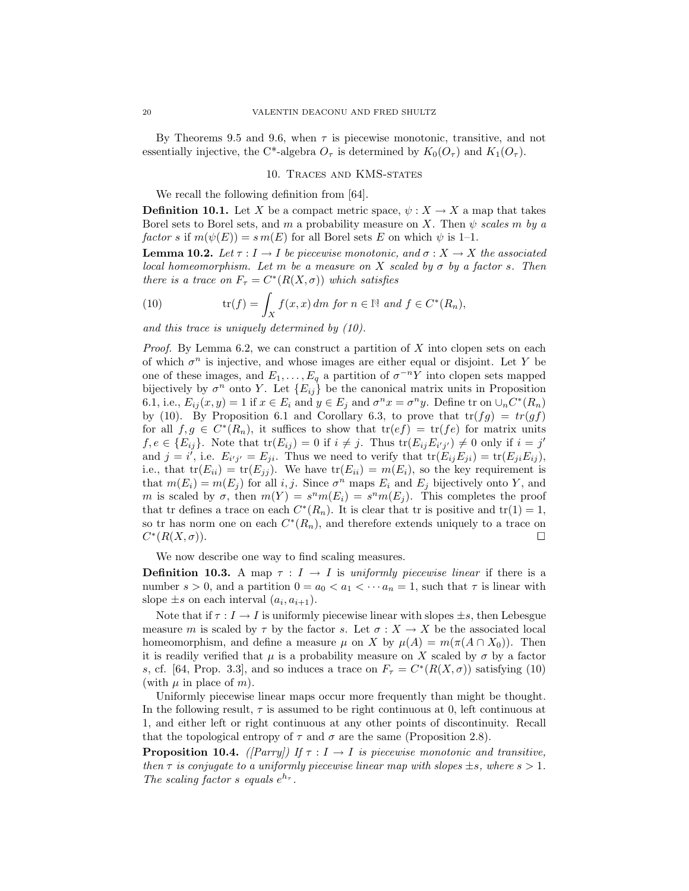By Theorems 9.5 and 9.6, when  $\tau$  is piecewise monotonic, transitive, and not essentially injective, the C<sup>\*</sup>-algebra  $O_7$  is determined by  $K_0(O_7)$  and  $K_1(O_7)$ .

#### 10. Traces and KMS-states

We recall the following definition from [64].

**Definition 10.1.** Let *X* be a compact metric space,  $\psi : X \to X$  a map that takes Borel sets to Borel sets, and *m* a probability measure on *X*. Then  $\psi$  scales *m* by a  $factor s$  if  $m(\psi(E)) = s m(E)$  for all Borel sets *E* on which  $\psi$  is 1–1.

**Lemma 10.2.** Let  $\tau : I \to I$  be piecewise monotonic, and  $\sigma : X \to X$  the associated local homeomorphism. Let *m* be a measure on *X* scaled by  $\sigma$  by a factor *s*. Then there is a trace on  $F_\tau = C^*(R(X, \sigma))$  which satisfies

(10) 
$$
\operatorname{tr}(f) = \int_X f(x, x) \, dm \text{ for } n \in \mathbb{N} \text{ and } f \in C^*(R_n),
$$

and this trace is uniquely determined by (10).

Proof. By Lemma 6.2, we can construct a partition of *X* into clopen sets on each of which *σ<sup>n</sup>* is injective, and whose images are either equal or disjoint. Let *Y* be one of these images, and  $E_1, \ldots, E_q$  a partition of  $\sigma^{-n}Y$  into clopen sets mapped bijectively by  $\sigma^n$  onto *Y*. Let  $\{E_{ij}\}\$ be the canonical matrix units in Proposition 6.1, i.e.,  $E_{ij}(x, y) = 1$  if  $x \in E_i$  and  $y \in E_j$  and  $\sigma^n x = \sigma^n y$ . Define tr on  $\cup_n C^*(R_n)$ by (10). By Proposition 6.1 and Corollary 6.3, to prove that  $tr(fg) = tr(gf)$ for all  $f,g \in C^*(R_n)$ , it suffices to show that  $tr(ef) = tr(fe)$  for matrix units  $f, e \in \{E_{ij}\}\.$  Note that  $tr(E_{ij}) = 0$  if  $i \neq j$ . Thus  $tr(E_{ij}E_{i'j'}) \neq 0$  only if  $i = j'$ and  $j = i'$ , i.e.  $E_{i'j'} = E_{ji}$ . Thus we need to verify that  $tr(E_{ij}E_{ji}) = tr(E_{ji}E_{ij})$ , i.e., that  $tr(E_{ii}) = tr(E_{jj})$ . We have  $tr(E_{ii}) = m(E_i)$ , so the key requirement is that  $m(E_i) = m(E_i)$  for all *i, j.* Since  $\sigma^n$  maps  $E_i$  and  $E_j$  bijectively onto Y, and *m* is scaled by  $\sigma$ , then  $m(Y) = s^n m(E_i) = s^n m(E_i)$ . This completes the proof that tr defines a trace on each  $C^*(R_n)$ . It is clear that tr is positive and tr(1) = 1, so tr has norm one on each  $C<sup>*</sup>(R<sub>n</sub>)$ , and therefore extends uniquely to a trace on  $C^*(R(X,\sigma)).$ 

We now describe one way to find scaling measures.

**Definition 10.3.** A map  $\tau: I \to I$  is uniformly piecewise linear if there is a number  $s > 0$ , and a partition  $0 = a_0 < a_1 < \cdots a_n = 1$ , such that  $\tau$  is linear with slope  $\pm s$  on each interval  $(a_i, a_{i+1})$ .

Note that if  $\tau : I \to I$  is uniformly piecewise linear with slopes  $\pm s$ , then Lebesgue measure *m* is scaled by  $\tau$  by the factor *s*. Let  $\sigma : X \to X$  be the associated local homeomorphism, and define a measure  $\mu$  on *X* by  $\mu(A) = m(\pi(A \cap X_0))$ . Then it is readily verified that  $\mu$  is a probability measure on *X* scaled by  $\sigma$  by a factor *s*, cf. [64, Prop. 3.3], and so induces a trace on  $F_\tau = C^*(R(X,\sigma))$  satisfying (10) (with  $\mu$  in place of  $m$ ).

Uniformly piecewise linear maps occur more frequently than might be thought. In the following result,  $\tau$  is assumed to be right continuous at 0, left continuous at 1, and either left or right continuous at any other points of discontinuity. Recall that the topological entropy of  $\tau$  and  $\sigma$  are the same (Proposition 2.8).

**Proposition 10.4.** ([Parry]) If  $\tau : I \to I$  is piecewise monotonic and transitive, then  $\tau$  is conjugate to a uniformly piecewise linear map with slopes  $\pm s$ , where  $s > 1$ . The scaling factor *s* equals  $e^{h_{\tau}}$ .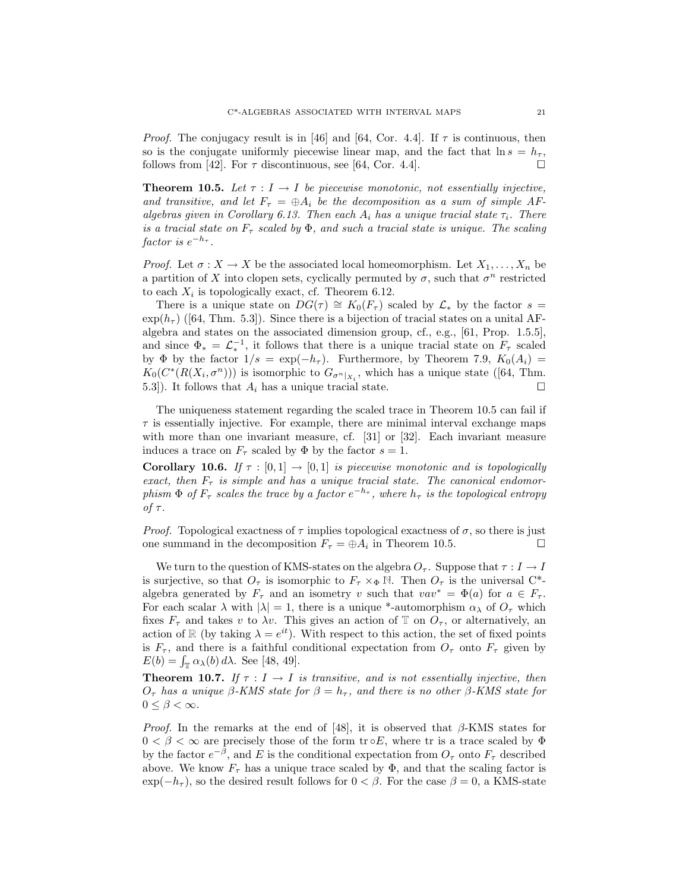*Proof.* The conjugacy result is in [46] and [64, Cor. 4.4]. If  $\tau$  is continuous, then so is the conjugate uniformly piecewise linear map, and the fact that  $\ln s = h_{\tau}$ , follows from [42]. For  $\tau$  discontinuous, see [64, Cor. 4.4].

**Theorem 10.5.** Let  $\tau : I \to I$  be piecewise monotonic, not essentially injective, and transitive, and let  $F_{\tau} = \bigoplus A_i$  be the decomposition as a sum of simple AFalgebras given in Corollary 6.13. Then each  $A_i$  has a unique tracial state  $\tau_i$ . There is a tracial state on  $F_\tau$  scaled by  $\Phi$ , and such a tracial state is unique. The scaling  $factor is e^{-h_{\tau}}$ .

*Proof.* Let  $\sigma: X \to X$  be the associated local homeomorphism. Let  $X_1, \ldots, X_n$  be a partition of *X* into clopen sets, cyclically permuted by  $\sigma$ , such that  $\sigma^n$  restricted to each  $X_i$  is topologically exact, cf. Theorem 6.12.

There is a unique state on  $DG(\tau) \cong K_0(F_\tau)$  scaled by  $\mathcal{L}_*$  by the factor  $s =$  $\exp(h_\tau)$  ([64, Thm. 5.3]). Since there is a bijection of tracial states on a unital AFalgebra and states on the associated dimension group, cf., e.g., [61, Prop. 1.5.5], and since  $\Phi_* = \mathcal{L}_*^{-1}$ , it follows that there is a unique tracial state on  $F_\tau$  scaled by  $\Phi$  by the factor  $1/s = \exp(-h_\tau)$ . Furthermore, by Theorem 7.9,  $K_0(A_i)$  $K_0(C^*(R(X_i, \sigma^n)))$  is isomorphic to  $G_{\sigma^n|_{X_i}}$ , which has a unique state ([64, Thm. 5.3]). It follows that  $A_i$  has a unique tracial state.

The uniqueness statement regarding the scaled trace in Theorem 10.5 can fail if  $\tau$  is essentially injective. For example, there are minimal interval exchange maps with more than one invariant measure, cf. [31] or [32]. Each invariant measure induces a trace on  $F_\tau$  scaled by  $\Phi$  by the factor  $s = 1$ .

**Corollary 10.6.** If  $\tau : [0,1] \rightarrow [0,1]$  is piecewise monotonic and is topologically exact, then  $F_{\tau}$  is simple and has a unique tracial state. The canonical endomorphism  $\Phi$  of  $F_{\tau}$  scales the trace by a factor  $e^{-h_{\tau}}$ , where  $h_{\tau}$  is the topological entropy of *τ* .

*Proof.* Topological exactness of  $\tau$  implies topological exactness of  $\sigma$ , so there is just one summand in the decomposition  $F_\tau = \bigoplus A_i$  in Theorem 10.5.

We turn to the question of KMS-states on the algebra  $O_7$ . Suppose that  $\tau : I \to I$ is surjective, so that  $O_{\tau}$  is isomorphic to  $F_{\tau} \times_{\Phi} \mathbb{N}$ . Then  $O_{\tau}$  is the universal C<sup>\*</sup>algebra generated by  $F_{\tau}$  and an isometry *v* such that  $vav^* = \Phi(a)$  for  $a \in F_{\tau}$ . For each scalar  $\lambda$  with  $|\lambda| = 1$ , there is a unique \*-automorphism  $\alpha_{\lambda}$  of  $O_{\tau}$  which fixes  $F_{\tau}$  and takes *v* to  $\lambda v$ . This gives an action of T on  $O_{\tau}$ , or alternatively, an action of R (by taking  $\lambda = e^{it}$ ). With respect to this action, the set of fixed points is  $F_{\tau}$ , and there is a faithful conditional expectation from  $O_{\tau}$  onto  $F_{\tau}$  given by  $E(b) = \int_{\mathbb{T}} \alpha_{\lambda}(b) d\lambda$ . See [48, 49].

**Theorem 10.7.** If  $\tau : I \to I$  is transitive, and is not essentially injective, then *O*<sub>*τ*</sub> has a unique *β*-KMS state for  $β = h_τ$ , and there is no other *β*-KMS state for  $0 \leq \beta < \infty$ .

Proof. In the remarks at the end of [48], it is observed that *β*-KMS states for  $0 < \beta < \infty$  are precisely those of the form tr **o***E*, where tr is a trace scaled by  $\Phi$ by the factor  $e^{-\beta}$ , and *E* is the conditional expectation from  $O_{\tau}$  onto  $F_{\tau}$  described above. We know  $F_{\tau}$  has a unique trace scaled by  $\Phi$ , and that the scaling factor is  $\exp(-h_{\tau})$ , so the desired result follows for  $0 < \beta$ . For the case  $\beta = 0$ , a KMS-state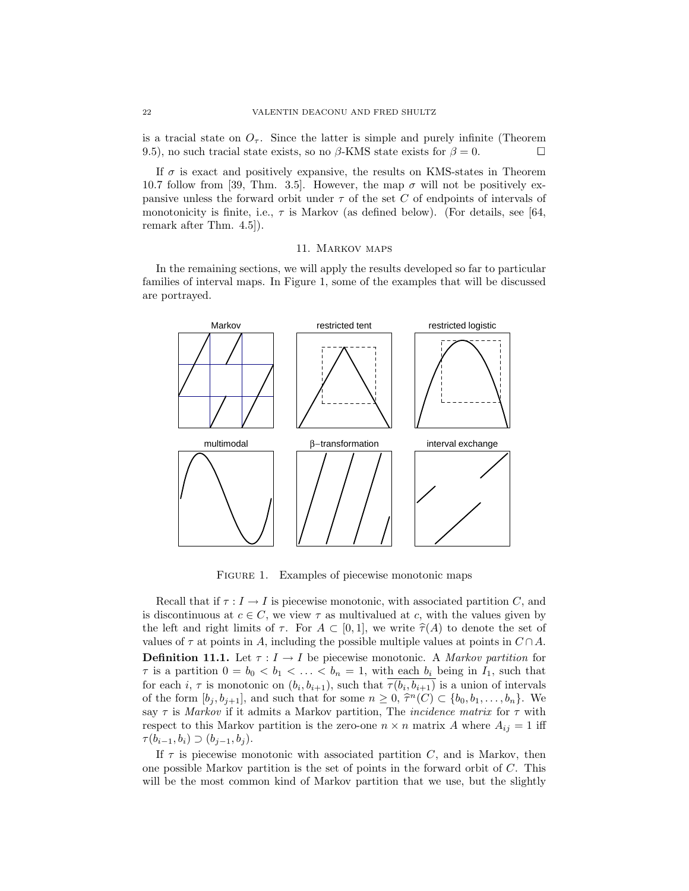is a tracial state on  $O_7$ . Since the latter is simple and purely infinite (Theorem 9.5), no such tracial state exists, so no  $\beta$ -KMS state exists for  $\beta = 0$ .

If  $\sigma$  is exact and positively expansive, the results on KMS-states in Theorem 10.7 follow from [39, Thm. 3.5]. However, the map  $\sigma$  will not be positively expansive unless the forward orbit under *τ* of the set *C* of endpoints of intervals of monotonicity is finite, i.e.,  $\tau$  is Markov (as defined below). (For details, see [64, remark after Thm. 4.5]).

#### 11. Markov maps

In the remaining sections, we will apply the results developed so far to particular families of interval maps. In Figure 1, some of the examples that will be discussed are portrayed.



FIGURE 1. Examples of piecewise monotonic maps

Recall that if  $\tau : I \to I$  is piecewise monotonic, with associated partition *C*, and is discontinuous at  $c \in C$ , we view  $\tau$  as multivalued at c, with the values given by the left and right limits of  $\tau$ . For  $A \subset [0,1]$ , we write  $\hat{\tau}(A)$  to denote the set of values of  $\tau$  at points in *A*, including the possible multiple values at points in  $C \cap A$ . **Definition 11.1.** Let  $\tau: I \to I$  be piecewise monotonic. A Markov partition for *τ* is a partition  $0 = b_0 < b_1 < \ldots < b_n = 1$ , with each  $b_i$  being in  $I_1$ , such that for each *i*,  $\tau$  is monotonic on  $(b_i, b_{i+1})$ , such that  $\tau(b_i, b_{i+1})$  is a union of intervals of the form  $[b_j, b_{j+1}]$ , and such that for some  $n \geq 0$ ,  $\hat{\tau}^n(C) \subset \{b_0, b_1, \ldots, b_n\}$ . We say  $\tau$  is *Markov* if it admits a Markov partition, The *incidence matrix* for  $\tau$  with respect to this Markov partition is the zero-one  $n \times n$  matrix *A* where  $A_{ij} = 1$  iff  $τ(b_{i-1}, b_i) ⊇ (b_{j-1}, b_j).$ 

If  $\tau$  is piecewise monotonic with associated partition  $C$ , and is Markov, then one possible Markov partition is the set of points in the forward orbit of *C*. This will be the most common kind of Markov partition that we use, but the slightly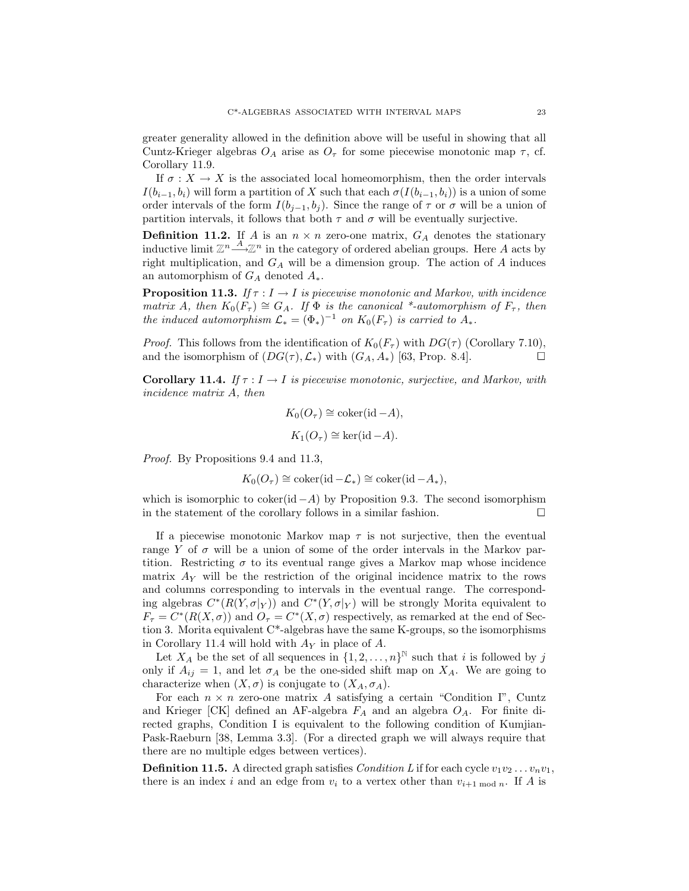greater generality allowed in the definition above will be useful in showing that all Cuntz-Krieger algebras  $O_A$  arise as  $O_{\tau}$  for some piecewise monotonic map  $\tau$ , cf. Corollary 11.9.

If  $\sigma: X \to X$  is the associated local homeomorphism, then the order intervals *I*( $b_{i-1}, b_i$ ) will form a partition of *X* such that each  $\sigma(I(b_{i-1}, b_i))$  is a union of some order intervals of the form  $I(b_{j-1}, b_j)$ . Since the range of  $\tau$  or  $\sigma$  will be a union of partition intervals, it follows that both  $\tau$  and  $\sigma$  will be eventually surjective.

**Definition 11.2.** If *A* is an  $n \times n$  zero-one matrix,  $G_A$  denotes the stationary inductive limit  $\mathbb{Z}^n \longrightarrow \mathbb{Z}^n$  in the category of ordered abelian groups. Here *A* acts by right multiplication, and *G<sup>A</sup>* will be a dimension group. The action of *A* induces an automorphism of *G<sup>A</sup>* denoted *A*∗.

**Proposition 11.3.** If  $\tau : I \to I$  is piecewise monotonic and Markov, with incidence matrix *A*, then  $K_0(F_\tau) \cong G_A$ . If  $\Phi$  is the canonical \*-automorphism of  $F_\tau$ , then the induced automorphism  $\mathcal{L}_* = (\Phi_*)^{-1}$  on  $K_0(F_\tau)$  is carried to  $A_*$ .

*Proof.* This follows from the identification of  $K_0(F_\tau)$  with  $DG(\tau)$  (Corollary 7.10), and the isomorphism of  $(DG(\tau), \mathcal{L}_*)$  with  $(G_A, A_*)$  [63, Prop. 8.4].

**Corollary 11.4.** If  $\tau : I \to I$  is piecewise monotonic, surjective, and Markov, with incidence matrix *A*, then

$$
K_0(O_\tau) \cong \text{coker}(\text{id} - A),
$$
  

$$
K_1(O_\tau) \cong \text{ker}(\text{id} - A).
$$

Proof. By Propositions 9.4 and 11.3,

$$
K_0(O_\tau) \cong \text{coker}(\text{id} - \mathcal{L}_*) \cong \text{coker}(\text{id} - A_*),
$$

which is isomorphic to coker(id  $-A$ ) by Proposition 9.3. The second isomorphism in the statement of the corollary follows in a similar fashion.  $\Box$ 

If a piecewise monotonic Markov map  $\tau$  is not surjective, then the eventual range *Y* of  $\sigma$  will be a union of some of the order intervals in the Markov partition. Restricting  $\sigma$  to its eventual range gives a Markov map whose incidence matrix  $A_Y$  will be the restriction of the original incidence matrix to the rows and columns corresponding to intervals in the eventual range. The corresponding algebras  $C^*(R(Y, \sigma|_Y))$  and  $C^*(Y, \sigma|_Y)$  will be strongly Morita equivalent to  $F_{\tau} = C^*(R(X, \sigma))$  and  $O_{\tau} = C^*(X, \sigma)$  respectively, as remarked at the end of Section 3. Morita equivalent C\*-algebras have the same K-groups, so the isomorphisms in Corollary 11.4 will hold with *A<sup>Y</sup>* in place of *A*.

Let  $X_A$  be the set of all sequences in  $\{1, 2, ..., n\}^{\mathbb{N}}$  such that *i* is followed by *j* only if  $A_{ij} = 1$ , and let  $\sigma_A$  be the one-sided shift map on  $X_A$ . We are going to characterize when  $(X, \sigma)$  is conjugate to  $(X_A, \sigma_A)$ .

For each  $n \times n$  zero-one matrix A satisfying a certain "Condition I", Cuntz and Krieger [CK] defined an AF-algebra *F<sup>A</sup>* and an algebra *OA*. For finite directed graphs, Condition I is equivalent to the following condition of Kumjian-Pask-Raeburn [38, Lemma 3.3]. (For a directed graph we will always require that there are no multiple edges between vertices).

**Definition 11.5.** A directed graph satisfies Condition L if for each cycle  $v_1v_2...v_nv_1$ , there is an index *i* and an edge from  $v_i$  to a vertex other than  $v_{i+1 \text{ mod } n}$ . If *A* is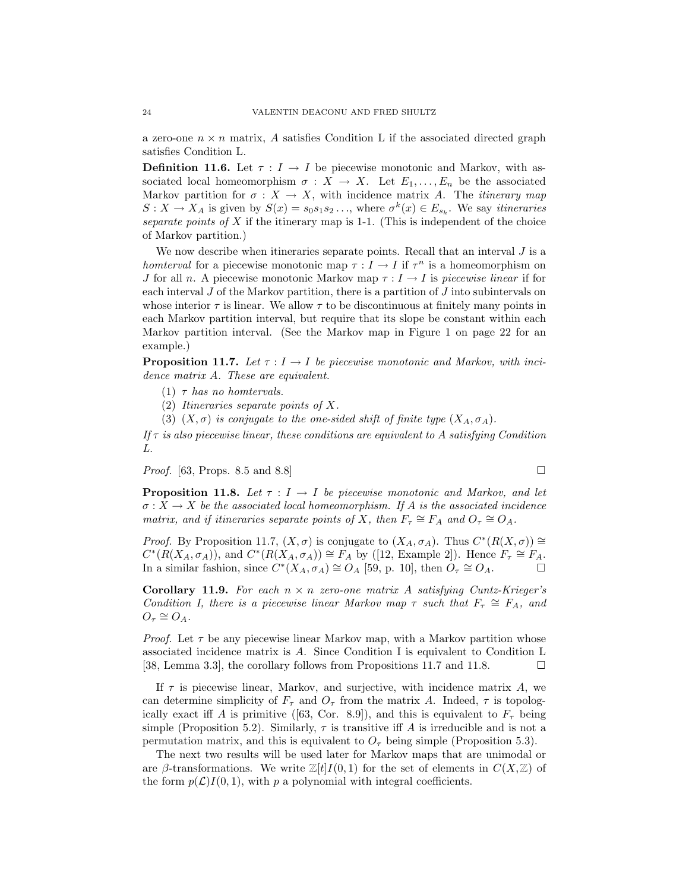a zero-one  $n \times n$  matrix, A satisfies Condition L if the associated directed graph satisfies Condition L.

**Definition 11.6.** Let  $\tau: I \to I$  be piecewise monotonic and Markov, with associated local homeomorphism  $\sigma : X \to X$ . Let  $E_1, \ldots, E_n$  be the associated Markov partition for  $\sigma : X \to X$ , with incidence matrix *A*. The *itinerary map*  $S: X \to X_A$  is given by  $S(x) = s_0 s_1 s_2 \dots$ , where  $\sigma^k(x) \in E_{s_k}$ . We say *itineraries* separate points of *X* if the itinerary map is 1-1. (This is independent of the choice of Markov partition.)

We now describe when itineraries separate points. Recall that an interval *J* is a homterval for a piecewise monotonic map  $\tau : I \to I$  if  $\tau^n$  is a homeomorphism on *J* for all *n*. A piecewise monotonic Markov map  $\tau : I \to I$  is piecewise linear if for each interval *J* of the Markov partition, there is a partition of *J* into subintervals on whose interior  $\tau$  is linear. We allow  $\tau$  to be discontinuous at finitely many points in each Markov partition interval, but require that its slope be constant within each Markov partition interval. (See the Markov map in Figure 1 on page 22 for an example.)

**Proposition 11.7.** Let  $\tau : I \to I$  be piecewise monotonic and Markov, with incidence matrix *A*. These are equivalent.

- (1)  $\tau$  has no homervals.
- (2) Itineraries separate points of *X*.
- (3)  $(X, \sigma)$  is conjugate to the one-sided shift of finite type  $(X_A, \sigma_A)$ .

If  $\tau$  is also piecewise linear, these conditions are equivalent to A satisfying Condition L.

*Proof.* [63, Props. 8.5 and 8.8]

**Proposition 11.8.** Let  $\tau : I \to I$  be piecewise monotonic and Markov, and let  $\sigma: X \to X$  be the associated local homeomorphism. If *A* is the associated incidence matrix, and if itineraries separate points of *X*, then  $F_{\tau} \cong F_A$  and  $O_{\tau} \cong O_A$ .

*Proof.* By Proposition 11.7,  $(X, \sigma)$  is conjugate to  $(X_A, \sigma_A)$ . Thus  $C^*(R(X, \sigma)) \cong$  $C^*(R(X_A, \sigma_A))$ , and  $C^*(R(X_A, \sigma_A)) \cong F_A$  by ([12, Example 2]). Hence  $F_{\tau} \cong F_A$ . In a similar fashion, since  $C^*(X_A, \sigma_A) \cong O_A$  [59, p. 10], then  $O_\tau \cong O_A$ .

**Corollary 11.9.** For each  $n \times n$  zero-one matrix A satisfying Cuntz-Krieger's Condition I, there is a piecewise linear Markov map  $\tau$  such that  $F_{\tau} \cong F_A$ , and  $O_{\tau} \cong O_{A}$ .

*Proof.* Let  $\tau$  be any piecewise linear Markov map, with a Markov partition whose associated incidence matrixis *A*. Since Condition I is equivalent to Condition L [38, Lemma 3.3], the corollary follows from Propositions 11.7 and 11.8.  $\Box$ 

If  $\tau$  is piecewise linear, Markov, and surjective, with incidence matrix  $A$ , we can determine simplicity of  $F_{\tau}$  and  $O_{\tau}$  from the matrix *A*. Indeed,  $\tau$  is topologically exact iff *A* is primitive ([63, Cor. 8.9]), and this is equivalent to  $F<sub>\tau</sub>$  being simple (Proposition 5.2). Similarly,  $\tau$  is transitive iff A is irreducible and is not a permutation matrix, and this is equivalent to  $O<sub>\tau</sub>$  being simple (Proposition 5.3).

The next two results will be used later for Markov maps that are unimodal or are *β*-transformations. We write  $\mathbb{Z}[t]I(0,1)$  for the set of elements in  $C(X,\mathbb{Z})$  of the form  $p(\mathcal{L})I(0,1)$ , with p a polynomial with integral coefficients.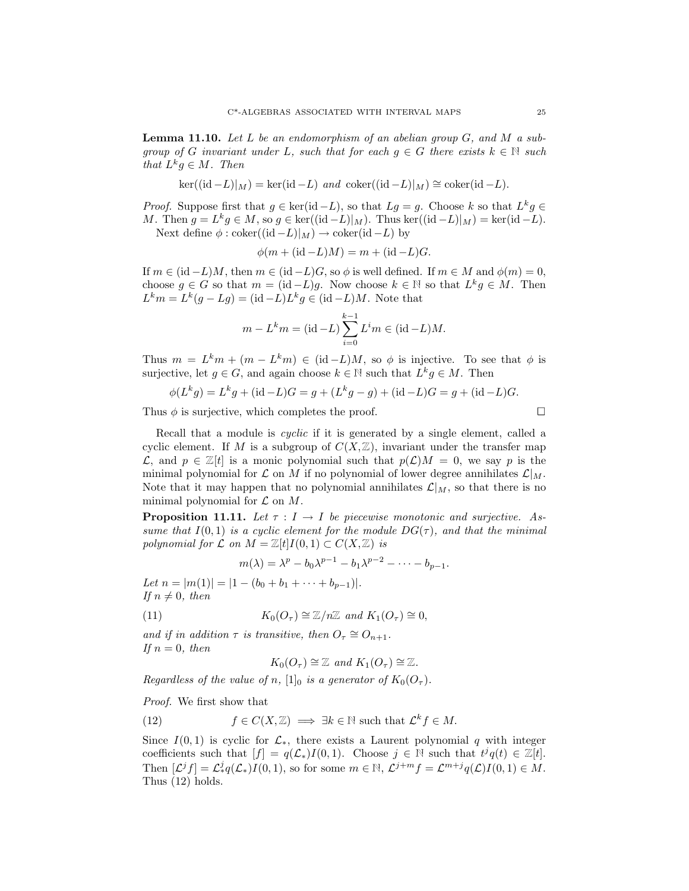**Lemma 11.10.** Let *L* be an endomorphism of an abelian group *G*, and *M* a subgroup of *G* invariant under *L*, such that for each  $g \in G$  there exists  $k \in \mathbb{N}$  such that  $L^k g \in M$ . Then

$$
\ker((\mathrm{id} - L)|_M) = \ker(\mathrm{id} - L) \text{ and } \mathrm{coker}((\mathrm{id} - L)|_M) \cong \mathrm{coker}(\mathrm{id} - L).
$$

*Proof.* Suppose first that  $g \in \text{ker}(\text{id} - L)$ , so that  $Lg = g$ . Choose  $k$  so that  $L^k g \in$ *M*. Then  $g = L^k g \in M$ , so  $g \in \text{ker}((\text{id} - L)|_M)$ . Thus ker((id −*L*)|*M*) = ker(id −*L*). Next define  $\phi$  : coker((id  $-L|_M$ )  $\rightarrow$  coker(id  $-L$ ) by

$$
\phi(m + (\mathrm{id} - L)M) = m + (\mathrm{id} - L)G.
$$

If  $m \in (\text{id}-L)M$ , then  $m \in (\text{id}-L)G$ , so  $\phi$  is well defined. If  $m \in M$  and  $\phi(m) = 0$ , choose  $g \in G$  so that  $m = (\text{id} - L)g$ . Now choose  $k \in \mathbb{N}$  so that  $L^k g \in M$ . Then  $L^k m = L^k(g - Lg) = (\mathrm{id} - L)L^k g \in (\mathrm{id} - L)M$ . Note that

$$
m - L^k m = (\text{id} - L) \sum_{i=0}^{k-1} L^i m \in (\text{id} - L)M.
$$

Thus  $m = L^k m + (m - L^k m) \in (id - L)M$ , so  $\phi$  is injective. To see that  $\phi$  is surjective, let  $g \in G$ , and again choose  $k \in \mathbb{N}$  such that  $L^k g \in M$ . Then

$$
\phi(L^k g) = L^k g + (\mathrm{id} - L)G = g + (L^k g - g) + (\mathrm{id} - L)G = g + (\mathrm{id} - L)G.
$$

Thus  $\phi$  is surjective, which completes the proof.

Recall that a module is *cyclic* if it is generated by a single element, called a cyclic element. If *M* is a subgroup of  $C(X, \mathbb{Z})$ , invariant under the transfer map *L*, and *p* ∈  $\mathbb{Z}[t]$  is a monic polynomial such that  $p(\mathcal{L})M = 0$ , we say *p* is the minimal polynomial for  $\mathcal L$  on  $M$  if no polynomial of lower degree annihilates  $\mathcal L|_M$ . Note that it may happen that no polynomial annihilates  $\mathcal{L}|_M$ , so that there is no minimal polynomial for  $\mathcal L$  on  $M$ .

**Proposition 11.11.** Let  $\tau : I \to I$  be piecewise monotonic and surjective. Assume that  $I(0,1)$  is a cyclic element for the module  $DG(\tau)$ , and that the minimal polynomial for  $\mathcal L$  on  $M = \mathbb Z[t]I(0,1) \subset C(X,\mathbb Z)$  is

$$
m(\lambda) = \lambda^p - b_0 \lambda^{p-1} - b_1 \lambda^{p-2} - \dots - b_{p-1}.
$$

Let  $n = |m(1)| = |1 - (b_0 + b_1 + \cdots + b_{p-1})|$ . If  $n \neq 0$ , then

(11) 
$$
K_0(O_\tau) \cong \mathbb{Z}/n\mathbb{Z} \text{ and } K_1(O_\tau) \cong 0,
$$

and if in addition  $\tau$  is transitive, then  $O_{\tau} \cong O_{n+1}$ . If  $n = 0$ , then

$$
K_0(O_\tau) \cong \mathbb{Z} \text{ and } K_1(O_\tau) \cong \mathbb{Z}.
$$

Regardless of the value of *n*,  $[1]_0$  is a generator of  $K_0(O_\tau)$ .

Proof. We first show that

(12) 
$$
f \in C(X, \mathbb{Z}) \implies \exists k \in \mathbb{N} \text{ such that } \mathcal{L}^k f \in M.
$$

Since  $I(0,1)$  is cyclic for  $\mathcal{L}_{*}$ , there exists a Laurent polynomial q with integer coefficients such that  $[f] = q(\mathcal{L}_*)I(0,1)$ . Choose  $j \in \mathbb{N}$  such that  $t^jq(t) \in \mathbb{Z}[t]$ . Then  $[\mathcal{L}^j f] = \mathcal{L}^j_* q(\mathcal{L}_*) I(0,1)$ , so for some  $m \in \mathbb{N}$ ,  $\mathcal{L}^{j+m} f = \mathcal{L}^{m+j} q(\mathcal{L}) I(0,1) \in M$ . Thus (12) holds.

$$
\mathbb{L}^{\mathbb{L}}
$$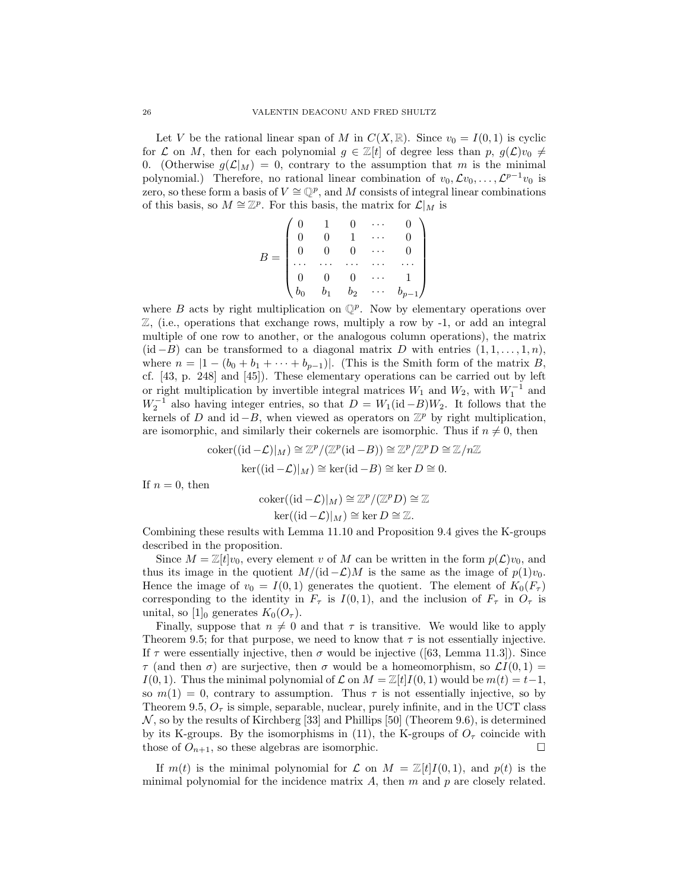Let *V* be the rational linear span of *M* in  $C(X, \mathbb{R})$ . Since  $v_0 = I(0, 1)$  is cyclic for *L* on *M*, then for each polynomial  $g \in \mathbb{Z}[t]$  of degree less than  $p, g(\mathcal{L})v_0 \neq$ 0. (Otherwise  $g(\mathcal{L}|_M) = 0$ , contrary to the assumption that *m* is the minimal polynomial.) Therefore, no rational linear combination of  $v_0, \mathcal{L}v_0, \ldots, \mathcal{L}^{p-1}v_0$  is zero, so these form a basis of  $V \cong \mathbb{Q}^p$ , and M consists of integral linear combinations of this basis, so  $M \cong \mathbb{Z}^p$ . For this basis, the matrix for  $\mathcal{L}|_M$  is

$$
B = \begin{pmatrix} 0 & 1 & 0 & \cdots & 0 \\ 0 & 0 & 1 & \cdots & 0 \\ 0 & 0 & 0 & \cdots & 0 \\ \cdots & \cdots & \cdots & \cdots & \cdots \\ 0 & 0 & 0 & \cdots & 1 \\ b_0 & b_1 & b_2 & \cdots & b_{p-1} \end{pmatrix}
$$

where *B* acts by right multiplication on  $\mathbb{Q}^p$ . Now by elementary operations over  $\mathbb{Z}$ , (i.e., operations that exchange rows, multiply a row by -1, or add an integral multiple of one row to another, or the analogous column operations), the matrix  $(id - B)$  can be transformed to a diagonal matrix *D* with entries  $(1, 1, \ldots, 1, n)$ , where  $n = |1 - (b_0 + b_1 + \cdots + b_{p-1})|$ . (This is the Smith form of the matrix *B*, cf. [43, p. 248] and [45]). These elementary operations can be carried out by left or right multiplication by invertible integral matrices  $W_1$  and  $W_2$ , with  $W_1^{-1}$  and  $W_2^{-1}$  also having integer entries, so that  $D = W_1(\text{id} - B)W_2$ . It follows that the kernels of *D* and id  $-B$ , when viewed as operators on  $\mathbb{Z}^p$  by right multiplication, are isomorphic, and similarly their cokernels are isomorphic. Thus if  $n \neq 0$ , then

$$
\operatorname{coker}((\operatorname{id}-\mathcal{L})|_M) \cong \mathbb{Z}^p / (\mathbb{Z}^p(\operatorname{id}-B)) \cong \mathbb{Z}^p / \mathbb{Z}^p D \cong \mathbb{Z}/n\mathbb{Z}
$$

$$
\operatorname{ker}((\operatorname{id}-\mathcal{L})|_M) \cong \operatorname{ker}(\operatorname{id}-B) \cong \operatorname{ker} D \cong 0.
$$

If  $n = 0$ , then

$$
\operatorname{coker}((\operatorname{id} - \mathcal{L})|_M) \cong \mathbb{Z}^p / (\mathbb{Z}^p D) \cong \mathbb{Z}
$$

$$
\operatorname{ker}((\operatorname{id} - \mathcal{L})|_M) \cong \operatorname{ker} D \cong \mathbb{Z}.
$$

Combining these results with Lemma 11.10 and Proposition 9.4 gives the K-groups described in the proposition.

Since  $M = \mathbb{Z}[t]v_0$ , every element *v* of M can be written in the form  $p(\mathcal{L})v_0$ , and thus its image in the quotient  $M/(\mathrm{id} - \mathcal{L})M$  is the same as the image of  $p(1)v_0$ . Hence the image of  $v_0 = I(0,1)$  generates the quotient. The element of  $K_0(F_\tau)$ corresponding to the identity in  $F_\tau$  is  $I(0,1)$ , and the inclusion of  $F_\tau$  in  $O_\tau$  is unital, so  $[1]_0$  generates  $K_0(O_\tau)$ .

Finally, suppose that  $n \neq 0$  and that  $\tau$  is transitive. We would like to apply Theorem 9.5; for that purpose, we need to know that  $\tau$  is not essentially injective. If  $\tau$  were essentially injective, then  $\sigma$  would be injective ([63, Lemma 11.3]). Since *τ* (and then *σ*) are surjective, then *σ* would be a homeomorphism, so  $\mathcal{L}I(0,1) =$ *I*(0*,* 1). Thus the minimal polynomial of  $\mathcal L$  on  $M = \mathbb Z[t]$  *I*(0*,* 1) would be  $m(t) = t-1$ , so  $m(1) = 0$ , contrary to assumption. Thus  $\tau$  is not essentially injective, so by Theorem 9.5,  $O<sub>\tau</sub>$  is simple, separable, nuclear, purely infinite, and in the UCT class  $\mathcal N$ , so by the results of Kirchberg [33] and Phillips [50] (Theorem 9.6), is determined by its K-groups. By the isomorphisms in (11), the K-groups of  $O<sub>\tau</sub>$  coincide with those of  $O_{n+1}$ , so these algebras are isomorphic.

If  $m(t)$  is the minimal polynomial for  $\mathcal L$  on  $M = \mathbb Z[t]I(0,1)$ , and  $p(t)$  is the minimal polynomial for the incidence matrix *A*, then *m* and *p* are closely related.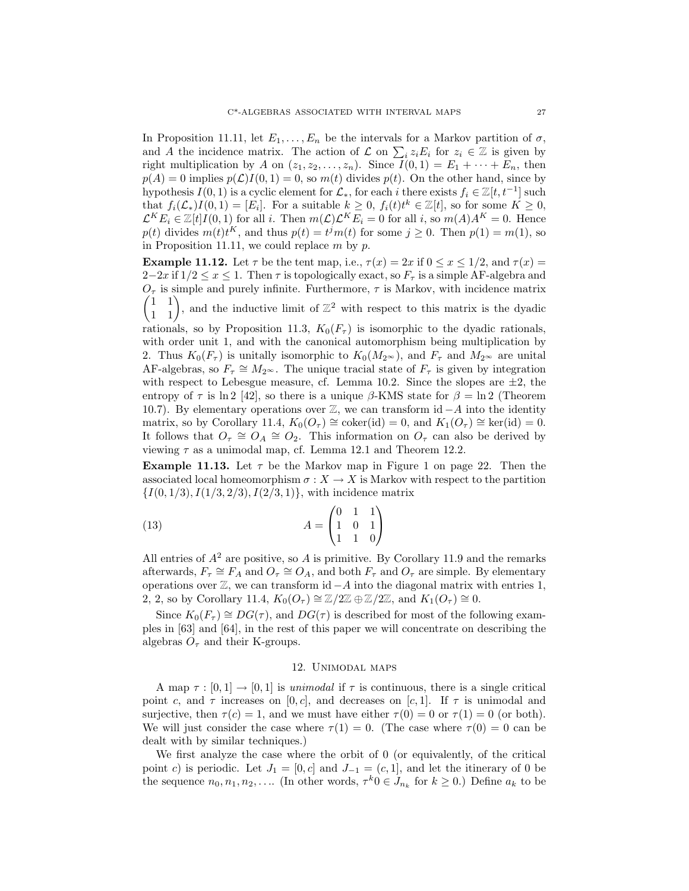In Proposition 11.11, let  $E_1, \ldots, E_n$  be the intervals for a Markov partition of  $\sigma$ , and *A* the incidence matrix. The action of  $\mathcal{L}$  on  $\sum_i z_i E_i$  for  $z_i \in \mathbb{Z}$  is given by right multiplication by *A* on  $(z_1, z_2, \ldots, z_n)$ . Since  $I(0, 1) = E_1 + \cdots + E_n$ , then  $p(A) = 0$  implies  $p(\mathcal{L})I(0, 1) = 0$ , so  $m(t)$  divides  $p(t)$ . On the other hand, since by hypothesis *I*(0, 1) is a cyclic element for  $\mathcal{L}_*$ , for each *i* there exists  $f_i \in \mathbb{Z}[t, t^{-1}]$  such that  $f_i(\mathcal{L}_*)I(0,1) = [E_i]$ . For a suitable  $k \geq 0$ ,  $f_i(t)t^k \in \mathbb{Z}[t]$ , so for some  $K \geq 0$ ,  $\mathcal{L}^K E_i \in \mathbb{Z}[t]$ *I*(0, 1) for all *i*. Then  $m(\mathcal{L})\mathcal{L}^K E_i = 0$  for all *i*, so  $m(A)A^K = 0$ . Hence  $p(t)$  divides  $m(t)t^K$ , and thus  $p(t) = t^j m(t)$  for some  $j \ge 0$ . Then  $p(1) = m(1)$ , so in Proposition 11.11, we could replace *m* by *p*.

**Example 11.12.** Let  $\tau$  be the tent map, i.e.,  $\tau(x) = 2x$  if  $0 \le x \le 1/2$ , and  $\tau(x) =$  $2-2x$  if  $1/2 \leq x \leq 1$ . Then  $\tau$  is topologically exact, so  $F_{\tau}$  is a simple AF-algebra and  $\begin{pmatrix} 1 & 1 \\ 1 & 1 \end{pmatrix}$  $O<sub>\tau</sub>$  is simple and purely infinite. Furthermore,  $\tau$  is Markov, with incidence matrix , and the inductive limit of  $\mathbb{Z}^2$  with respect to this matrix is the dyadic

rationals, so by Proposition 11.3,  $K_0(F_\tau)$  is isomorphic to the dyadic rationals, with order unit 1, and with the canonical automorphism being multiplication by 2. Thus  $K_0(F_\tau)$  is unitally isomorphic to  $K_0(M_{2\infty})$ , and  $F_\tau$  and  $M_{2\infty}$  are unital AF-algebras, so  $F_\tau \cong M_{2^\infty}$ . The unique tracial state of  $F_\tau$  is given by integration with respect to Lebesgue measure, cf. Lemma 10.2. Since the slopes are  $\pm 2$ , the entropy of  $\tau$  is ln 2 [42], so there is a unique  $\beta$ -KMS state for  $\beta = \ln 2$  (Theorem 10.7). By elementary operations over Z, we can transform id −*A* into the identity matrix, so by Corollary 11.4,  $K_0(O_\tau) \cong \text{coker}(\text{id}) = 0$ , and  $K_1(O_\tau) \cong \text{ker}(\text{id}) = 0$ . It follows that  $O_7 \cong O_4 \cong O_2$ . This information on  $O_7$  can also be derived by viewing *τ* as a unimodal map, cf. Lemma 12.1 and Theorem 12.2.

**Example 11.13.** Let  $\tau$  be the Markov map in Figure 1 on page 22. Then the associated local homeomorphism  $\sigma: X \to X$  is Markov with respect to the partition {*I*(0*,* 1*/*3)*, I*(1*/*3*,* 2*/*3)*, I*(2*/*3*,* 1)}, with incidence matrix

(13) 
$$
A = \begin{pmatrix} 0 & 1 & 1 \\ 1 & 0 & 1 \\ 1 & 1 & 0 \end{pmatrix}
$$

All entries of  $A^2$  are positive, so  $A$  is primitive. By Corollary 11.9 and the remarks afterwards,  $F_{\tau} \cong F_A$  and  $O_{\tau} \cong O_A$ , and both  $F_{\tau}$  and  $O_{\tau}$  are simple. By elementary operations over  $\mathbb{Z}$ , we can transform id  $-A$  into the diagonal matrix with entries 1, 2, 2, so by Corollary 11.4,  $K_0(O_\tau) \cong \mathbb{Z}/2\mathbb{Z} \oplus \mathbb{Z}/2\mathbb{Z}$ , and  $K_1(O_\tau) \cong 0$ .

Since  $K_0(F_\tau) \cong DG(\tau)$ , and  $DG(\tau)$  is described for most of the following examples in [63] and [64], in the rest of this paper we will concentrate on describing the algebras  $O<sub>\tau</sub>$  and their K-groups.

#### 12. Unimodal maps

A map  $\tau : [0,1] \to [0,1]$  is unimodal if  $\tau$  is continuous, there is a single critical point *c*, and  $\tau$  increases on [0, *c*], and decreases on [*c*, 1]. If  $\tau$  is unimodal and surjective, then  $\tau(c) = 1$ , and we must have either  $\tau(0) = 0$  or  $\tau(1) = 0$  (or both). We will just consider the case where  $\tau(1) = 0$ . (The case where  $\tau(0) = 0$  can be dealt with by similar techniques.)

We first analyze the case where the orbit of 0 (or equivalently, of the critical point *c*) is periodic. Let  $J_1 = [0, c]$  and  $J_{-1} = (c, 1]$ , and let the itinerary of 0 be the sequence  $n_0, n_1, n_2, \ldots$  (In other words,  $\tau^k 0 \in J_{n_k}$  for  $k \geq 0$ .) Define  $a_k$  to be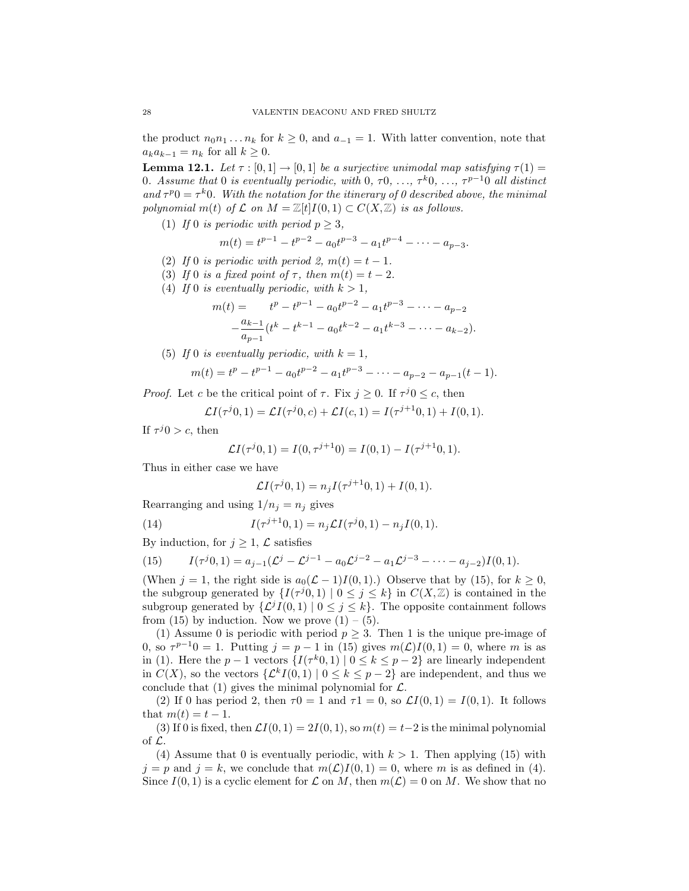the product  $n_0 n_1 \ldots n_k$  for  $k \geq 0$ , and  $a_{-1} = 1$ . With latter convention, note that  $a_k a_{k-1} = n_k$  for all  $k \geq 0$ .

**Lemma 12.1.** Let  $\tau : [0,1] \rightarrow [0,1]$  be a surjective unimodal map satisfying  $\tau(1) =$ 0. Assume that 0 is eventually periodic, with 0,  $\tau$ 0,  $\ldots$ ,  $\tau$ <sup>k</sup>0,  $\ldots$ ,  $\tau$ <sup>p-1</sup>0 all distinct and  $\tau^{p}0 = \tau^{k}0$ . With the notation for the itinerary of 0 described above, the minimal polynomial  $m(t)$  of  $\mathcal L$  on  $M = \mathbb Z[t]I(0,1) \subset C(X,\mathbb Z)$  is as follows.

(1) If 0 is periodic with period  $p \geq 3$ ,

$$
m(t) = t^{p-1} - t^{p-2} - a_0 t^{p-3} - a_1 t^{p-4} - \dots - a_{p-3}.
$$

- (2) If 0 is periodic with period 2,  $m(t) = t 1$ .
- (3) If 0 is a fixed point of  $\tau$ , then  $m(t) = t 2$ .
- (4) If 0 is eventually periodic, with  $k > 1$ ,

$$
m(t) = t^{p} - t^{p-1} - a_0 t^{p-2} - a_1 t^{p-3} - \dots - a_{p-2}
$$

$$
- \frac{a_{k-1}}{a_{p-1}} (t^{k} - t^{k-1} - a_0 t^{k-2} - a_1 t^{k-3} - \dots - a_{k-2}).
$$

(5) If 0 is eventually periodic, with  $k = 1$ ,

$$
m(t) = tp - tp-1 - a_0 tp-2 - a_1 tp-3 - \dots - a_{p-2} - a_{p-1} (t - 1).
$$

*Proof.* Let *c* be the critical point of  $\tau$ . Fix  $j \geq 0$ . If  $\tau^{j}0 \leq c$ , then

$$
\mathcal{L}I(\tau^{j}0,1) = \mathcal{L}I(\tau^{j}0,c) + \mathcal{L}I(c,1) = I(\tau^{j+1}0,1) + I(0,1).
$$

If  $\tau^{j}0 > c$ , then

$$
\mathcal{L}I(\tau^{j}0,1) = I(0,\tau^{j+1}0) = I(0,1) - I(\tau^{j+1}0,1).
$$

Thus in either case we have

$$
\mathcal{L}I(\tau^{j}0,1) = n_j I(\tau^{j+1}0,1) + I(0,1).
$$

Rearranging and using  $1/n_j = n_j$  gives

(14) 
$$
I(\tau^{j+1}0,1) = n_j \mathcal{L}I(\tau^{j}0,1) - n_j I(0,1).
$$

By induction, for  $j \geq 1$ ,  $\mathcal{L}$  satisfies

(15) 
$$
I(\tau^{j}0, 1) = a_{j-1}(\mathcal{L}^{j} - \mathcal{L}^{j-1} - a_0 \mathcal{L}^{j-2} - a_1 \mathcal{L}^{j-3} - \cdots - a_{j-2})I(0, 1).
$$

(When  $j = 1$ , the right side is  $a_0(\mathcal{L} - 1)I(0, 1)$ .) Observe that by (15), for  $k \ge 0$ , the subgroup generated by  $\{I(\tau^{j}0,1) \mid 0 \leq j \leq k\}$  in  $C(X,\mathbb{Z})$  is contained in the subgroup generated by  $\{\mathcal{L}^{j}I(0,1) | 0 \leq j \leq k\}$ . The opposite containment follows from (15) by induction. Now we prove  $(1) - (5)$ .

(1) Assume 0 is periodic with period  $p \geq 3$ . Then 1 is the unique pre-image of 0, so  $\tau^{p-1}0 = 1$ . Putting  $j = p - 1$  in (15) gives  $m(\mathcal{L})I(0, 1) = 0$ , where *m* is as in (1). Here the  $p-1$  vectors  $\{I(\tau^k 0, 1) \mid 0 \leq k \leq p-2\}$  are linearly independent in  $C(X)$ , so the vectors  $\{\mathcal{L}^k I(0,1) \mid 0 \leq k \leq p-2\}$  are independent, and thus we conclude that (1) gives the minimal polynomial for  $\mathcal{L}$ .

(2) If 0 has period 2, then  $\tau$ 0 = 1 and  $\tau$ 1 = 0, so  $\mathcal{L}I(0,1) = I(0,1)$ . It follows that  $m(t) = t - 1$ .

(3) If 0 is fixed, then  $\mathcal{L}I(0,1) = 2I(0,1)$ , so  $m(t) = t-2$  is the minimal polynomial of L.

(4) Assume that 0 is eventually periodic, with  $k > 1$ . Then applying (15) with  $j = p$  and  $j = k$ , we conclude that  $m(\mathcal{L})I(0, 1) = 0$ , where *m* is as defined in (4). Since  $I(0, 1)$  is a cyclic element for  $\mathcal L$  on *M*, then  $m(\mathcal L) = 0$  on *M*. We show that no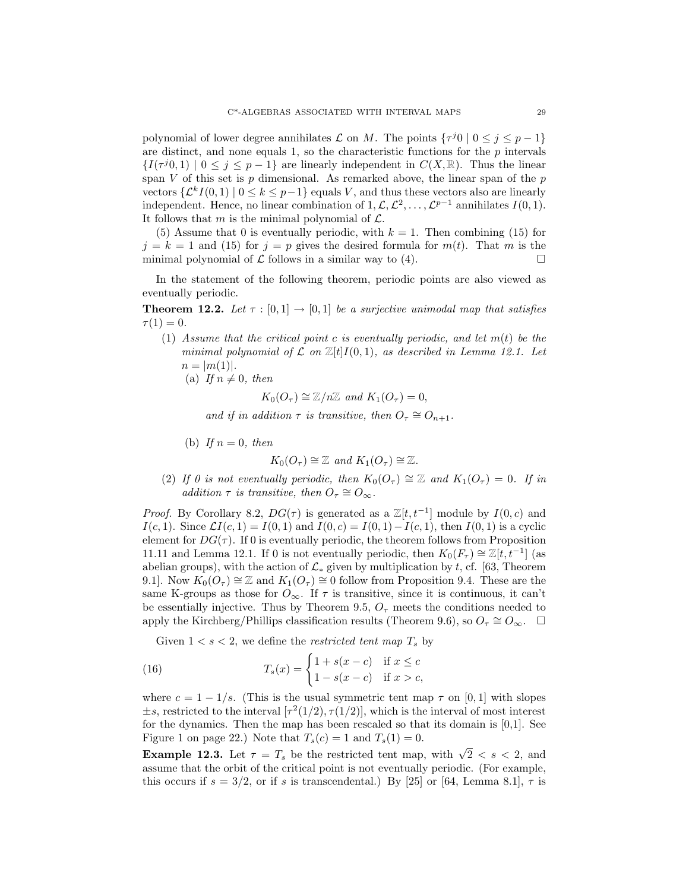polynomial of lower degree annihilates  $\mathcal L$  on *M*. The points  $\{\tau^j 0 \mid 0 \leq j \leq p-1\}$ are distinct, and none equals 1, so the characteristic functions for the  $p$  intervals  $\{I(\tau^{j}0,1) \mid 0 \leq j \leq p-1\}$  are linearly independent in  $C(X,\mathbb{R})$ . Thus the linear span *V* of this set is *p* dimensional. As remarked above, the linear span of the *p* vectors  $\{\mathcal{L}^k I(0,1) \mid 0 \leq k \leq p-1\}$  equals *V*, and thus these vectors also are linearly independent. Hence, no linear combination of  $1, \mathcal{L}, \mathcal{L}^2, \ldots, \mathcal{L}^{p-1}$  annihilates  $I(0, 1)$ . It follows that *m* is the minimal polynomial of  $\mathcal{L}$ .

(5) Assume that 0 is eventually periodic, with  $k = 1$ . Then combining (15) for  $j = k = 1$  and (15) for  $j = p$  gives the desired formula for  $m(t)$ . That m is the minimal polynomial of  $\mathcal L$  follows in a similar way to (4).

In the statement of the following theorem, periodic points are also viewed as eventually periodic.

**Theorem 12.2.** Let  $\tau : [0,1] \rightarrow [0,1]$  be a surjective unimodal map that satisfies  $\tau(1)=0.$ 

- (1) Assume that the critical point *c* is eventually periodic, and let *m*(*t*) be the minimal polynomial of  $\mathcal L$  on  $\mathbb Z[t]I(0,1)$ , as described in Lemma 12.1. Let  $n = |m(1)|$ .
	- (a) If  $n \neq 0$ , then

 $K_0(O_\tau) \cong \mathbb{Z}/n\mathbb{Z}$  and  $K_1(O_\tau) = 0$ ,

and if in addition  $\tau$  is transitive, then  $O_{\tau} \cong O_{n+1}$ .

(b) If  $n = 0$ , then

 $K_0(O_\tau) \cong \mathbb{Z}$  and  $K_1(O_\tau) \cong \mathbb{Z}$ .

(2) If 0 is not eventually periodic, then  $K_0(O_\tau) \cong \mathbb{Z}$  and  $K_1(O_\tau) = 0$ . If in addition  $\tau$  is transitive, then  $O_{\tau} \cong O_{\infty}$ .

*Proof.* By Corollary 8.2,  $DG(\tau)$  is generated as a  $\mathbb{Z}[t, t^{-1}]$  module by  $I(0, c)$  and *I*(*c,* 1). Since  $\mathcal{L}I(c, 1) = I(0, 1)$  and  $I(0, c) = I(0, 1) - I(c, 1)$ , then  $I(0, 1)$  is a cyclic element for  $DG(\tau)$ . If 0 is eventually periodic, the theorem follows from Proposition 11.11 and Lemma 12.1. If 0 is not eventually periodic, then  $K_0(F_\tau) \cong \mathbb{Z}[t, t^{-1}]$  (as abelian groups), with the action of  $\mathcal{L}_*$  given by multiplication by *t*, cf. [63, Theorem 9.1]. Now  $K_0(O_\tau) \cong \mathbb{Z}$  and  $K_1(O_\tau) \cong 0$  follow from Proposition 9.4. These are the same K-groups as those for  $O_{\infty}$ . If  $\tau$  is transitive, since it is continuous, it can't be essentially injective. Thus by Theorem 9.5,  $O<sub>\tau</sub>$  meets the conditions needed to apply the Kirchberg/Phillips classification results (Theorem 9.6), so  $O_7 \cong O_\infty$ .  $\Box$ 

Given  $1 < s < 2$ , we define the *restricted tent map*  $T_s$  by

(16) 
$$
T_s(x) = \begin{cases} 1 + s(x - c) & \text{if } x \leq c \\ 1 - s(x - c) & \text{if } x > c, \end{cases}
$$

where  $c = 1 - 1/s$ . (This is the usual symmetric tent map  $\tau$  on [0, 1] with slopes  $\pm s$ , restricted to the interval  $[\tau^2(1/2), \tau(1/2)]$ , which is the interval of most interest for the dynamics. Then the map has been rescaled so that its domain is [0,1]. See Figure 1 on page 22.) Note that  $T_s(c) = 1$  and  $T_s(1) = 0$ .

**Example 12.3.** Let  $\tau = T_s$  be the restricted tent map, with  $\sqrt{2} < s < 2$ , and assume that the orbit of the critical point is not eventually periodic. (For example, this occurs if  $s = 3/2$ , or if *s* is transcendental.) By [25] or [64, Lemma 8.1],  $\tau$  is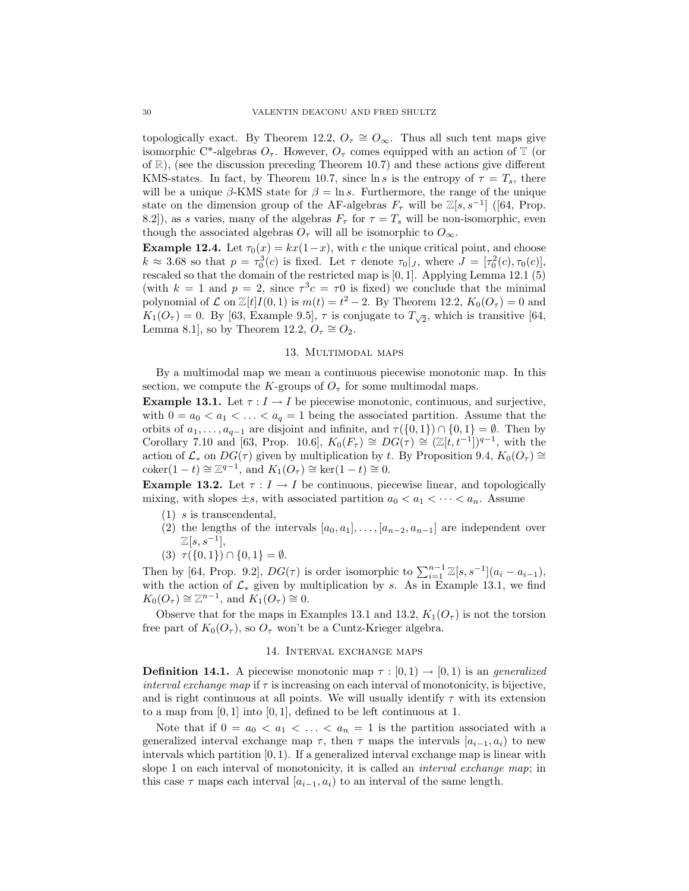topologically exact. By Theorem 12.2,  $O_{\tau} \cong O_{\infty}$ . Thus all such tent maps give isomorphic C<sup>\*</sup>-algebras  $O_7$ . However,  $O_7$  comes equipped with an action of T (or of  $\mathbb{R}$ ), (see the discussion preceding Theorem 10.7) and these actions give different KMS-states. In fact, by Theorem 10.7, since  $\ln s$  is the entropy of  $\tau = T_s$ , there will be a unique  $\beta$ -KMS state for  $\beta = \ln s$ . Furthermore, the range of the unique state on the dimension group of the AF-algebras  $F_{\tau}$  will be  $\mathbb{Z}[s, s^{-1}]$  ([64, Prop. 8.2]), as *s* varies, many of the algebras  $F_\tau$  for  $\tau = T_s$  will be non-isomorphic, even though the associated algebras  $O<sub>\tau</sub>$  will all be isomorphic to  $O<sub>\infty</sub>$ .

**Example 12.4.** Let  $\tau_0(x) = kx(1-x)$ , with *c* the unique critical point, and choose  $k \approx 3.68$  so that  $p = \tau_0^3(c)$  is fixed. Let  $\tau$  denote  $\tau_0|_J$ , where  $J = [\tau_0^2(c), \tau_0(c)]$ , rescaled so that the domain of the restricted map is [0*,* 1]. Applying Lemma 12.1 (5) (with  $k = 1$  and  $p = 2$ , since  $\tau^3 c = \tau 0$  is fixed) we conclude that the minimal polynomial of  $\mathcal L$  on  $\mathbb Z[t]I(0,1)$  is  $m(t) = t^2 - 2$ . By Theorem 12.2,  $K_0(O_\tau) = 0$  and  $K_1(O_\tau) = 0$ . By [63, Example 9.5],  $\tau$  is conjugate to  $T_{\sqrt{2}}$ , which is transitive [64, Lemma 8.1], so by Theorem 12.2,  $O<sub>\tau</sub> \cong O<sub>2</sub>$ .

## 13. Multimodal maps

By a multimodal map we mean a continuous piecewise monotonic map. In this section, we compute the *K*-groups of  $O<sub>\tau</sub>$  for some multimodal maps.

**Example 13.1.** Let  $\tau: I \to I$  be piecewise monotonic, continuous, and surjective, with  $0 = a_0 < a_1 < \ldots < a_q = 1$  being the associated partition. Assume that the orbits of  $a_1, \ldots, a_{q-1}$  are disjoint and infinite, and  $\tau(\{0,1\}) \cap \{0,1\} = \emptyset$ . Then by Corollary 7.10 and [63, Prop. 10.6],  $K_0(F_\tau) \cong DG(\tau) \cong (\mathbb{Z}[t, t^{-1}])^{q-1}$ , with the action of  $\mathcal{L}_*$  on  $DG(\tau)$  given by multiplication by *t*. By Proposition 9.4,  $K_0(O_\tau) \cong$ coker $(1-t) \cong \mathbb{Z}^{q-1}$ , and  $K_1(O_\tau) \cong \ker(1-t) \cong 0$ .

**Example 13.2.** Let  $\tau : I \to I$  be continuous, piecewise linear, and topologically mixing, with slopes  $\pm s$ , with associated partition  $a_0 < a_1 < \cdots < a_n$ . Assume

- (1) *s* is transcendental,
- (2) the lengths of the intervals  $[a_0, a_1], \ldots, [a_{n-2}, a_{n-1}]$  are independent over Z[*s, s*−<sup>1</sup>],
- (3)  $\tau({0,1}) \cap {0,1} = \emptyset$ .

Then by [64, Prop. 9.2],  $DG(\tau)$  is order isomorphic to  $\sum_{i=1}^{n-1} \mathbb{Z}[s, s^{-1}](a_i - a_{i-1}),$ with the action of  $\mathcal{L}_*$  given by multiplication by *s*. As in Example 13.1, we find  $K_0(O_\tau) \cong \mathbb{Z}^{n-1}$ , and  $K_1(O_\tau) \cong 0$ .

Observe that for the maps in Examples 13.1 and 13.2,  $K_1(O_\tau)$  is not the torsion free part of  $K_0(O_\tau)$ , so  $O_\tau$  won't be a Cuntz-Krieger algebra.

## 14. Interval exchange maps

**Definition 14.1.** A piecewise monotonic map  $\tau : [0,1) \rightarrow [0,1)$  is an *generalized* interval exchange map if  $\tau$  is increasing on each interval of monotonicity, is bijective, and is right continuous at all points. We will usually identify  $\tau$  with its extension to a map from [0*,* 1] into [0*,* 1], defined to be left continuous at 1.

Note that if  $0 = a_0 < a_1 < \ldots < a_n = 1$  is the partition associated with a generalized interval exchange map  $\tau$ , then  $\tau$  maps the intervals  $[a_{i-1}, a_i]$  to new intervals which partition [0*,* 1). If a generalized interval exchange map is linear with slope 1 on each interval of monotonicity, it is called an *interval exchange map*; in this case  $\tau$  maps each interval  $[a_{i-1}, a_i]$  to an interval of the same length.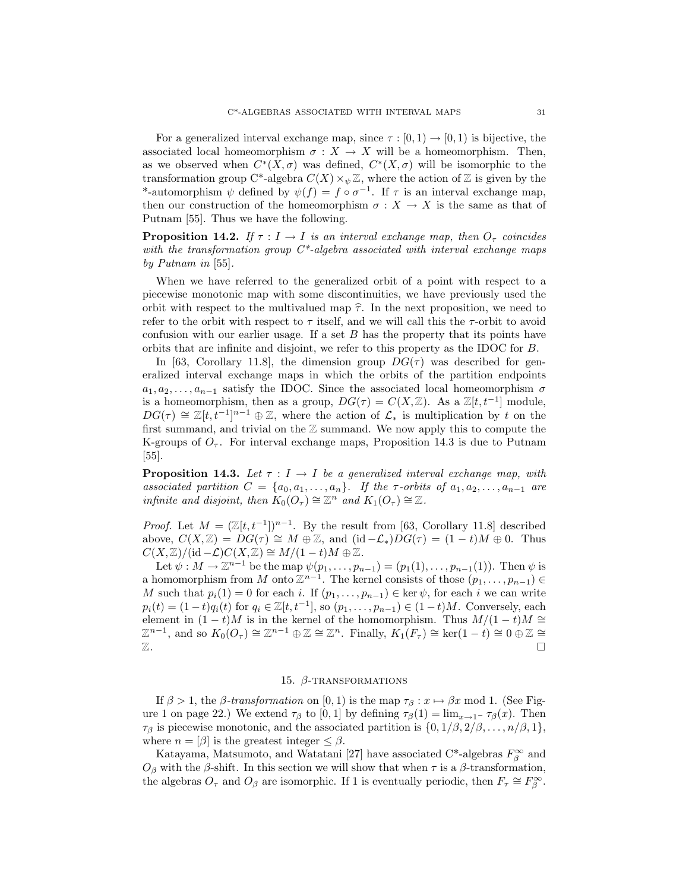For a generalized interval exchange map, since  $\tau : [0, 1) \to [0, 1)$  is bijective, the associated local homeomorphism  $\sigma : X \to X$  will be a homeomorphism. Then, as we observed when  $C^*(X, \sigma)$  was defined,  $C^*(X, \sigma)$  will be isomorphic to the transformation group C<sup>\*</sup>-algebra  $C(X) \times_{\psi} \mathbb{Z}$ , where the action of  $\mathbb{Z}$  is given by the \*-automorphism  $\psi$  defined by  $\psi(f) = f \circ \sigma^{-1}$ . If  $\tau$  is an interval exchange map, then our construction of the homeomorphism  $\sigma : X \to X$  is the same as that of Putnam [55]. Thus we have the following.

**Proposition 14.2.** If  $\tau : I \to I$  is an interval exchange map, then  $O_{\tau}$  coincides with the transformation group  $C^*$ -algebra associated with interval exchange maps by Putnam in [55].

When we have referred to the generalized orbit of a point with respect to a piecewise monotonic map with some discontinuities, we have previously used the orbit with respect to the multivalued map  $\hat{\tau}$ . In the next proposition, we need to refer to the orbit with respect to  $\tau$  itself, and we will call this the  $\tau$ -orbit to avoid confusion with our earlier usage. If a set *B* has the property that its points have orbits that are infinite and disjoint, we refer to this property as the IDOC for *B*.

In [63, Corollary 11.8], the dimension group  $DG(\tau)$  was described for generalized interval exchange maps in which the orbits of the partition endpoints  $a_1, a_2, \ldots, a_{n-1}$  satisfy the IDOC. Since the associated local homeomorphism  $\sigma$ is a homeomorphism, then as a group,  $DG(\tau) = C(X, \mathbb{Z})$ . As a  $\mathbb{Z}[t, t^{-1}]$  module,  $DG(\tau) \cong \mathbb{Z}[t,t^{-1}]^{n-1} \oplus \mathbb{Z}$ , where the action of  $\mathcal{L}_*$  is multiplication by *t* on the first summand, and trivial on the Z summand. We now apply this to compute the K-groups of  $O_7$ . For interval exchange maps, Proposition 14.3 is due to Putnam [55].

**Proposition 14.3.** Let  $\tau : I \to I$  be a generalized interval exchange map, with associated partition  $C = \{a_0, a_1, \ldots, a_n\}$ . If the *τ*-orbits of  $a_1, a_2, \ldots, a_{n-1}$  are infinite and disjoint, then  $K_0(O_\tau) \cong \mathbb{Z}^n$  and  $K_1(O_\tau) \cong \mathbb{Z}$ .

*Proof.* Let  $M = (\mathbb{Z}[t, t^{-1}])^{n-1}$ . By the result from [63, Corollary 11.8] described above,  $C(X, \mathbb{Z}) = DG(\tau) \cong M \oplus \mathbb{Z}$ , and  $(\mathrm{id} - \mathcal{L}_*)DG(\tau) = (1 - t)M \oplus 0$ . Thus  $C(X, \mathbb{Z})/(\mathrm{id}-\mathcal{L})C(X, \mathbb{Z}) \cong M/(1-t)M \oplus \mathbb{Z}.$ 

Let  $\psi : M \to \mathbb{Z}^{n-1}$  be the map  $\psi(p_1, \ldots, p_{n-1}) = (p_1(1), \ldots, p_{n-1}(1))$ . Then  $\psi$  is a homomorphism from *M* onto  $\mathbb{Z}^{n-1}$ . The kernel consists of those  $(p_1, \ldots, p_{n-1}) \in$ *M* such that  $p_i(1) = 0$  for each *i*. If  $(p_1, \ldots, p_{n-1}) \in \text{ker } \psi$ , for each *i* we can write  $p_i(t) = (1-t)q_i(t)$  for  $q_i \in \mathbb{Z}[t, t^{-1}]$ , so  $(p_1, \ldots, p_{n-1}) \in (1-t)M$ . Conversely, each element in  $(1-t)M$  is in the kernel of the homomorphism. Thus  $M/(1-t)M \cong$  $\mathbb{Z}^{n-1}$ , and so  $K_0(O_\tau) \cong \mathbb{Z}^{n-1} \oplus \mathbb{Z} \cong \mathbb{Z}^n$ . Finally,  $K_1(F_\tau) \cong \ker(1-t) \cong 0 \oplus \mathbb{Z} \cong$  $\mathbb{Z}.$ 

#### 15. *β*-transformations

If  $\beta > 1$ , the *β*-transformation on [0, 1] is the map  $\tau_{\beta}: x \mapsto \beta x \mod 1$ . (See Figure 1 on page 22.) We extend  $\tau_\beta$  to [0, 1] by defining  $\tau_\beta(1) = \lim_{x \to 1^-} \tau_\beta(x)$ . Then  $\tau_\beta$  is piecewise monotonic, and the associated partition is  $\{0, 1/\beta, 2/\beta, \ldots, n/\beta, 1\}$ , where  $n = [\beta]$  is the greatest integer  $\leq \beta$ .

Katayama, Matsumoto, and Watatani [27] have associated C<sup>\*</sup>-algebras  $F_\beta^\infty$  and *O*<sup>β</sup> with the *β*-shift. In this section we will show that when  $\tau$  is a β-transformation, the algebras  $O_{\tau}$  and  $O_{\beta}$  are isomorphic. If 1 is eventually periodic, then  $F_{\tau} \cong F_{\beta}^{\infty}$ .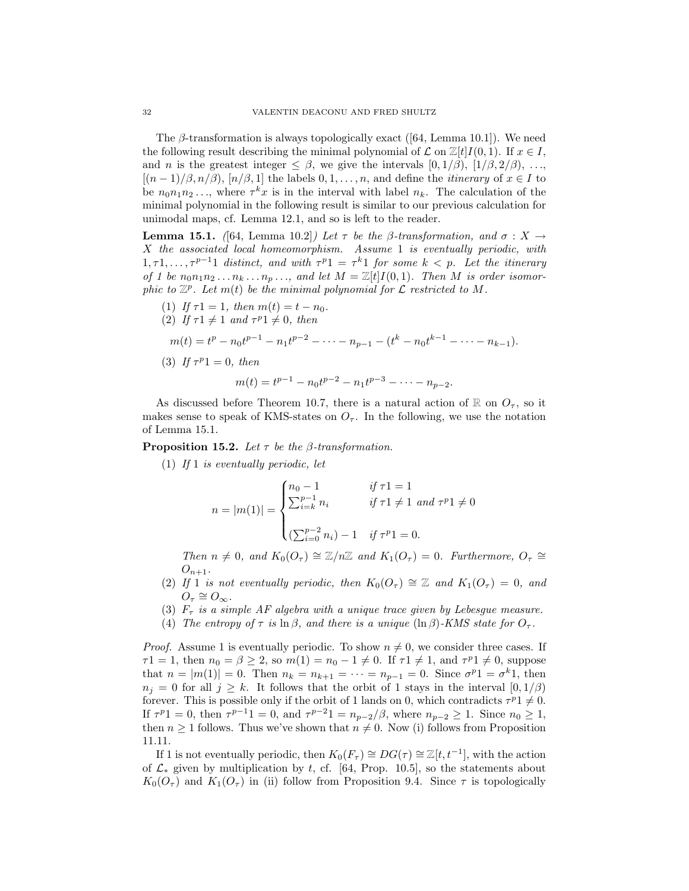The *β*-transformation is always topologically exact ([64, Lemma 10.1]). We need the following result describing the minimal polynomial of  $\mathcal L$  on  $\mathbb Z[t]I(0,1)$ . If  $x \in I$ , and *n* is the greatest integer  $\leq \beta$ , we give the intervals  $[0, 1/\beta)$ ,  $[1/\beta, 2/\beta)$ , ...  $[(n-1)/\beta, n/\beta), [n/\beta, 1]$  the labels  $0, 1, \ldots, n$ , and define the *itinerary* of  $x \in I$  to be  $n_0 n_1 n_2 \ldots$ , where  $\tau^k x$  is in the interval with label  $n_k$ . The calculation of the minimal polynomial in the following result is similar to our previous calculation for unimodal maps, cf. Lemma 12.1, and so is left to the reader.

**Lemma 15.1.** ([64, Lemma 10.2]) Let *τ* be the *β*-transformation, and  $σ : X →$ *X* the associated local homeomorphism. Assume 1 is eventually periodic, with  $1, \tau 1, \ldots, \tau^{p-1}1$  distinct, and with  $\tau^{p}1 = \tau^{k}1$  for some  $k < p$ . Let the itinerary of 1 be  $n_0 n_1 n_2 \ldots n_k \ldots n_p \ldots$ , and let  $M = \mathbb{Z}[t]I(0,1)$ . Then M is order isomorphic to  $\mathbb{Z}^p$ . Let  $m(t)$  be the minimal polynomial for  $\mathcal L$  restricted to  $M$ .

\n- (1) If 
$$
\tau 1 = 1
$$
, then  $m(t) = t - n_0$ .
\n- (2) If  $\tau 1 \neq 1$  and  $\tau^{p_1} \neq 0$ , then
\n- $m(t) = t^p - n_0 t^{p-1} - n_1 t^{p-2} - \cdots - n_{p-1} - (t^k - n_0 t^{k-1} - \cdots - n_{k-1})$ .
\n- (3) If  $\tau^{p_1} = 0$ , then
\n- $m(t) = t^{p-1} - n_0 t^{p-2} - n_1 t^{p-3} - \cdots - n_{p-2}$ .
\n

As discussed before Theorem 10.7, there is a natural action of  $\mathbb{R}$  on  $O_{\tau}$ , so it makes sense to speak of KMS-states on  $O<sub>\tau</sub>$ . In the following, we use the notation of Lemma 15.1.

**Proposition 15.2.** Let *τ* be the *β*-transformation.

(1) If 1 is eventually periodic, let

$$
n = |m(1)| = \begin{cases} n_0 - 1 & \text{if } \tau 1 = 1 \\ \sum_{i=k}^{p-1} n_i & \text{if } \tau 1 \neq 1 \text{ and } \tau^{p} 1 \neq 0 \\ (\sum_{i=0}^{p-2} n_i) - 1 & \text{if } \tau^{p} 1 = 0. \end{cases}
$$

Then  $n \neq 0$ , and  $K_0(O_\tau) \cong \mathbb{Z}/n\mathbb{Z}$  and  $K_1(O_\tau) = 0$ . Furthermore,  $O_\tau \cong$  $O_{n+1}$ .

- (2) If 1 is not eventually periodic, then  $K_0(O_\tau) \cong \mathbb{Z}$  and  $K_1(O_\tau) = 0$ , and  $O_{\tau} \cong O_{\infty}$ .
- (3)  $F_{\tau}$  is a simple AF algebra with a unique trace given by Lebesgue measure.
- (4) The entropy of  $\tau$  is  $\ln \beta$ , and there is a unique  $(\ln \beta)$ -KMS state for  $O_{\tau}$ .

*Proof.* Assume 1 is eventually periodic. To show  $n \neq 0$ , we consider three cases. If  $\tau$ 1 = 1, then  $n_0 = \beta \ge 2$ , so  $m(1) = n_0 - 1 \ne 0$ . If  $\tau$ 1  $\ne 1$ , and  $\tau$ <sup>*p*</sup>1  $\ne 0$ , suppose that  $n = |m(1)| = 0$ . Then  $n_k = n_{k+1} = \cdots = n_{p-1} = 0$ . Since  $\sigma^p 1 = \sigma^k 1$ , then  $n_j = 0$  for all  $j \geq k$ . It follows that the orbit of 1 stays in the interval  $[0, 1/\beta)$ forever. This is possible only if the orbit of 1 lands on 0, which contradicts  $\tau^p 1 \neq 0$ . If  $\tau^{p}1 = 0$ , then  $\tau^{p-1}1 = 0$ , and  $\tau^{p-2}1 = n_{p-2}/\beta$ , where  $n_{p-2} \geq 1$ . Since  $n_0 \geq 1$ , then  $n \geq 1$  follows. Thus we've shown that  $n \neq 0$ . Now (i) follows from Proposition 11.11.

If 1 is not eventually periodic, then  $K_0(F_\tau) \cong DG(\tau) \cong \mathbb{Z}[t, t^{-1}]$ , with the action of  $\mathcal{L}_*$  given by multiplication by t, cf. [64, Prop. 10.5], so the statements about  $K_0(O_\tau)$  and  $K_1(O_\tau)$  in (ii) follow from Proposition 9.4. Since  $\tau$  is topologically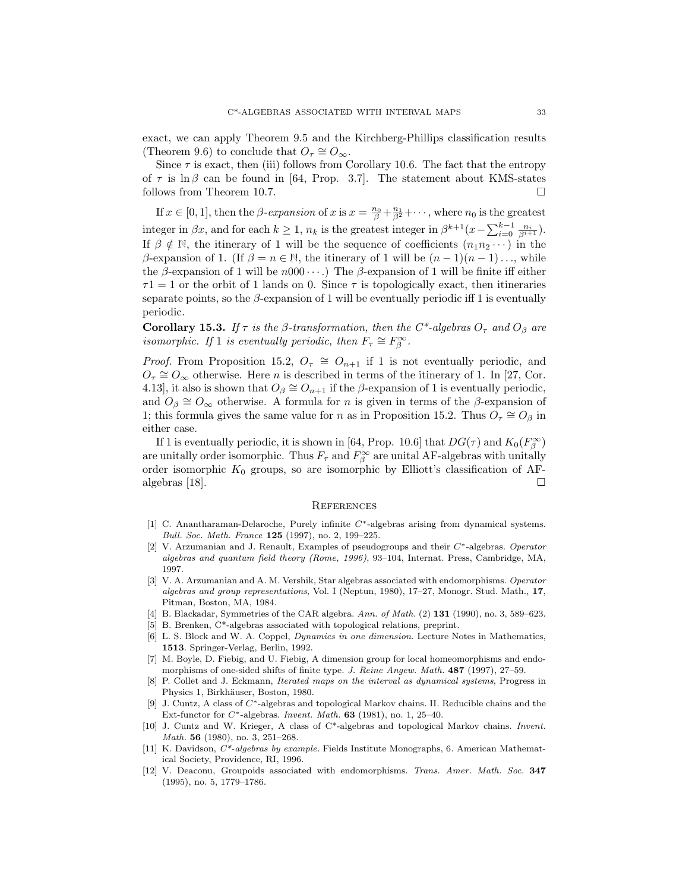exact, we can apply Theorem 9.5 and the Kirchberg-Phillips classification results (Theorem 9.6) to conclude that  $O_7 \cong O_\infty$ .

Since  $\tau$  is exact, then (iii) follows from Corollary 10.6. The fact that the entropy of  $\tau$  is ln  $\beta$  can be found in [64, Prop. 3.7]. The statement about KMS-states follows from Theorem 10.7.

If  $x \in [0, 1]$ , then the *β*-expansion of  $x$  is  $x = \frac{n_0}{\beta} + \frac{n_1}{\beta^2} + \cdots$ , where  $n_0$  is the greatest integer in  $\beta x$ , and for each  $k \geq 1$ ,  $n_k$  is the greatest integer in  $\beta^{k+1}(x - \sum_{i=0}^{k-1} \frac{n_i}{\beta^{i+1}})$ . If  $\beta \notin \mathbb{N}$ , the itinerary of 1 will be the sequence of coefficients  $(n_1 n_2 \cdots)$  in the *β*-expansion of 1. (If  $β = n ∈ ℕ$ , the itinerary of 1 will be  $(n - 1)(n - 1) \dots$ , while the *β*-expansion of 1 will be *n*000 ··· .) The *β*-expansion of 1 will be finite iff either  $\tau$ 1 = 1 or the orbit of 1 lands on 0. Since  $\tau$  is topologically exact, then itineraries separate points, so the  $\beta$ -expansion of 1 will be eventually periodic iff 1 is eventually periodic.

**Corollary 15.3.** If  $\tau$  is the  $\beta$ -transformation, then the C<sup>\*</sup>-algebras  $O_{\tau}$  and  $O_{\beta}$  are isomorphic. If 1 is eventually periodic, then  $F_{\tau} \cong F_{\beta}^{\infty}$ .

*Proof.* From Proposition 15.2,  $O_\tau \cong O_{n+1}$  if 1 is not eventually periodic, and  $O_{\tau} \cong O_{\infty}$  otherwise. Here *n* is described in terms of the itinerary of 1. In [27, Cor. 4.13], it also is shown that  $O_\beta \cong O_{n+1}$  if the  $\beta$ -expansion of 1 is eventually periodic, and  $O_\beta \cong O_\infty$  otherwise. A formula for *n* is given in terms of the  $\beta$ -expansion of 1; this formula gives the same value for *n* as in Proposition 15.2. Thus  $O<sub>\tau</sub> \cong O<sub>\beta</sub>$  in either case.

If 1 is eventually periodic, it is shown in [64, Prop. 10.6] that  $DG(\tau)$  and  $K_0(F_\beta^\infty)$ are unitally order isomorphic. Thus  $F_{\tau}$  and  $F_{\beta}^{\infty}$  are unital AF-algebras with unitally order isomorphic  $K_0$  groups, so are isomorphic by Elliott's classification of AFalgebras [18].  $\Box$ 

# **REFERENCES**

- [1] C. Anantharaman-Delaroche, Purely infinite C∗-algebras arising from dynamical systems. *Bull. Soc. Math. France* **125** (1997), no. 2, 199–225.
- [2] V. Arzumanian and J. Renault, Examples of pseudogroups and their C∗-algebras. *Operator algebras and quantum field theory (Rome, 1996)*, 93–104, Internat. Press, Cambridge, MA, 1997.
- [3] V. A. Arzumanian and A. M. Vershik, Star algebras associated with endomorphisms. *Operator algebras and group representations*, Vol. I (Neptun, 1980), 17–27, Monogr. Stud. Math., **17**, Pitman, Boston, MA, 1984.
- [4] B. Blackadar, Symmetries of the CAR algebra. *Ann. of Math.* (2) **131** (1990), no. 3, 589–623.
- [5] B. Brenken, C\*-algebras associated with topological relations, preprint.
- [6] L. S. Block and W. A. Coppel, *Dynamics in one dimension.* Lecture Notes in Mathematics, **1513**. Springer-Verlag, Berlin, 1992.
- [7] M. Boyle, D. Fiebig, and U. Fiebig, A dimension group for local homeomorphisms and endomorphisms of one-sided shifts of finite type. *J. Reine Angew. Math.* **487** (1997), 27–59.
- [8] P. Collet and J. Eckmann, *Iterated maps on the interval as dynamical systems*, Progress in Physics 1, Birkhäuser, Boston, 1980.
- [9] J. Cuntz, A class of C∗-algebras and topological Markov chains. II. Reducible chains and the Ext-functor for C∗-algebras. *Invent. Math.* **63** (1981), no. 1, 25–40.
- [10] J. Cuntz and W. Krieger, A class of C\*-algebras and topological Markov chains. *Invent. Math.* **56** (1980), no. 3, 251–268.
- [11] K. Davidson, *C\*-algebras by example.* Fields Institute Monographs, 6. American Mathematical Society, Providence, RI, 1996.
- [12] V. Deaconu, Groupoids associated with endomorphisms. *Trans. Amer. Math. Soc.* **347** (1995), no. 5, 1779–1786.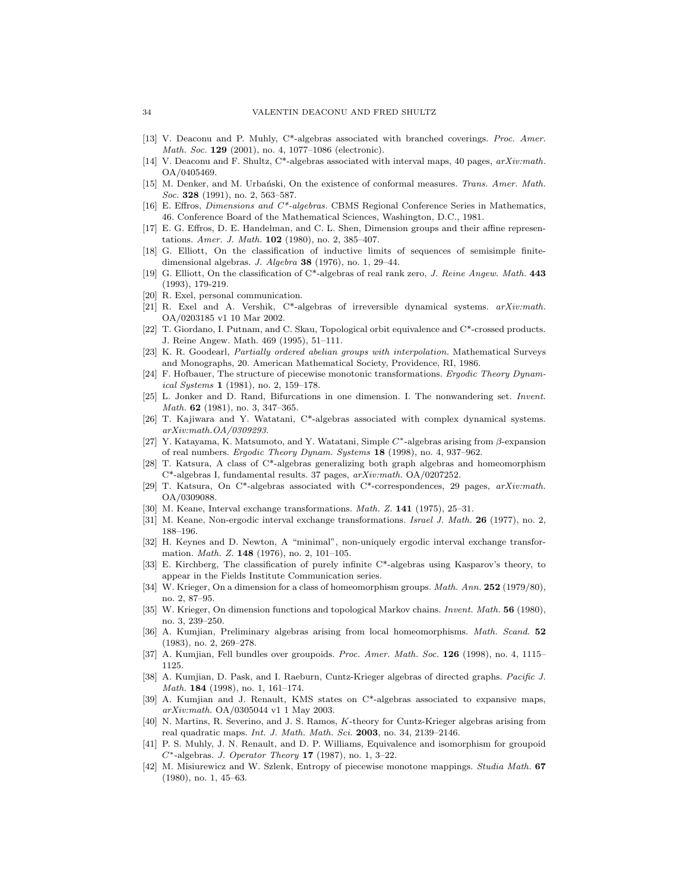- [13] V. Deaconu and P. Muhly, C\*-algebras associated with branched coverings. *Proc. Amer. Math. Soc.* **129** (2001), no. 4, 1077–1086 (electronic).
- [14] V. Deaconu and F. Shultz, C\*-algebras associated with interval maps, 40 pages, *arXiv:math.* OA/0405469.
- [15] M. Denker, and M. Urbański, On the existence of conformal measures. *Trans. Amer. Math. Soc.* **328** (1991), no. 2, 563–587.
- [16] E. Effros, *Dimensions and C\*-algebras.* CBMS Regional Conference Series in Mathematics, 46. Conference Board of the Mathematical Sciences, Washington, D.C., 1981.
- [17] E. G. Effros, D. E. Handelman, and C. L. Shen, Dimension groups and their affine representations. *Amer. J. Math.* **102** (1980), no. 2, 385–407.
- [18] G. Elliott, On the classification of inductive limits of sequences of semisimple finitedimensional algebras. *J. Algebra* **38** (1976), no. 1, 29–44.
- [19] G. Elliott, On the classification of C\*-algebras of real rank zero, *J. Reine Angew. Math.* **443** (1993), 179-219.
- [20] R. Exel, personal communication.
- [21] R. Exel and A. Vershik, C\*-algebras of irreversible dynamical systems. *arXiv:math.* OA/0203185 v1 10 Mar 2002.
- [22] T. Giordano, I. Putnam, and C. Skau, Topological orbit equivalence and C\*-crossed products. J. Reine Angew. Math. 469 (1995), 51–111.
- [23] K. R. Goodearl, *Partially ordered abelian groups with interpolation.* Mathematical Surveys and Monographs, 20. American Mathematical Society, Providence, RI, 1986.
- [24] F. Hofbauer, The structure of piecewise monotonic transformations. *Ergodic Theory Dynamical Systems* **1** (1981), no. 2, 159–178.
- [25] L. Jonker and D. Rand, Bifurcations in one dimension. I. The nonwandering set. *Invent. Math.* **62** (1981), no. 3, 347–365.
- [26] T. Kajiwara and Y. Watatani, C\*-algebras associated with complex dynamical systems. *arXiv:math.OA/0309293*.
- [27] Y. Katayama, K. Matsumoto, and Y. Watatani, Simple  $C^*$ -algebras arising from β-expansion of real numbers. *Ergodic Theory Dynam. Systems* **18** (1998), no. 4, 937–962.
- [28] T. Katsura, A class of C\*-algebras generalizing both graph algebras and homeomorphism C\*-algebras I, fundamental results. 37 pages, *arXiv:math.* OA/0207252.
- [29] T. Katsura, On C\*-algebras associated with C\*-correspondences, 29 pages, *arXiv:math.* OA/0309088.
- [30] M. Keane, Interval exchange transformations. *Math. Z.* **141** (1975), 25–31.
- [31] M. Keane, Non-ergodic interval exchange transformations. *Israel J. Math.* **26** (1977), no. 2, 188–196.
- [32] H. Keynes and D. Newton, A "minimal", non-uniquely ergodic interval exchange transformation. *Math. Z.* **148** (1976), no. 2, 101–105.
- [33] E. Kirchberg, The classification of purely infinite C\*-algebras using Kasparov's theory, to appear in the Fields Institute Communication series.
- [34] W. Krieger, On a dimension for a class of homeomorphism groups. *Math. Ann.* **252** (1979/80), no. 2, 87–95.
- [35] W. Krieger, On dimension functions and topological Markov chains. *Invent. Math.* **56** (1980), no. 3, 239–250.
- [36] A. Kumjian, Preliminary algebras arising from local homeomorphisms. *Math. Scand.* **52** (1983), no. 2, 269–278.
- [37] A. Kumjian, Fell bundles over groupoids. *Proc. Amer. Math. Soc.* **126** (1998), no. 4, 1115– 1125.
- [38] A. Kumjian, D. Pask, and I. Raeburn, Cuntz-Krieger algebras of directed graphs. *Pacific J. Math.* **184** (1998), no. 1, 161–174.
- [39] A. Kumjian and J. Renault, KMS states on C\*-algebras associated to expansive maps, *arXiv:math.* OA/0305044 v1 1 May 2003.
- [40] N. Martins, R. Severino, and J. S. Ramos, K-theory for Cuntz-Krieger algebras arising from real quadratic maps. *Int. J. Math. Math. Sci.* **2003**, no. 34, 2139–2146.
- [41] P. S. Muhly, J. N. Renault, and D. P. Williams, Equivalence and isomorphism for groupoid C∗-algebras. *J. Operator Theory* **17** (1987), no. 1, 3–22.
- [42] M. Misiurewicz and W. Szlenk, Entropy of piecewise monotone mappings. *Studia Math.* **67** (1980), no. 1, 45–63.